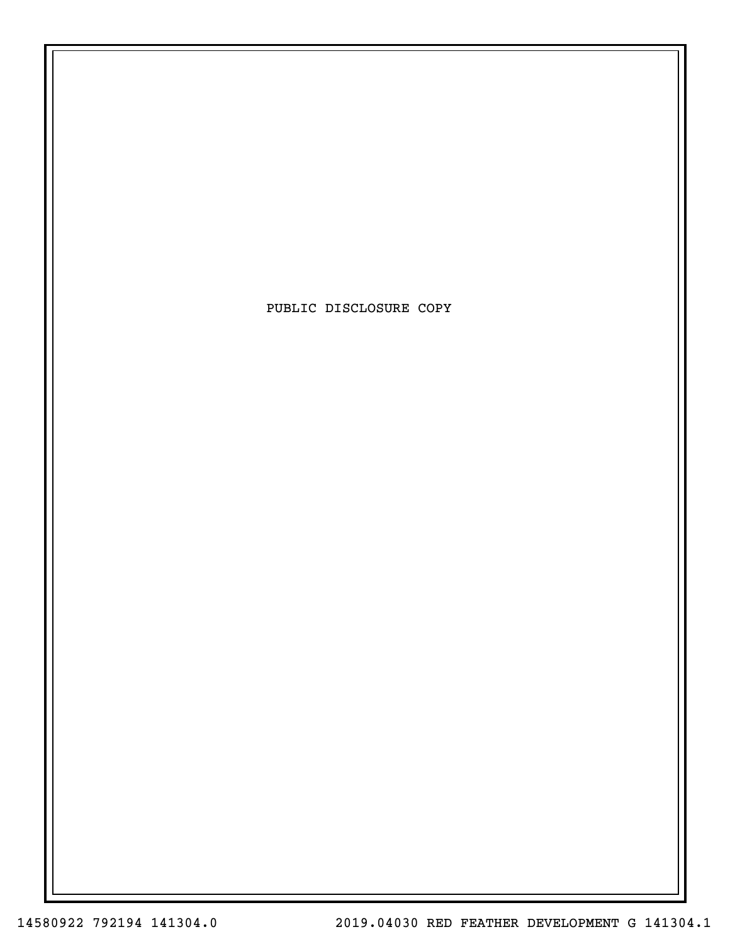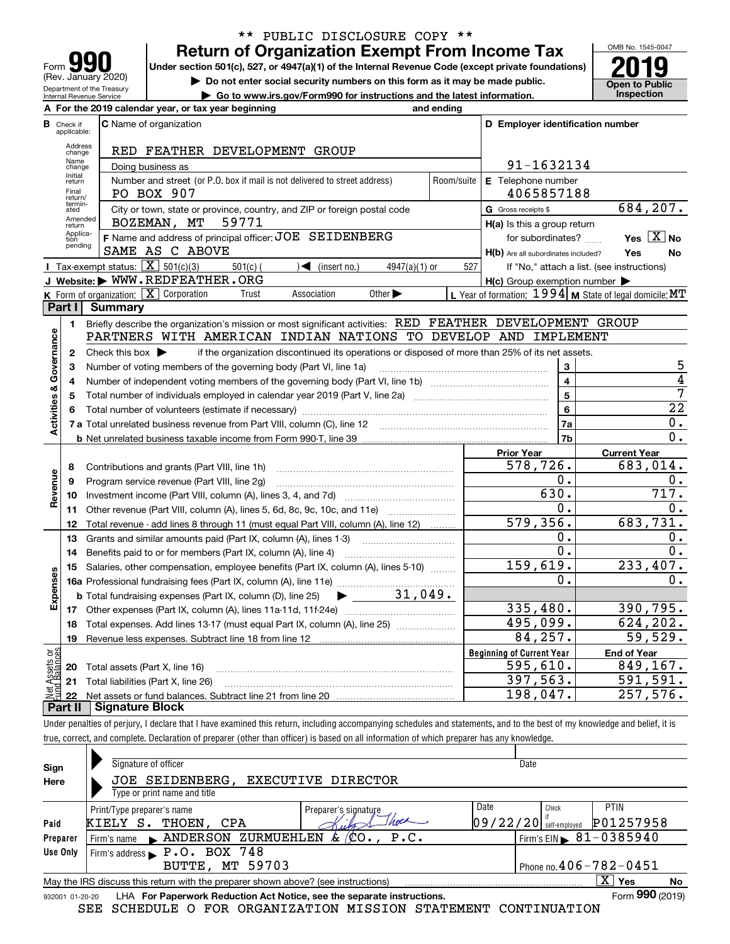| Form                                                          |
|---------------------------------------------------------------|
| (Rev. January 2020)                                           |
| Department of the Treasury<br><b>Internal Revenue Service</b> |

# **Return of Organization Exempt From Income Tax** \*\* PUBLIC DISCLOSURE COPY \*\*

Under section 501(c), 527, or 4947(a)(1) of the Internal Revenue Code (except private foundations) **2019** 

**| Do not enter social security numbers on this form as it may be made public.**

**| Go to www.irs.gov/Form990 for instructions and the latest information. Inspection**



| For the 2019 calendar year, or tax year beginning<br>and ending |                             |                                                                                                                                                                             |                             |                                                     |                                                           |  |  |  |
|-----------------------------------------------------------------|-----------------------------|-----------------------------------------------------------------------------------------------------------------------------------------------------------------------------|-----------------------------|-----------------------------------------------------|-----------------------------------------------------------|--|--|--|
| в                                                               | Check if<br>applicable:     | <b>C</b> Name of organization                                                                                                                                               |                             | D Employer identification number                    |                                                           |  |  |  |
|                                                                 | Address<br>change           | RED FEATHER DEVELOPMENT GROUP                                                                                                                                               |                             |                                                     |                                                           |  |  |  |
|                                                                 | Name<br>change              | Doing business as                                                                                                                                                           | 91-1632134                  |                                                     |                                                           |  |  |  |
|                                                                 | Initial<br>return           | Number and street (or P.O. box if mail is not delivered to street address)<br>Room/suite                                                                                    | E Telephone number          |                                                     |                                                           |  |  |  |
|                                                                 | Final<br>return/            | PO BOX 907                                                                                                                                                                  | 4065857188                  |                                                     |                                                           |  |  |  |
|                                                                 | termin-<br>ated             | City or town, state or province, country, and ZIP or foreign postal code                                                                                                    |                             | G Gross receipts \$                                 | 684,207.                                                  |  |  |  |
|                                                                 | Amended<br>return           | 59771<br>BOZEMAN, MT                                                                                                                                                        | H(a) Is this a group return |                                                     |                                                           |  |  |  |
|                                                                 | Applica-<br>tion<br>pending | F Name and address of principal officer: JOE SEIDENBERG                                                                                                                     |                             | for subordinates?                                   | Yes $\boxed{X}$ No                                        |  |  |  |
|                                                                 |                             | SAME AS C ABOVE                                                                                                                                                             |                             | H(b) Are all subordinates included?                 | Yes<br>No                                                 |  |  |  |
|                                                                 |                             | Tax-exempt status: $\boxed{\mathbf{X}}$ 501(c)(3)<br>$501(c)$ (<br>$\sqrt{\frac{1}{1}}$ (insert no.)<br>$4947(a)(1)$ or                                                     | 527                         |                                                     | If "No," attach a list. (see instructions)                |  |  |  |
|                                                                 |                             | J Website: WWW.REDFEATHER.ORG                                                                                                                                               |                             | $H(c)$ Group exemption number $\blacktriangleright$ |                                                           |  |  |  |
|                                                                 |                             | <b>K</b> Form of organization: $\boxed{\mathbf{X}}$ Corporation<br>Association<br>Other $\blacktriangleright$<br>Trust                                                      |                             |                                                     | L Year of formation: $1994$ M State of legal domicile: MT |  |  |  |
|                                                                 | Part I                      | Summary                                                                                                                                                                     |                             |                                                     |                                                           |  |  |  |
|                                                                 | $\blacksquare$              | Briefly describe the organization's mission or most significant activities: RED FEATHER DEVELOPMENT GROUP<br>PARTNERS WITH AMERICAN INDIAN NATIONS TO DEVELOP AND IMPLEMENT |                             |                                                     |                                                           |  |  |  |
|                                                                 |                             |                                                                                                                                                                             |                             |                                                     |                                                           |  |  |  |
|                                                                 | $\mathbf{2}$                | Check this box $\blacktriangleright$<br>if the organization discontinued its operations or disposed of more than 25% of its net assets.                                     |                             | 3                                                   | 5                                                         |  |  |  |
|                                                                 | з<br>4                      | Number of voting members of the governing body (Part VI, line 1a)                                                                                                           |                             | $\overline{\mathbf{4}}$                             | $\overline{4}$                                            |  |  |  |
|                                                                 | 5                           |                                                                                                                                                                             |                             | 5                                                   | 7                                                         |  |  |  |
| Activities & Governance                                         | 6                           |                                                                                                                                                                             | 6                           | $\overline{22}$                                     |                                                           |  |  |  |
|                                                                 |                             |                                                                                                                                                                             |                             | 7a                                                  | 0.                                                        |  |  |  |
|                                                                 |                             |                                                                                                                                                                             |                             | 7b                                                  | 0.                                                        |  |  |  |
|                                                                 |                             |                                                                                                                                                                             |                             | <b>Prior Year</b>                                   | <b>Current Year</b>                                       |  |  |  |
|                                                                 | 8                           | Contributions and grants (Part VIII, line 1h)                                                                                                                               |                             | 578,726.                                            | 683,014.                                                  |  |  |  |
|                                                                 | 9                           | Program service revenue (Part VIII, line 2g)                                                                                                                                |                             | 0.                                                  | 0.                                                        |  |  |  |
| Revenue                                                         | 10                          |                                                                                                                                                                             |                             | 630.                                                | 717.                                                      |  |  |  |
|                                                                 | 11                          | Other revenue (Part VIII, column (A), lines 5, 6d, 8c, 9c, 10c, and 11e)                                                                                                    |                             | $\overline{0}$ .                                    | 0.                                                        |  |  |  |
|                                                                 | 12                          | Total revenue - add lines 8 through 11 (must equal Part VIII, column (A), line 12)                                                                                          |                             | 579, 356.                                           | 683,731.                                                  |  |  |  |
|                                                                 | 13                          | Grants and similar amounts paid (Part IX, column (A), lines 1-3)                                                                                                            |                             | О.                                                  | 0.                                                        |  |  |  |
|                                                                 | 14                          | Benefits paid to or for members (Part IX, column (A), line 4)                                                                                                               |                             | 0.                                                  | 0.                                                        |  |  |  |
|                                                                 | 15                          | Salaries, other compensation, employee benefits (Part IX, column (A), lines 5-10)                                                                                           |                             | 159,619.                                            | 233,407.                                                  |  |  |  |
| Expenses                                                        |                             |                                                                                                                                                                             |                             | 0.                                                  | 0.                                                        |  |  |  |
|                                                                 |                             | 31,049.<br><b>b</b> Total fundraising expenses (Part IX, column (D), line 25)<br>$\blacktriangleright$ and $\blacktriangleright$                                            |                             |                                                     |                                                           |  |  |  |
|                                                                 |                             |                                                                                                                                                                             |                             | 335,480.                                            | 390,795.                                                  |  |  |  |
|                                                                 | 18                          | Total expenses. Add lines 13-17 (must equal Part IX, column (A), line 25)                                                                                                   |                             | 495,099.                                            | 624,202.                                                  |  |  |  |
|                                                                 | 19                          |                                                                                                                                                                             |                             | 84,257.                                             | 59,529.                                                   |  |  |  |
| ag:                                                             |                             |                                                                                                                                                                             |                             | <b>Beginning of Current Year</b>                    | <b>End of Year</b>                                        |  |  |  |
| Assets<br>1 Balanc                                              |                             | 20 Total assets (Part X, line 16)                                                                                                                                           |                             | 595,610.                                            | 849,167.                                                  |  |  |  |
| $rac{1}{2}$                                                     |                             | 21 Total liabilities (Part X, line 26)                                                                                                                                      |                             | 397,563.                                            | 591,591.                                                  |  |  |  |
|                                                                 |                             | Dart II   Cianature Block                                                                                                                                                   |                             | 198,047.                                            | 257, 576.                                                 |  |  |  |

**Part II Signature Block**

Under penalties of perjury, I declare that I have examined this return, including accompanying schedules and statements, and to the best of my knowledge and belief, it is true, correct, and complete. Declaration of preparer (other than officer) is based on all information of which preparer has any knowledge.

| Sign            | Signature of officer                                                                                          |                      | Date                     |       |                                        |  |  |  |  |  |
|-----------------|---------------------------------------------------------------------------------------------------------------|----------------------|--------------------------|-------|----------------------------------------|--|--|--|--|--|
| Here            | JOE SEIDENBERG, EXECUTIVE DIRECTOR                                                                            |                      |                          |       |                                        |  |  |  |  |  |
|                 | Type or print name and title                                                                                  |                      |                          |       |                                        |  |  |  |  |  |
|                 | Print/Type preparer's name                                                                                    | Preparer's signature | Date                     | Check | PTIN                                   |  |  |  |  |  |
| Paid            | KIELY S.<br>THOEN, CPA                                                                                        |                      | $09/22/20$ self-employed |       | P01257958                              |  |  |  |  |  |
| Preparer        | Firm's name MANDERSON ZURMUEHLEN $\&$ (CO., P.C.                                                              |                      |                          |       | Firm's EIN $\triangleright$ 81-0385940 |  |  |  |  |  |
| Use Only        | Firm's address P.O. BOX 748                                                                                   |                      |                          |       |                                        |  |  |  |  |  |
|                 | <b>BUTTE, MT 59703</b>                                                                                        |                      |                          |       | Phone no. $406 - 782 - 0451$           |  |  |  |  |  |
|                 | $\overline{X}$ Yes<br>No<br>May the IRS discuss this return with the preparer shown above? (see instructions) |                      |                          |       |                                        |  |  |  |  |  |
| 932001 01-20-20 | LHA For Paperwork Reduction Act Notice, see the separate instructions.                                        |                      |                          |       | Form 990 (2019)                        |  |  |  |  |  |
|                 | SEE SCHEDULE O FOR ORGANIZATION MISSION STATEMENT CONTINUATION                                                |                      |                          |       |                                        |  |  |  |  |  |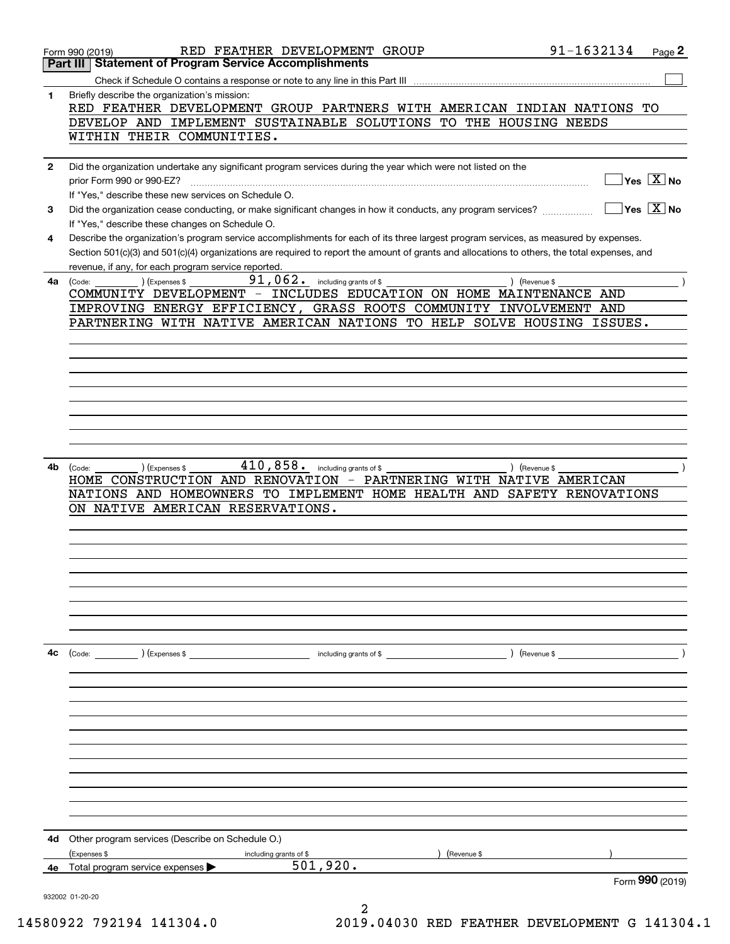|              | RED FEATHER DEVELOPMENT GROUP<br>Form 990 (2019)                                                                                                    | 91-1632134                     | Page 2                                    |
|--------------|-----------------------------------------------------------------------------------------------------------------------------------------------------|--------------------------------|-------------------------------------------|
|              | <b>Statement of Program Service Accomplishments</b><br>Part III                                                                                     |                                |                                           |
|              | Check if Schedule O contains a response or note to any line in this Part III                                                                        |                                |                                           |
| 1            | Briefly describe the organization's mission:                                                                                                        |                                |                                           |
|              | RED FEATHER DEVELOPMENT GROUP PARTNERS WITH AMERICAN INDIAN NATIONS TO<br>DEVELOP AND IMPLEMENT SUSTAINABLE SOLUTIONS TO THE HOUSING NEEDS          |                                |                                           |
|              | WITHIN THEIR COMMUNITIES.                                                                                                                           |                                |                                           |
|              |                                                                                                                                                     |                                |                                           |
| $\mathbf{2}$ | Did the organization undertake any significant program services during the year which were not listed on the                                        |                                |                                           |
|              | prior Form 990 or 990-EZ?                                                                                                                           |                                | $\sqrt{}$ Yes $\sqrt{}$ X $\sqrt{}$ No    |
|              | If "Yes," describe these new services on Schedule O.                                                                                                |                                |                                           |
| 3            | Did the organization cease conducting, or make significant changes in how it conducts, any program services?                                        |                                | $\overline{\ }$ Yes $\overline{\ \ X}$ No |
|              | If "Yes," describe these changes on Schedule O.                                                                                                     |                                |                                           |
| 4            | Describe the organization's program service accomplishments for each of its three largest program services, as measured by expenses.                |                                |                                           |
|              | Section 501(c)(3) and 501(c)(4) organizations are required to report the amount of grants and allocations to others, the total expenses, and        |                                |                                           |
|              | revenue, if any, for each program service reported.                                                                                                 |                                |                                           |
| 4a           | 91,062.<br>including grants of \$<br>) (Revenue \$<br>(Code:<br>CExpenses \$                                                                        |                                |                                           |
|              | COMMUNITY DEVELOPMENT - INCLUDES EDUCATION ON HOME MAINTENANCE AND                                                                                  |                                |                                           |
|              | IMPROVING ENERGY EFFICIENCY, GRASS ROOTS COMMUNITY INVOLVEMENT AND                                                                                  |                                |                                           |
|              | PARTNERING WITH NATIVE AMERICAN NATIONS TO HELP SOLVE HOUSING ISSUES.                                                                               |                                |                                           |
|              |                                                                                                                                                     |                                |                                           |
|              |                                                                                                                                                     |                                |                                           |
|              |                                                                                                                                                     |                                |                                           |
|              |                                                                                                                                                     |                                |                                           |
|              |                                                                                                                                                     |                                |                                           |
|              |                                                                                                                                                     |                                |                                           |
|              |                                                                                                                                                     |                                |                                           |
|              |                                                                                                                                                     |                                |                                           |
|              |                                                                                                                                                     |                                |                                           |
| 4b.          | $410,858$ . including grants of \$<br>(Expenses \$<br>) (Revenue \$<br>(Code:<br>HOME CONSTRUCTION AND RENOVATION - PARTNERING WITH NATIVE AMERICAN |                                |                                           |
|              | NATIONS AND HOMEOWNERS TO IMPLEMENT HOME HEALTH AND SAFETY RENOVATIONS                                                                              |                                |                                           |
|              | ON NATIVE AMERICAN RESERVATIONS.                                                                                                                    |                                |                                           |
|              |                                                                                                                                                     |                                |                                           |
|              |                                                                                                                                                     |                                |                                           |
|              |                                                                                                                                                     |                                |                                           |
|              |                                                                                                                                                     |                                |                                           |
|              |                                                                                                                                                     |                                |                                           |
|              |                                                                                                                                                     |                                |                                           |
|              |                                                                                                                                                     |                                |                                           |
|              |                                                                                                                                                     |                                |                                           |
|              |                                                                                                                                                     |                                |                                           |
| 4c           | (Code: ) (Expenses \$<br>including grants of \$ \eta-1\eta-2\eta-2\eta-2\eta-2\eta-2\eta-2\eta-2\eta-2\eta-2\eta-2\eta-2\eta-2\eta-2\eta-           | $($ Revenue \$ $\qquad \qquad$ |                                           |
|              |                                                                                                                                                     |                                |                                           |
|              |                                                                                                                                                     |                                |                                           |
|              |                                                                                                                                                     |                                |                                           |
|              |                                                                                                                                                     |                                |                                           |
|              |                                                                                                                                                     |                                |                                           |
|              |                                                                                                                                                     |                                |                                           |
|              |                                                                                                                                                     |                                |                                           |
|              |                                                                                                                                                     |                                |                                           |
|              |                                                                                                                                                     |                                |                                           |
|              |                                                                                                                                                     |                                |                                           |
|              |                                                                                                                                                     |                                |                                           |
|              |                                                                                                                                                     |                                |                                           |
| 4d           | Other program services (Describe on Schedule O.)                                                                                                    |                                |                                           |
|              | (Expenses \$<br>(Revenue \$<br>including grants of \$<br>501,920.                                                                                   |                                |                                           |
| 4е           | Total program service expenses ▶                                                                                                                    |                                | Form 990 (2019)                           |
|              |                                                                                                                                                     |                                |                                           |
|              | 932002 01-20-20                                                                                                                                     |                                |                                           |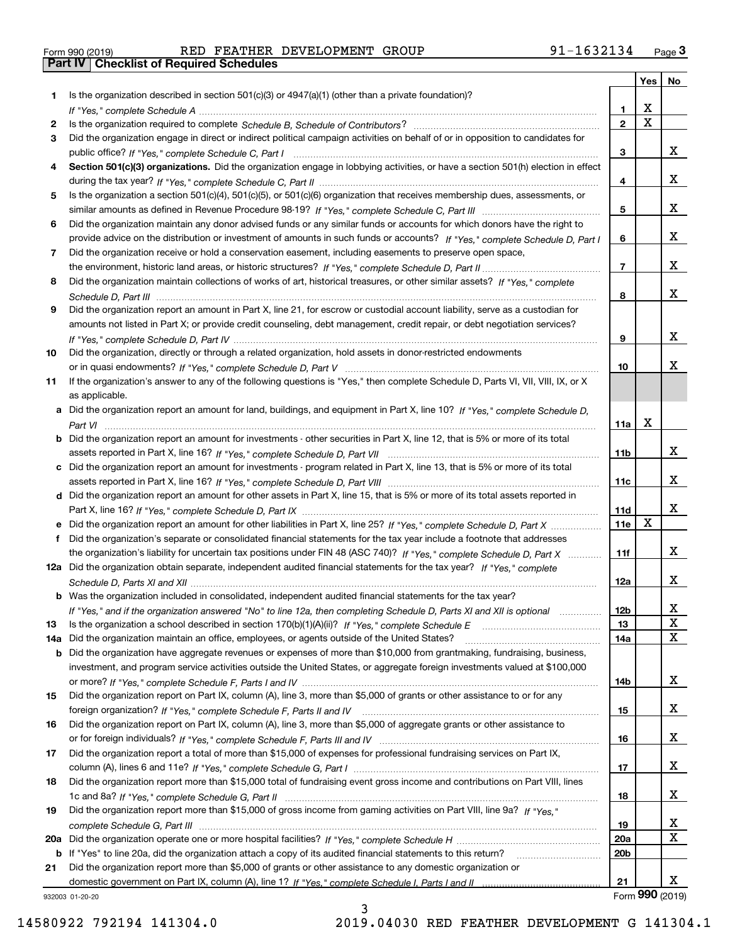| Form 990 (2019) |  |  |
|-----------------|--|--|

Form 990 (2019) RED FEATHER DEVELOPMENT GROUP 91-1632134 <sub>Page</sub> 3<br>**Part IV | Checklist of Required Schedules** 

|     |                                                                                                                                   |                 | Yes                     | No              |
|-----|-----------------------------------------------------------------------------------------------------------------------------------|-----------------|-------------------------|-----------------|
| 1.  | Is the organization described in section $501(c)(3)$ or $4947(a)(1)$ (other than a private foundation)?                           |                 |                         |                 |
|     |                                                                                                                                   | 1.              | X                       |                 |
| 2   |                                                                                                                                   | $\overline{2}$  | $\overline{\mathbf{x}}$ |                 |
| 3   | Did the organization engage in direct or indirect political campaign activities on behalf of or in opposition to candidates for   |                 |                         |                 |
|     |                                                                                                                                   | 3               |                         | x               |
| 4   | Section 501(c)(3) organizations. Did the organization engage in lobbying activities, or have a section 501(h) election in effect  |                 |                         |                 |
|     |                                                                                                                                   | 4               |                         | x               |
| 5   | Is the organization a section 501(c)(4), 501(c)(5), or 501(c)(6) organization that receives membership dues, assessments, or      |                 |                         |                 |
|     |                                                                                                                                   | 5               |                         | x               |
| 6   | Did the organization maintain any donor advised funds or any similar funds or accounts for which donors have the right to         |                 |                         |                 |
|     | provide advice on the distribution or investment of amounts in such funds or accounts? If "Yes," complete Schedule D, Part I      | 6               |                         | x               |
| 7   | Did the organization receive or hold a conservation easement, including easements to preserve open space,                         | $\overline{7}$  |                         | x               |
|     |                                                                                                                                   |                 |                         |                 |
| 8   | Did the organization maintain collections of works of art, historical treasures, or other similar assets? If "Yes," complete      | 8               |                         | x               |
| 9   | Did the organization report an amount in Part X, line 21, for escrow or custodial account liability, serve as a custodian for     |                 |                         |                 |
|     | amounts not listed in Part X; or provide credit counseling, debt management, credit repair, or debt negotiation services?         |                 |                         |                 |
|     |                                                                                                                                   | 9               |                         | x               |
| 10  | Did the organization, directly or through a related organization, hold assets in donor-restricted endowments                      |                 |                         |                 |
|     |                                                                                                                                   | 10              |                         | x               |
| 11  | If the organization's answer to any of the following questions is "Yes," then complete Schedule D, Parts VI, VIII, VIII, IX, or X |                 |                         |                 |
|     | as applicable.                                                                                                                    |                 |                         |                 |
|     | a Did the organization report an amount for land, buildings, and equipment in Part X, line 10? If "Yes," complete Schedule D,     |                 |                         |                 |
|     |                                                                                                                                   | 11a             | X                       |                 |
|     | b Did the organization report an amount for investments - other securities in Part X, line 12, that is 5% or more of its total    |                 |                         |                 |
|     |                                                                                                                                   | 11 <sub>b</sub> |                         | x               |
|     | c Did the organization report an amount for investments - program related in Part X, line 13, that is 5% or more of its total     |                 |                         |                 |
|     |                                                                                                                                   | 11c             |                         | x               |
|     | d Did the organization report an amount for other assets in Part X, line 15, that is 5% or more of its total assets reported in   |                 |                         |                 |
|     |                                                                                                                                   | 11d             |                         | x               |
|     | e Did the organization report an amount for other liabilities in Part X, line 25? If "Yes," complete Schedule D, Part X           | 11e             | $\mathbf X$             |                 |
|     | Did the organization's separate or consolidated financial statements for the tax year include a footnote that addresses           |                 |                         |                 |
|     | the organization's liability for uncertain tax positions under FIN 48 (ASC 740)? If "Yes," complete Schedule D, Part X            | 11f             |                         | x               |
|     | 12a Did the organization obtain separate, independent audited financial statements for the tax year? If "Yes," complete           |                 |                         |                 |
|     |                                                                                                                                   | 12a             |                         | x               |
|     | b Was the organization included in consolidated, independent audited financial statements for the tax year?                       |                 |                         |                 |
|     | If "Yes," and if the organization answered "No" to line 12a, then completing Schedule D, Parts XI and XII is optional             | 12b             |                         | X               |
| 13  |                                                                                                                                   | 13              |                         | X               |
| 14a | Did the organization maintain an office, employees, or agents outside of the United States?                                       | 14a             |                         | X               |
|     | <b>b</b> Did the organization have aggregate revenues or expenses of more than \$10,000 from grantmaking, fundraising, business,  |                 |                         |                 |
|     | investment, and program service activities outside the United States, or aggregate foreign investments valued at \$100,000        |                 |                         |                 |
|     | Did the organization report on Part IX, column (A), line 3, more than \$5,000 of grants or other assistance to or for any         | 14b             |                         | x               |
| 15  |                                                                                                                                   |                 |                         | x               |
| 16  | Did the organization report on Part IX, column (A), line 3, more than \$5,000 of aggregate grants or other assistance to          | 15              |                         |                 |
|     |                                                                                                                                   | 16              |                         | x               |
| 17  | Did the organization report a total of more than \$15,000 of expenses for professional fundraising services on Part IX,           |                 |                         |                 |
|     |                                                                                                                                   | 17              |                         | x               |
| 18  | Did the organization report more than \$15,000 total of fundraising event gross income and contributions on Part VIII, lines      |                 |                         |                 |
|     |                                                                                                                                   | 18              |                         | x               |
| 19  | Did the organization report more than \$15,000 of gross income from gaming activities on Part VIII, line 9a? If "Yes."            |                 |                         |                 |
|     |                                                                                                                                   | 19              |                         | x               |
|     |                                                                                                                                   | 20a             |                         | X               |
|     | b If "Yes" to line 20a, did the organization attach a copy of its audited financial statements to this return?                    | 20 <sub>b</sub> |                         |                 |
| 21  | Did the organization report more than \$5,000 of grants or other assistance to any domestic organization or                       |                 |                         |                 |
|     |                                                                                                                                   | 21              |                         | x               |
|     | 932003 01-20-20                                                                                                                   |                 |                         | Form 990 (2019) |
|     | ર                                                                                                                                 |                 |                         |                 |

932003 01-20-20

3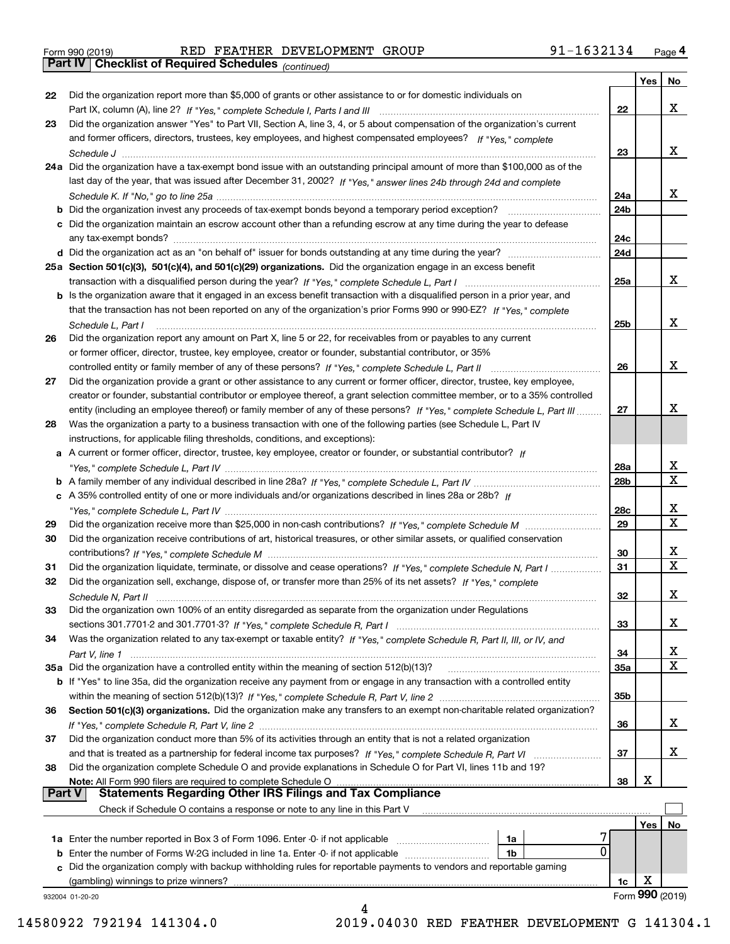Form 990 (2019) RED FEATHER DEVELOPMENT GROUP 91-1632134 <sub>Page</sub> 4<br>**Part IV | Checklist of Required Schedules** <sub>(continued)</sub>

*(continued)*

| Did the organization report more than \$5,000 of grants or other assistance to or for domestic individuals on<br>22<br>x<br>22<br>Did the organization answer "Yes" to Part VII, Section A, line 3, 4, or 5 about compensation of the organization's current<br>23<br>and former officers, directors, trustees, key employees, and highest compensated employees? If "Yes," complete<br>x<br>23<br>24a Did the organization have a tax-exempt bond issue with an outstanding principal amount of more than \$100,000 as of the<br>last day of the year, that was issued after December 31, 2002? If "Yes," answer lines 24b through 24d and complete<br>x<br>24a<br>b Did the organization invest any proceeds of tax-exempt bonds beyond a temporary period exception?<br>24b<br>c Did the organization maintain an escrow account other than a refunding escrow at any time during the year to defease<br>24c<br>any tax-exempt bonds?<br>24d<br>25a Section 501(c)(3), 501(c)(4), and 501(c)(29) organizations. Did the organization engage in an excess benefit<br>x<br>25a<br>b Is the organization aware that it engaged in an excess benefit transaction with a disqualified person in a prior year, and<br>that the transaction has not been reported on any of the organization's prior Forms 990 or 990-EZ? If "Yes," complete<br>x<br>25b<br>Schedule L, Part I<br>Did the organization report any amount on Part X, line 5 or 22, for receivables from or payables to any current<br>26<br>or former officer, director, trustee, key employee, creator or founder, substantial contributor, or 35%<br>x<br>26<br>Did the organization provide a grant or other assistance to any current or former officer, director, trustee, key employee,<br>27<br>creator or founder, substantial contributor or employee thereof, a grant selection committee member, or to a 35% controlled<br>x<br>entity (including an employee thereof) or family member of any of these persons? If "Yes," complete Schedule L, Part III<br>27<br>Was the organization a party to a business transaction with one of the following parties (see Schedule L, Part IV<br>28<br>instructions, for applicable filing thresholds, conditions, and exceptions):<br>a A current or former officer, director, trustee, key employee, creator or founder, or substantial contributor? If<br>x<br>28a<br>$\mathbf X$<br>28 <sub>b</sub><br>c A 35% controlled entity of one or more individuals and/or organizations described in lines 28a or 28b? If<br>x<br>28c<br>$\mathbf X$<br>29<br>29<br>Did the organization receive contributions of art, historical treasures, or other similar assets, or qualified conservation<br>30<br>x<br>30<br>$\mathbf x$<br>31<br>Did the organization liquidate, terminate, or dissolve and cease operations? If "Yes," complete Schedule N, Part I<br>31<br>Did the organization sell, exchange, dispose of, or transfer more than 25% of its net assets? If "Yes," complete<br>32<br>х<br>32<br>Did the organization own 100% of an entity disregarded as separate from the organization under Regulations<br>33<br>х<br>33<br>Was the organization related to any tax-exempt or taxable entity? If "Yes," complete Schedule R, Part II, III, or IV, and<br>34<br>X<br>34<br>х<br>35a Did the organization have a controlled entity within the meaning of section 512(b)(13)?<br>35a<br>b If "Yes" to line 35a, did the organization receive any payment from or engage in any transaction with a controlled entity<br>35 <sub>b</sub><br>Section 501(c)(3) organizations. Did the organization make any transfers to an exempt non-charitable related organization?<br>36<br>x<br>36<br>Did the organization conduct more than 5% of its activities through an entity that is not a related organization<br>37<br>x<br>37<br>and that is treated as a partnership for federal income tax purposes? If "Yes," complete Schedule R, Part VI<br>Did the organization complete Schedule O and provide explanations in Schedule O for Part VI, lines 11b and 19?<br>38<br>X<br>Note: All Form 990 filers are required to complete Schedule O<br>38<br>∣ Part V<br><b>Statements Regarding Other IRS Filings and Tax Compliance</b><br>Check if Schedule O contains a response or note to any line in this Part V<br>Yes<br>No<br>1a<br>0<br><b>b</b> Enter the number of Forms W-2G included in line 1a. Enter -0- if not applicable <i>manumeraness</i><br>1b<br>Did the organization comply with backup withholding rules for reportable payments to vendors and reportable gaming<br>c<br>х<br>(gambling) winnings to prize winners?<br>1c<br>Form 990 (2019)<br>932004 01-20-20 |   | Yes | No |
|----------------------------------------------------------------------------------------------------------------------------------------------------------------------------------------------------------------------------------------------------------------------------------------------------------------------------------------------------------------------------------------------------------------------------------------------------------------------------------------------------------------------------------------------------------------------------------------------------------------------------------------------------------------------------------------------------------------------------------------------------------------------------------------------------------------------------------------------------------------------------------------------------------------------------------------------------------------------------------------------------------------------------------------------------------------------------------------------------------------------------------------------------------------------------------------------------------------------------------------------------------------------------------------------------------------------------------------------------------------------------------------------------------------------------------------------------------------------------------------------------------------------------------------------------------------------------------------------------------------------------------------------------------------------------------------------------------------------------------------------------------------------------------------------------------------------------------------------------------------------------------------------------------------------------------------------------------------------------------------------------------------------------------------------------------------------------------------------------------------------------------------------------------------------------------------------------------------------------------------------------------------------------------------------------------------------------------------------------------------------------------------------------------------------------------------------------------------------------------------------------------------------------------------------------------------------------------------------------------------------------------------------------------------------------------------------------------------------------------------------------------------------------------------------------------------------------------------------------------------------------------------------------------------------------------------------------------------------------------------------------------------------------------------------------------------------------------------------------------------------------------------------------------------------------------------------------------------------------------------------------------------------------------------------------------------------------------------------------------------------------------------------------------------------------------------------------------------------------------------------------------------------------------------------------------------------------------------------------------------------------------------------------------------------------------------------------------------------------------------------------------------------------------------------------------------------------------------------------------------------------------------------------------------------------------------------------------------------------------------------------------------------------------------------------------------------------------------------------------------------------------------------------------------------------------------------------------------------------------------------------------------------------------------------------------------------------------------------------------------------------------------------------------------------------------------------------------------------------------------------------------------------------------------------------------------------------------------------------------------------------------------------------------------------------------------------------|---|-----|----|
|                                                                                                                                                                                                                                                                                                                                                                                                                                                                                                                                                                                                                                                                                                                                                                                                                                                                                                                                                                                                                                                                                                                                                                                                                                                                                                                                                                                                                                                                                                                                                                                                                                                                                                                                                                                                                                                                                                                                                                                                                                                                                                                                                                                                                                                                                                                                                                                                                                                                                                                                                                                                                                                                                                                                                                                                                                                                                                                                                                                                                                                                                                                                                                                                                                                                                                                                                                                                                                                                                                                                                                                                                                                                                                                                                                                                                                                                                                                                                                                                                                                                                                                                                                                                                                                                                                                                                                                                                                                                                                                                                                                                                                                                                                    |   |     |    |
|                                                                                                                                                                                                                                                                                                                                                                                                                                                                                                                                                                                                                                                                                                                                                                                                                                                                                                                                                                                                                                                                                                                                                                                                                                                                                                                                                                                                                                                                                                                                                                                                                                                                                                                                                                                                                                                                                                                                                                                                                                                                                                                                                                                                                                                                                                                                                                                                                                                                                                                                                                                                                                                                                                                                                                                                                                                                                                                                                                                                                                                                                                                                                                                                                                                                                                                                                                                                                                                                                                                                                                                                                                                                                                                                                                                                                                                                                                                                                                                                                                                                                                                                                                                                                                                                                                                                                                                                                                                                                                                                                                                                                                                                                                    |   |     |    |
|                                                                                                                                                                                                                                                                                                                                                                                                                                                                                                                                                                                                                                                                                                                                                                                                                                                                                                                                                                                                                                                                                                                                                                                                                                                                                                                                                                                                                                                                                                                                                                                                                                                                                                                                                                                                                                                                                                                                                                                                                                                                                                                                                                                                                                                                                                                                                                                                                                                                                                                                                                                                                                                                                                                                                                                                                                                                                                                                                                                                                                                                                                                                                                                                                                                                                                                                                                                                                                                                                                                                                                                                                                                                                                                                                                                                                                                                                                                                                                                                                                                                                                                                                                                                                                                                                                                                                                                                                                                                                                                                                                                                                                                                                                    |   |     |    |
|                                                                                                                                                                                                                                                                                                                                                                                                                                                                                                                                                                                                                                                                                                                                                                                                                                                                                                                                                                                                                                                                                                                                                                                                                                                                                                                                                                                                                                                                                                                                                                                                                                                                                                                                                                                                                                                                                                                                                                                                                                                                                                                                                                                                                                                                                                                                                                                                                                                                                                                                                                                                                                                                                                                                                                                                                                                                                                                                                                                                                                                                                                                                                                                                                                                                                                                                                                                                                                                                                                                                                                                                                                                                                                                                                                                                                                                                                                                                                                                                                                                                                                                                                                                                                                                                                                                                                                                                                                                                                                                                                                                                                                                                                                    |   |     |    |
|                                                                                                                                                                                                                                                                                                                                                                                                                                                                                                                                                                                                                                                                                                                                                                                                                                                                                                                                                                                                                                                                                                                                                                                                                                                                                                                                                                                                                                                                                                                                                                                                                                                                                                                                                                                                                                                                                                                                                                                                                                                                                                                                                                                                                                                                                                                                                                                                                                                                                                                                                                                                                                                                                                                                                                                                                                                                                                                                                                                                                                                                                                                                                                                                                                                                                                                                                                                                                                                                                                                                                                                                                                                                                                                                                                                                                                                                                                                                                                                                                                                                                                                                                                                                                                                                                                                                                                                                                                                                                                                                                                                                                                                                                                    |   |     |    |
|                                                                                                                                                                                                                                                                                                                                                                                                                                                                                                                                                                                                                                                                                                                                                                                                                                                                                                                                                                                                                                                                                                                                                                                                                                                                                                                                                                                                                                                                                                                                                                                                                                                                                                                                                                                                                                                                                                                                                                                                                                                                                                                                                                                                                                                                                                                                                                                                                                                                                                                                                                                                                                                                                                                                                                                                                                                                                                                                                                                                                                                                                                                                                                                                                                                                                                                                                                                                                                                                                                                                                                                                                                                                                                                                                                                                                                                                                                                                                                                                                                                                                                                                                                                                                                                                                                                                                                                                                                                                                                                                                                                                                                                                                                    |   |     |    |
|                                                                                                                                                                                                                                                                                                                                                                                                                                                                                                                                                                                                                                                                                                                                                                                                                                                                                                                                                                                                                                                                                                                                                                                                                                                                                                                                                                                                                                                                                                                                                                                                                                                                                                                                                                                                                                                                                                                                                                                                                                                                                                                                                                                                                                                                                                                                                                                                                                                                                                                                                                                                                                                                                                                                                                                                                                                                                                                                                                                                                                                                                                                                                                                                                                                                                                                                                                                                                                                                                                                                                                                                                                                                                                                                                                                                                                                                                                                                                                                                                                                                                                                                                                                                                                                                                                                                                                                                                                                                                                                                                                                                                                                                                                    |   |     |    |
|                                                                                                                                                                                                                                                                                                                                                                                                                                                                                                                                                                                                                                                                                                                                                                                                                                                                                                                                                                                                                                                                                                                                                                                                                                                                                                                                                                                                                                                                                                                                                                                                                                                                                                                                                                                                                                                                                                                                                                                                                                                                                                                                                                                                                                                                                                                                                                                                                                                                                                                                                                                                                                                                                                                                                                                                                                                                                                                                                                                                                                                                                                                                                                                                                                                                                                                                                                                                                                                                                                                                                                                                                                                                                                                                                                                                                                                                                                                                                                                                                                                                                                                                                                                                                                                                                                                                                                                                                                                                                                                                                                                                                                                                                                    |   |     |    |
|                                                                                                                                                                                                                                                                                                                                                                                                                                                                                                                                                                                                                                                                                                                                                                                                                                                                                                                                                                                                                                                                                                                                                                                                                                                                                                                                                                                                                                                                                                                                                                                                                                                                                                                                                                                                                                                                                                                                                                                                                                                                                                                                                                                                                                                                                                                                                                                                                                                                                                                                                                                                                                                                                                                                                                                                                                                                                                                                                                                                                                                                                                                                                                                                                                                                                                                                                                                                                                                                                                                                                                                                                                                                                                                                                                                                                                                                                                                                                                                                                                                                                                                                                                                                                                                                                                                                                                                                                                                                                                                                                                                                                                                                                                    |   |     |    |
|                                                                                                                                                                                                                                                                                                                                                                                                                                                                                                                                                                                                                                                                                                                                                                                                                                                                                                                                                                                                                                                                                                                                                                                                                                                                                                                                                                                                                                                                                                                                                                                                                                                                                                                                                                                                                                                                                                                                                                                                                                                                                                                                                                                                                                                                                                                                                                                                                                                                                                                                                                                                                                                                                                                                                                                                                                                                                                                                                                                                                                                                                                                                                                                                                                                                                                                                                                                                                                                                                                                                                                                                                                                                                                                                                                                                                                                                                                                                                                                                                                                                                                                                                                                                                                                                                                                                                                                                                                                                                                                                                                                                                                                                                                    |   |     |    |
|                                                                                                                                                                                                                                                                                                                                                                                                                                                                                                                                                                                                                                                                                                                                                                                                                                                                                                                                                                                                                                                                                                                                                                                                                                                                                                                                                                                                                                                                                                                                                                                                                                                                                                                                                                                                                                                                                                                                                                                                                                                                                                                                                                                                                                                                                                                                                                                                                                                                                                                                                                                                                                                                                                                                                                                                                                                                                                                                                                                                                                                                                                                                                                                                                                                                                                                                                                                                                                                                                                                                                                                                                                                                                                                                                                                                                                                                                                                                                                                                                                                                                                                                                                                                                                                                                                                                                                                                                                                                                                                                                                                                                                                                                                    |   |     |    |
|                                                                                                                                                                                                                                                                                                                                                                                                                                                                                                                                                                                                                                                                                                                                                                                                                                                                                                                                                                                                                                                                                                                                                                                                                                                                                                                                                                                                                                                                                                                                                                                                                                                                                                                                                                                                                                                                                                                                                                                                                                                                                                                                                                                                                                                                                                                                                                                                                                                                                                                                                                                                                                                                                                                                                                                                                                                                                                                                                                                                                                                                                                                                                                                                                                                                                                                                                                                                                                                                                                                                                                                                                                                                                                                                                                                                                                                                                                                                                                                                                                                                                                                                                                                                                                                                                                                                                                                                                                                                                                                                                                                                                                                                                                    |   |     |    |
|                                                                                                                                                                                                                                                                                                                                                                                                                                                                                                                                                                                                                                                                                                                                                                                                                                                                                                                                                                                                                                                                                                                                                                                                                                                                                                                                                                                                                                                                                                                                                                                                                                                                                                                                                                                                                                                                                                                                                                                                                                                                                                                                                                                                                                                                                                                                                                                                                                                                                                                                                                                                                                                                                                                                                                                                                                                                                                                                                                                                                                                                                                                                                                                                                                                                                                                                                                                                                                                                                                                                                                                                                                                                                                                                                                                                                                                                                                                                                                                                                                                                                                                                                                                                                                                                                                                                                                                                                                                                                                                                                                                                                                                                                                    |   |     |    |
|                                                                                                                                                                                                                                                                                                                                                                                                                                                                                                                                                                                                                                                                                                                                                                                                                                                                                                                                                                                                                                                                                                                                                                                                                                                                                                                                                                                                                                                                                                                                                                                                                                                                                                                                                                                                                                                                                                                                                                                                                                                                                                                                                                                                                                                                                                                                                                                                                                                                                                                                                                                                                                                                                                                                                                                                                                                                                                                                                                                                                                                                                                                                                                                                                                                                                                                                                                                                                                                                                                                                                                                                                                                                                                                                                                                                                                                                                                                                                                                                                                                                                                                                                                                                                                                                                                                                                                                                                                                                                                                                                                                                                                                                                                    |   |     |    |
|                                                                                                                                                                                                                                                                                                                                                                                                                                                                                                                                                                                                                                                                                                                                                                                                                                                                                                                                                                                                                                                                                                                                                                                                                                                                                                                                                                                                                                                                                                                                                                                                                                                                                                                                                                                                                                                                                                                                                                                                                                                                                                                                                                                                                                                                                                                                                                                                                                                                                                                                                                                                                                                                                                                                                                                                                                                                                                                                                                                                                                                                                                                                                                                                                                                                                                                                                                                                                                                                                                                                                                                                                                                                                                                                                                                                                                                                                                                                                                                                                                                                                                                                                                                                                                                                                                                                                                                                                                                                                                                                                                                                                                                                                                    |   |     |    |
|                                                                                                                                                                                                                                                                                                                                                                                                                                                                                                                                                                                                                                                                                                                                                                                                                                                                                                                                                                                                                                                                                                                                                                                                                                                                                                                                                                                                                                                                                                                                                                                                                                                                                                                                                                                                                                                                                                                                                                                                                                                                                                                                                                                                                                                                                                                                                                                                                                                                                                                                                                                                                                                                                                                                                                                                                                                                                                                                                                                                                                                                                                                                                                                                                                                                                                                                                                                                                                                                                                                                                                                                                                                                                                                                                                                                                                                                                                                                                                                                                                                                                                                                                                                                                                                                                                                                                                                                                                                                                                                                                                                                                                                                                                    |   |     |    |
|                                                                                                                                                                                                                                                                                                                                                                                                                                                                                                                                                                                                                                                                                                                                                                                                                                                                                                                                                                                                                                                                                                                                                                                                                                                                                                                                                                                                                                                                                                                                                                                                                                                                                                                                                                                                                                                                                                                                                                                                                                                                                                                                                                                                                                                                                                                                                                                                                                                                                                                                                                                                                                                                                                                                                                                                                                                                                                                                                                                                                                                                                                                                                                                                                                                                                                                                                                                                                                                                                                                                                                                                                                                                                                                                                                                                                                                                                                                                                                                                                                                                                                                                                                                                                                                                                                                                                                                                                                                                                                                                                                                                                                                                                                    |   |     |    |
|                                                                                                                                                                                                                                                                                                                                                                                                                                                                                                                                                                                                                                                                                                                                                                                                                                                                                                                                                                                                                                                                                                                                                                                                                                                                                                                                                                                                                                                                                                                                                                                                                                                                                                                                                                                                                                                                                                                                                                                                                                                                                                                                                                                                                                                                                                                                                                                                                                                                                                                                                                                                                                                                                                                                                                                                                                                                                                                                                                                                                                                                                                                                                                                                                                                                                                                                                                                                                                                                                                                                                                                                                                                                                                                                                                                                                                                                                                                                                                                                                                                                                                                                                                                                                                                                                                                                                                                                                                                                                                                                                                                                                                                                                                    |   |     |    |
|                                                                                                                                                                                                                                                                                                                                                                                                                                                                                                                                                                                                                                                                                                                                                                                                                                                                                                                                                                                                                                                                                                                                                                                                                                                                                                                                                                                                                                                                                                                                                                                                                                                                                                                                                                                                                                                                                                                                                                                                                                                                                                                                                                                                                                                                                                                                                                                                                                                                                                                                                                                                                                                                                                                                                                                                                                                                                                                                                                                                                                                                                                                                                                                                                                                                                                                                                                                                                                                                                                                                                                                                                                                                                                                                                                                                                                                                                                                                                                                                                                                                                                                                                                                                                                                                                                                                                                                                                                                                                                                                                                                                                                                                                                    |   |     |    |
|                                                                                                                                                                                                                                                                                                                                                                                                                                                                                                                                                                                                                                                                                                                                                                                                                                                                                                                                                                                                                                                                                                                                                                                                                                                                                                                                                                                                                                                                                                                                                                                                                                                                                                                                                                                                                                                                                                                                                                                                                                                                                                                                                                                                                                                                                                                                                                                                                                                                                                                                                                                                                                                                                                                                                                                                                                                                                                                                                                                                                                                                                                                                                                                                                                                                                                                                                                                                                                                                                                                                                                                                                                                                                                                                                                                                                                                                                                                                                                                                                                                                                                                                                                                                                                                                                                                                                                                                                                                                                                                                                                                                                                                                                                    |   |     |    |
|                                                                                                                                                                                                                                                                                                                                                                                                                                                                                                                                                                                                                                                                                                                                                                                                                                                                                                                                                                                                                                                                                                                                                                                                                                                                                                                                                                                                                                                                                                                                                                                                                                                                                                                                                                                                                                                                                                                                                                                                                                                                                                                                                                                                                                                                                                                                                                                                                                                                                                                                                                                                                                                                                                                                                                                                                                                                                                                                                                                                                                                                                                                                                                                                                                                                                                                                                                                                                                                                                                                                                                                                                                                                                                                                                                                                                                                                                                                                                                                                                                                                                                                                                                                                                                                                                                                                                                                                                                                                                                                                                                                                                                                                                                    |   |     |    |
|                                                                                                                                                                                                                                                                                                                                                                                                                                                                                                                                                                                                                                                                                                                                                                                                                                                                                                                                                                                                                                                                                                                                                                                                                                                                                                                                                                                                                                                                                                                                                                                                                                                                                                                                                                                                                                                                                                                                                                                                                                                                                                                                                                                                                                                                                                                                                                                                                                                                                                                                                                                                                                                                                                                                                                                                                                                                                                                                                                                                                                                                                                                                                                                                                                                                                                                                                                                                                                                                                                                                                                                                                                                                                                                                                                                                                                                                                                                                                                                                                                                                                                                                                                                                                                                                                                                                                                                                                                                                                                                                                                                                                                                                                                    |   |     |    |
|                                                                                                                                                                                                                                                                                                                                                                                                                                                                                                                                                                                                                                                                                                                                                                                                                                                                                                                                                                                                                                                                                                                                                                                                                                                                                                                                                                                                                                                                                                                                                                                                                                                                                                                                                                                                                                                                                                                                                                                                                                                                                                                                                                                                                                                                                                                                                                                                                                                                                                                                                                                                                                                                                                                                                                                                                                                                                                                                                                                                                                                                                                                                                                                                                                                                                                                                                                                                                                                                                                                                                                                                                                                                                                                                                                                                                                                                                                                                                                                                                                                                                                                                                                                                                                                                                                                                                                                                                                                                                                                                                                                                                                                                                                    |   |     |    |
|                                                                                                                                                                                                                                                                                                                                                                                                                                                                                                                                                                                                                                                                                                                                                                                                                                                                                                                                                                                                                                                                                                                                                                                                                                                                                                                                                                                                                                                                                                                                                                                                                                                                                                                                                                                                                                                                                                                                                                                                                                                                                                                                                                                                                                                                                                                                                                                                                                                                                                                                                                                                                                                                                                                                                                                                                                                                                                                                                                                                                                                                                                                                                                                                                                                                                                                                                                                                                                                                                                                                                                                                                                                                                                                                                                                                                                                                                                                                                                                                                                                                                                                                                                                                                                                                                                                                                                                                                                                                                                                                                                                                                                                                                                    |   |     |    |
|                                                                                                                                                                                                                                                                                                                                                                                                                                                                                                                                                                                                                                                                                                                                                                                                                                                                                                                                                                                                                                                                                                                                                                                                                                                                                                                                                                                                                                                                                                                                                                                                                                                                                                                                                                                                                                                                                                                                                                                                                                                                                                                                                                                                                                                                                                                                                                                                                                                                                                                                                                                                                                                                                                                                                                                                                                                                                                                                                                                                                                                                                                                                                                                                                                                                                                                                                                                                                                                                                                                                                                                                                                                                                                                                                                                                                                                                                                                                                                                                                                                                                                                                                                                                                                                                                                                                                                                                                                                                                                                                                                                                                                                                                                    |   |     |    |
|                                                                                                                                                                                                                                                                                                                                                                                                                                                                                                                                                                                                                                                                                                                                                                                                                                                                                                                                                                                                                                                                                                                                                                                                                                                                                                                                                                                                                                                                                                                                                                                                                                                                                                                                                                                                                                                                                                                                                                                                                                                                                                                                                                                                                                                                                                                                                                                                                                                                                                                                                                                                                                                                                                                                                                                                                                                                                                                                                                                                                                                                                                                                                                                                                                                                                                                                                                                                                                                                                                                                                                                                                                                                                                                                                                                                                                                                                                                                                                                                                                                                                                                                                                                                                                                                                                                                                                                                                                                                                                                                                                                                                                                                                                    |   |     |    |
|                                                                                                                                                                                                                                                                                                                                                                                                                                                                                                                                                                                                                                                                                                                                                                                                                                                                                                                                                                                                                                                                                                                                                                                                                                                                                                                                                                                                                                                                                                                                                                                                                                                                                                                                                                                                                                                                                                                                                                                                                                                                                                                                                                                                                                                                                                                                                                                                                                                                                                                                                                                                                                                                                                                                                                                                                                                                                                                                                                                                                                                                                                                                                                                                                                                                                                                                                                                                                                                                                                                                                                                                                                                                                                                                                                                                                                                                                                                                                                                                                                                                                                                                                                                                                                                                                                                                                                                                                                                                                                                                                                                                                                                                                                    |   |     |    |
|                                                                                                                                                                                                                                                                                                                                                                                                                                                                                                                                                                                                                                                                                                                                                                                                                                                                                                                                                                                                                                                                                                                                                                                                                                                                                                                                                                                                                                                                                                                                                                                                                                                                                                                                                                                                                                                                                                                                                                                                                                                                                                                                                                                                                                                                                                                                                                                                                                                                                                                                                                                                                                                                                                                                                                                                                                                                                                                                                                                                                                                                                                                                                                                                                                                                                                                                                                                                                                                                                                                                                                                                                                                                                                                                                                                                                                                                                                                                                                                                                                                                                                                                                                                                                                                                                                                                                                                                                                                                                                                                                                                                                                                                                                    |   |     |    |
|                                                                                                                                                                                                                                                                                                                                                                                                                                                                                                                                                                                                                                                                                                                                                                                                                                                                                                                                                                                                                                                                                                                                                                                                                                                                                                                                                                                                                                                                                                                                                                                                                                                                                                                                                                                                                                                                                                                                                                                                                                                                                                                                                                                                                                                                                                                                                                                                                                                                                                                                                                                                                                                                                                                                                                                                                                                                                                                                                                                                                                                                                                                                                                                                                                                                                                                                                                                                                                                                                                                                                                                                                                                                                                                                                                                                                                                                                                                                                                                                                                                                                                                                                                                                                                                                                                                                                                                                                                                                                                                                                                                                                                                                                                    |   |     |    |
|                                                                                                                                                                                                                                                                                                                                                                                                                                                                                                                                                                                                                                                                                                                                                                                                                                                                                                                                                                                                                                                                                                                                                                                                                                                                                                                                                                                                                                                                                                                                                                                                                                                                                                                                                                                                                                                                                                                                                                                                                                                                                                                                                                                                                                                                                                                                                                                                                                                                                                                                                                                                                                                                                                                                                                                                                                                                                                                                                                                                                                                                                                                                                                                                                                                                                                                                                                                                                                                                                                                                                                                                                                                                                                                                                                                                                                                                                                                                                                                                                                                                                                                                                                                                                                                                                                                                                                                                                                                                                                                                                                                                                                                                                                    |   |     |    |
|                                                                                                                                                                                                                                                                                                                                                                                                                                                                                                                                                                                                                                                                                                                                                                                                                                                                                                                                                                                                                                                                                                                                                                                                                                                                                                                                                                                                                                                                                                                                                                                                                                                                                                                                                                                                                                                                                                                                                                                                                                                                                                                                                                                                                                                                                                                                                                                                                                                                                                                                                                                                                                                                                                                                                                                                                                                                                                                                                                                                                                                                                                                                                                                                                                                                                                                                                                                                                                                                                                                                                                                                                                                                                                                                                                                                                                                                                                                                                                                                                                                                                                                                                                                                                                                                                                                                                                                                                                                                                                                                                                                                                                                                                                    |   |     |    |
|                                                                                                                                                                                                                                                                                                                                                                                                                                                                                                                                                                                                                                                                                                                                                                                                                                                                                                                                                                                                                                                                                                                                                                                                                                                                                                                                                                                                                                                                                                                                                                                                                                                                                                                                                                                                                                                                                                                                                                                                                                                                                                                                                                                                                                                                                                                                                                                                                                                                                                                                                                                                                                                                                                                                                                                                                                                                                                                                                                                                                                                                                                                                                                                                                                                                                                                                                                                                                                                                                                                                                                                                                                                                                                                                                                                                                                                                                                                                                                                                                                                                                                                                                                                                                                                                                                                                                                                                                                                                                                                                                                                                                                                                                                    |   |     |    |
|                                                                                                                                                                                                                                                                                                                                                                                                                                                                                                                                                                                                                                                                                                                                                                                                                                                                                                                                                                                                                                                                                                                                                                                                                                                                                                                                                                                                                                                                                                                                                                                                                                                                                                                                                                                                                                                                                                                                                                                                                                                                                                                                                                                                                                                                                                                                                                                                                                                                                                                                                                                                                                                                                                                                                                                                                                                                                                                                                                                                                                                                                                                                                                                                                                                                                                                                                                                                                                                                                                                                                                                                                                                                                                                                                                                                                                                                                                                                                                                                                                                                                                                                                                                                                                                                                                                                                                                                                                                                                                                                                                                                                                                                                                    |   |     |    |
|                                                                                                                                                                                                                                                                                                                                                                                                                                                                                                                                                                                                                                                                                                                                                                                                                                                                                                                                                                                                                                                                                                                                                                                                                                                                                                                                                                                                                                                                                                                                                                                                                                                                                                                                                                                                                                                                                                                                                                                                                                                                                                                                                                                                                                                                                                                                                                                                                                                                                                                                                                                                                                                                                                                                                                                                                                                                                                                                                                                                                                                                                                                                                                                                                                                                                                                                                                                                                                                                                                                                                                                                                                                                                                                                                                                                                                                                                                                                                                                                                                                                                                                                                                                                                                                                                                                                                                                                                                                                                                                                                                                                                                                                                                    |   |     |    |
|                                                                                                                                                                                                                                                                                                                                                                                                                                                                                                                                                                                                                                                                                                                                                                                                                                                                                                                                                                                                                                                                                                                                                                                                                                                                                                                                                                                                                                                                                                                                                                                                                                                                                                                                                                                                                                                                                                                                                                                                                                                                                                                                                                                                                                                                                                                                                                                                                                                                                                                                                                                                                                                                                                                                                                                                                                                                                                                                                                                                                                                                                                                                                                                                                                                                                                                                                                                                                                                                                                                                                                                                                                                                                                                                                                                                                                                                                                                                                                                                                                                                                                                                                                                                                                                                                                                                                                                                                                                                                                                                                                                                                                                                                                    |   |     |    |
|                                                                                                                                                                                                                                                                                                                                                                                                                                                                                                                                                                                                                                                                                                                                                                                                                                                                                                                                                                                                                                                                                                                                                                                                                                                                                                                                                                                                                                                                                                                                                                                                                                                                                                                                                                                                                                                                                                                                                                                                                                                                                                                                                                                                                                                                                                                                                                                                                                                                                                                                                                                                                                                                                                                                                                                                                                                                                                                                                                                                                                                                                                                                                                                                                                                                                                                                                                                                                                                                                                                                                                                                                                                                                                                                                                                                                                                                                                                                                                                                                                                                                                                                                                                                                                                                                                                                                                                                                                                                                                                                                                                                                                                                                                    |   |     |    |
|                                                                                                                                                                                                                                                                                                                                                                                                                                                                                                                                                                                                                                                                                                                                                                                                                                                                                                                                                                                                                                                                                                                                                                                                                                                                                                                                                                                                                                                                                                                                                                                                                                                                                                                                                                                                                                                                                                                                                                                                                                                                                                                                                                                                                                                                                                                                                                                                                                                                                                                                                                                                                                                                                                                                                                                                                                                                                                                                                                                                                                                                                                                                                                                                                                                                                                                                                                                                                                                                                                                                                                                                                                                                                                                                                                                                                                                                                                                                                                                                                                                                                                                                                                                                                                                                                                                                                                                                                                                                                                                                                                                                                                                                                                    |   |     |    |
|                                                                                                                                                                                                                                                                                                                                                                                                                                                                                                                                                                                                                                                                                                                                                                                                                                                                                                                                                                                                                                                                                                                                                                                                                                                                                                                                                                                                                                                                                                                                                                                                                                                                                                                                                                                                                                                                                                                                                                                                                                                                                                                                                                                                                                                                                                                                                                                                                                                                                                                                                                                                                                                                                                                                                                                                                                                                                                                                                                                                                                                                                                                                                                                                                                                                                                                                                                                                                                                                                                                                                                                                                                                                                                                                                                                                                                                                                                                                                                                                                                                                                                                                                                                                                                                                                                                                                                                                                                                                                                                                                                                                                                                                                                    |   |     |    |
|                                                                                                                                                                                                                                                                                                                                                                                                                                                                                                                                                                                                                                                                                                                                                                                                                                                                                                                                                                                                                                                                                                                                                                                                                                                                                                                                                                                                                                                                                                                                                                                                                                                                                                                                                                                                                                                                                                                                                                                                                                                                                                                                                                                                                                                                                                                                                                                                                                                                                                                                                                                                                                                                                                                                                                                                                                                                                                                                                                                                                                                                                                                                                                                                                                                                                                                                                                                                                                                                                                                                                                                                                                                                                                                                                                                                                                                                                                                                                                                                                                                                                                                                                                                                                                                                                                                                                                                                                                                                                                                                                                                                                                                                                                    |   |     |    |
|                                                                                                                                                                                                                                                                                                                                                                                                                                                                                                                                                                                                                                                                                                                                                                                                                                                                                                                                                                                                                                                                                                                                                                                                                                                                                                                                                                                                                                                                                                                                                                                                                                                                                                                                                                                                                                                                                                                                                                                                                                                                                                                                                                                                                                                                                                                                                                                                                                                                                                                                                                                                                                                                                                                                                                                                                                                                                                                                                                                                                                                                                                                                                                                                                                                                                                                                                                                                                                                                                                                                                                                                                                                                                                                                                                                                                                                                                                                                                                                                                                                                                                                                                                                                                                                                                                                                                                                                                                                                                                                                                                                                                                                                                                    |   |     |    |
|                                                                                                                                                                                                                                                                                                                                                                                                                                                                                                                                                                                                                                                                                                                                                                                                                                                                                                                                                                                                                                                                                                                                                                                                                                                                                                                                                                                                                                                                                                                                                                                                                                                                                                                                                                                                                                                                                                                                                                                                                                                                                                                                                                                                                                                                                                                                                                                                                                                                                                                                                                                                                                                                                                                                                                                                                                                                                                                                                                                                                                                                                                                                                                                                                                                                                                                                                                                                                                                                                                                                                                                                                                                                                                                                                                                                                                                                                                                                                                                                                                                                                                                                                                                                                                                                                                                                                                                                                                                                                                                                                                                                                                                                                                    |   |     |    |
|                                                                                                                                                                                                                                                                                                                                                                                                                                                                                                                                                                                                                                                                                                                                                                                                                                                                                                                                                                                                                                                                                                                                                                                                                                                                                                                                                                                                                                                                                                                                                                                                                                                                                                                                                                                                                                                                                                                                                                                                                                                                                                                                                                                                                                                                                                                                                                                                                                                                                                                                                                                                                                                                                                                                                                                                                                                                                                                                                                                                                                                                                                                                                                                                                                                                                                                                                                                                                                                                                                                                                                                                                                                                                                                                                                                                                                                                                                                                                                                                                                                                                                                                                                                                                                                                                                                                                                                                                                                                                                                                                                                                                                                                                                    |   |     |    |
|                                                                                                                                                                                                                                                                                                                                                                                                                                                                                                                                                                                                                                                                                                                                                                                                                                                                                                                                                                                                                                                                                                                                                                                                                                                                                                                                                                                                                                                                                                                                                                                                                                                                                                                                                                                                                                                                                                                                                                                                                                                                                                                                                                                                                                                                                                                                                                                                                                                                                                                                                                                                                                                                                                                                                                                                                                                                                                                                                                                                                                                                                                                                                                                                                                                                                                                                                                                                                                                                                                                                                                                                                                                                                                                                                                                                                                                                                                                                                                                                                                                                                                                                                                                                                                                                                                                                                                                                                                                                                                                                                                                                                                                                                                    |   |     |    |
|                                                                                                                                                                                                                                                                                                                                                                                                                                                                                                                                                                                                                                                                                                                                                                                                                                                                                                                                                                                                                                                                                                                                                                                                                                                                                                                                                                                                                                                                                                                                                                                                                                                                                                                                                                                                                                                                                                                                                                                                                                                                                                                                                                                                                                                                                                                                                                                                                                                                                                                                                                                                                                                                                                                                                                                                                                                                                                                                                                                                                                                                                                                                                                                                                                                                                                                                                                                                                                                                                                                                                                                                                                                                                                                                                                                                                                                                                                                                                                                                                                                                                                                                                                                                                                                                                                                                                                                                                                                                                                                                                                                                                                                                                                    |   |     |    |
|                                                                                                                                                                                                                                                                                                                                                                                                                                                                                                                                                                                                                                                                                                                                                                                                                                                                                                                                                                                                                                                                                                                                                                                                                                                                                                                                                                                                                                                                                                                                                                                                                                                                                                                                                                                                                                                                                                                                                                                                                                                                                                                                                                                                                                                                                                                                                                                                                                                                                                                                                                                                                                                                                                                                                                                                                                                                                                                                                                                                                                                                                                                                                                                                                                                                                                                                                                                                                                                                                                                                                                                                                                                                                                                                                                                                                                                                                                                                                                                                                                                                                                                                                                                                                                                                                                                                                                                                                                                                                                                                                                                                                                                                                                    |   |     |    |
|                                                                                                                                                                                                                                                                                                                                                                                                                                                                                                                                                                                                                                                                                                                                                                                                                                                                                                                                                                                                                                                                                                                                                                                                                                                                                                                                                                                                                                                                                                                                                                                                                                                                                                                                                                                                                                                                                                                                                                                                                                                                                                                                                                                                                                                                                                                                                                                                                                                                                                                                                                                                                                                                                                                                                                                                                                                                                                                                                                                                                                                                                                                                                                                                                                                                                                                                                                                                                                                                                                                                                                                                                                                                                                                                                                                                                                                                                                                                                                                                                                                                                                                                                                                                                                                                                                                                                                                                                                                                                                                                                                                                                                                                                                    |   |     |    |
|                                                                                                                                                                                                                                                                                                                                                                                                                                                                                                                                                                                                                                                                                                                                                                                                                                                                                                                                                                                                                                                                                                                                                                                                                                                                                                                                                                                                                                                                                                                                                                                                                                                                                                                                                                                                                                                                                                                                                                                                                                                                                                                                                                                                                                                                                                                                                                                                                                                                                                                                                                                                                                                                                                                                                                                                                                                                                                                                                                                                                                                                                                                                                                                                                                                                                                                                                                                                                                                                                                                                                                                                                                                                                                                                                                                                                                                                                                                                                                                                                                                                                                                                                                                                                                                                                                                                                                                                                                                                                                                                                                                                                                                                                                    |   |     |    |
|                                                                                                                                                                                                                                                                                                                                                                                                                                                                                                                                                                                                                                                                                                                                                                                                                                                                                                                                                                                                                                                                                                                                                                                                                                                                                                                                                                                                                                                                                                                                                                                                                                                                                                                                                                                                                                                                                                                                                                                                                                                                                                                                                                                                                                                                                                                                                                                                                                                                                                                                                                                                                                                                                                                                                                                                                                                                                                                                                                                                                                                                                                                                                                                                                                                                                                                                                                                                                                                                                                                                                                                                                                                                                                                                                                                                                                                                                                                                                                                                                                                                                                                                                                                                                                                                                                                                                                                                                                                                                                                                                                                                                                                                                                    |   |     |    |
|                                                                                                                                                                                                                                                                                                                                                                                                                                                                                                                                                                                                                                                                                                                                                                                                                                                                                                                                                                                                                                                                                                                                                                                                                                                                                                                                                                                                                                                                                                                                                                                                                                                                                                                                                                                                                                                                                                                                                                                                                                                                                                                                                                                                                                                                                                                                                                                                                                                                                                                                                                                                                                                                                                                                                                                                                                                                                                                                                                                                                                                                                                                                                                                                                                                                                                                                                                                                                                                                                                                                                                                                                                                                                                                                                                                                                                                                                                                                                                                                                                                                                                                                                                                                                                                                                                                                                                                                                                                                                                                                                                                                                                                                                                    |   |     |    |
|                                                                                                                                                                                                                                                                                                                                                                                                                                                                                                                                                                                                                                                                                                                                                                                                                                                                                                                                                                                                                                                                                                                                                                                                                                                                                                                                                                                                                                                                                                                                                                                                                                                                                                                                                                                                                                                                                                                                                                                                                                                                                                                                                                                                                                                                                                                                                                                                                                                                                                                                                                                                                                                                                                                                                                                                                                                                                                                                                                                                                                                                                                                                                                                                                                                                                                                                                                                                                                                                                                                                                                                                                                                                                                                                                                                                                                                                                                                                                                                                                                                                                                                                                                                                                                                                                                                                                                                                                                                                                                                                                                                                                                                                                                    |   |     |    |
|                                                                                                                                                                                                                                                                                                                                                                                                                                                                                                                                                                                                                                                                                                                                                                                                                                                                                                                                                                                                                                                                                                                                                                                                                                                                                                                                                                                                                                                                                                                                                                                                                                                                                                                                                                                                                                                                                                                                                                                                                                                                                                                                                                                                                                                                                                                                                                                                                                                                                                                                                                                                                                                                                                                                                                                                                                                                                                                                                                                                                                                                                                                                                                                                                                                                                                                                                                                                                                                                                                                                                                                                                                                                                                                                                                                                                                                                                                                                                                                                                                                                                                                                                                                                                                                                                                                                                                                                                                                                                                                                                                                                                                                                                                    |   |     |    |
|                                                                                                                                                                                                                                                                                                                                                                                                                                                                                                                                                                                                                                                                                                                                                                                                                                                                                                                                                                                                                                                                                                                                                                                                                                                                                                                                                                                                                                                                                                                                                                                                                                                                                                                                                                                                                                                                                                                                                                                                                                                                                                                                                                                                                                                                                                                                                                                                                                                                                                                                                                                                                                                                                                                                                                                                                                                                                                                                                                                                                                                                                                                                                                                                                                                                                                                                                                                                                                                                                                                                                                                                                                                                                                                                                                                                                                                                                                                                                                                                                                                                                                                                                                                                                                                                                                                                                                                                                                                                                                                                                                                                                                                                                                    |   |     |    |
|                                                                                                                                                                                                                                                                                                                                                                                                                                                                                                                                                                                                                                                                                                                                                                                                                                                                                                                                                                                                                                                                                                                                                                                                                                                                                                                                                                                                                                                                                                                                                                                                                                                                                                                                                                                                                                                                                                                                                                                                                                                                                                                                                                                                                                                                                                                                                                                                                                                                                                                                                                                                                                                                                                                                                                                                                                                                                                                                                                                                                                                                                                                                                                                                                                                                                                                                                                                                                                                                                                                                                                                                                                                                                                                                                                                                                                                                                                                                                                                                                                                                                                                                                                                                                                                                                                                                                                                                                                                                                                                                                                                                                                                                                                    |   |     |    |
|                                                                                                                                                                                                                                                                                                                                                                                                                                                                                                                                                                                                                                                                                                                                                                                                                                                                                                                                                                                                                                                                                                                                                                                                                                                                                                                                                                                                                                                                                                                                                                                                                                                                                                                                                                                                                                                                                                                                                                                                                                                                                                                                                                                                                                                                                                                                                                                                                                                                                                                                                                                                                                                                                                                                                                                                                                                                                                                                                                                                                                                                                                                                                                                                                                                                                                                                                                                                                                                                                                                                                                                                                                                                                                                                                                                                                                                                                                                                                                                                                                                                                                                                                                                                                                                                                                                                                                                                                                                                                                                                                                                                                                                                                                    |   |     |    |
|                                                                                                                                                                                                                                                                                                                                                                                                                                                                                                                                                                                                                                                                                                                                                                                                                                                                                                                                                                                                                                                                                                                                                                                                                                                                                                                                                                                                                                                                                                                                                                                                                                                                                                                                                                                                                                                                                                                                                                                                                                                                                                                                                                                                                                                                                                                                                                                                                                                                                                                                                                                                                                                                                                                                                                                                                                                                                                                                                                                                                                                                                                                                                                                                                                                                                                                                                                                                                                                                                                                                                                                                                                                                                                                                                                                                                                                                                                                                                                                                                                                                                                                                                                                                                                                                                                                                                                                                                                                                                                                                                                                                                                                                                                    |   |     |    |
|                                                                                                                                                                                                                                                                                                                                                                                                                                                                                                                                                                                                                                                                                                                                                                                                                                                                                                                                                                                                                                                                                                                                                                                                                                                                                                                                                                                                                                                                                                                                                                                                                                                                                                                                                                                                                                                                                                                                                                                                                                                                                                                                                                                                                                                                                                                                                                                                                                                                                                                                                                                                                                                                                                                                                                                                                                                                                                                                                                                                                                                                                                                                                                                                                                                                                                                                                                                                                                                                                                                                                                                                                                                                                                                                                                                                                                                                                                                                                                                                                                                                                                                                                                                                                                                                                                                                                                                                                                                                                                                                                                                                                                                                                                    |   |     |    |
|                                                                                                                                                                                                                                                                                                                                                                                                                                                                                                                                                                                                                                                                                                                                                                                                                                                                                                                                                                                                                                                                                                                                                                                                                                                                                                                                                                                                                                                                                                                                                                                                                                                                                                                                                                                                                                                                                                                                                                                                                                                                                                                                                                                                                                                                                                                                                                                                                                                                                                                                                                                                                                                                                                                                                                                                                                                                                                                                                                                                                                                                                                                                                                                                                                                                                                                                                                                                                                                                                                                                                                                                                                                                                                                                                                                                                                                                                                                                                                                                                                                                                                                                                                                                                                                                                                                                                                                                                                                                                                                                                                                                                                                                                                    |   |     |    |
|                                                                                                                                                                                                                                                                                                                                                                                                                                                                                                                                                                                                                                                                                                                                                                                                                                                                                                                                                                                                                                                                                                                                                                                                                                                                                                                                                                                                                                                                                                                                                                                                                                                                                                                                                                                                                                                                                                                                                                                                                                                                                                                                                                                                                                                                                                                                                                                                                                                                                                                                                                                                                                                                                                                                                                                                                                                                                                                                                                                                                                                                                                                                                                                                                                                                                                                                                                                                                                                                                                                                                                                                                                                                                                                                                                                                                                                                                                                                                                                                                                                                                                                                                                                                                                                                                                                                                                                                                                                                                                                                                                                                                                                                                                    | 4 |     |    |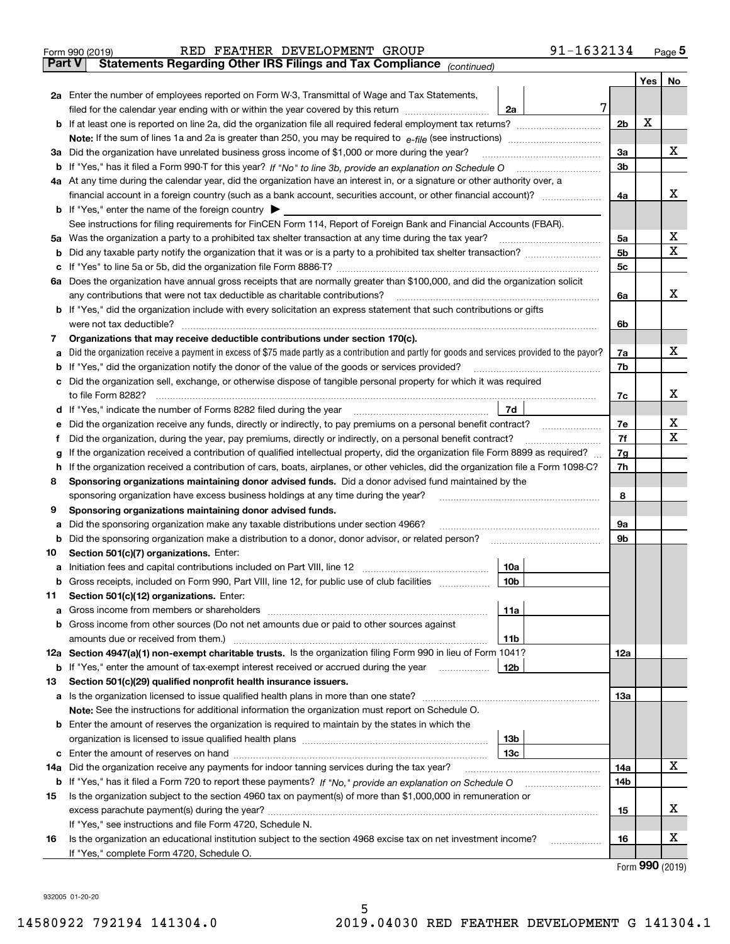|               | 91-1632134<br>RED FEATHER DEVELOPMENT GROUP<br>Form 990 (2019)                                                                                                                                                                       |                |     | $_{\text{Page}}$ 5          |
|---------------|--------------------------------------------------------------------------------------------------------------------------------------------------------------------------------------------------------------------------------------|----------------|-----|-----------------------------|
| <b>Part V</b> | Statements Regarding Other IRS Filings and Tax Compliance (continued)                                                                                                                                                                |                |     |                             |
|               |                                                                                                                                                                                                                                      |                | Yes | No                          |
|               | 2a Enter the number of employees reported on Form W-3, Transmittal of Wage and Tax Statements,                                                                                                                                       |                |     |                             |
|               | filed for the calendar year ending with or within the year covered by this return<br>2a                                                                                                                                              | 7              |     |                             |
|               |                                                                                                                                                                                                                                      | 2 <sub>b</sub> | X   |                             |
|               |                                                                                                                                                                                                                                      |                |     |                             |
| За            | Did the organization have unrelated business gross income of \$1,000 or more during the year?                                                                                                                                        | 3a             |     | x                           |
|               |                                                                                                                                                                                                                                      | 3 <sub>b</sub> |     |                             |
|               | 4a At any time during the calendar year, did the organization have an interest in, or a signature or other authority over, a                                                                                                         |                |     |                             |
|               |                                                                                                                                                                                                                                      | 4a             |     | х                           |
|               | <b>b</b> If "Yes," enter the name of the foreign country $\blacktriangleright$                                                                                                                                                       |                |     |                             |
|               | See instructions for filing requirements for FinCEN Form 114, Report of Foreign Bank and Financial Accounts (FBAR).                                                                                                                  |                |     |                             |
| 5a            | Was the organization a party to a prohibited tax shelter transaction at any time during the tax year?                                                                                                                                | 5а             |     | х                           |
| b             |                                                                                                                                                                                                                                      | 5 <sub>b</sub> |     | X                           |
| с             |                                                                                                                                                                                                                                      | 5c             |     |                             |
|               | 6a Does the organization have annual gross receipts that are normally greater than \$100,000, and did the organization solicit                                                                                                       |                |     |                             |
|               | any contributions that were not tax deductible as charitable contributions?                                                                                                                                                          | 6a             |     | x                           |
|               | <b>b</b> If "Yes," did the organization include with every solicitation an express statement that such contributions or gifts                                                                                                        |                |     |                             |
|               | were not tax deductible?                                                                                                                                                                                                             |                |     |                             |
|               |                                                                                                                                                                                                                                      | 6b             |     |                             |
| 7             | Organizations that may receive deductible contributions under section 170(c).                                                                                                                                                        |                |     | x                           |
| а             | Did the organization receive a payment in excess of \$75 made partly as a contribution and partly for goods and services provided to the payor?                                                                                      | 7a             |     |                             |
| b             | If "Yes," did the organization notify the donor of the value of the goods or services provided?                                                                                                                                      | 7b             |     |                             |
| с             | Did the organization sell, exchange, or otherwise dispose of tangible personal property for which it was required                                                                                                                    |                |     | х                           |
|               |                                                                                                                                                                                                                                      | 7c             |     |                             |
|               | 7d<br>d If "Yes," indicate the number of Forms 8282 filed during the year [11] [11] The System manuscription of Forms 8282 filed during the year [11] [11] The System manuscription of the Wales of the Wales of the Wales of the Wa |                |     |                             |
| е             |                                                                                                                                                                                                                                      | 7e             |     | х<br>X                      |
| f             | Did the organization, during the year, pay premiums, directly or indirectly, on a personal benefit contract?                                                                                                                         | 7f             |     |                             |
| g             | If the organization received a contribution of qualified intellectual property, did the organization file Form 8899 as required?                                                                                                     | 7g             |     |                             |
| h             | If the organization received a contribution of cars, boats, airplanes, or other vehicles, did the organization file a Form 1098-C?                                                                                                   | 7h             |     |                             |
| 8             | Sponsoring organizations maintaining donor advised funds. Did a donor advised fund maintained by the                                                                                                                                 |                |     |                             |
|               | sponsoring organization have excess business holdings at any time during the year?                                                                                                                                                   | 8              |     |                             |
| 9             | Sponsoring organizations maintaining donor advised funds.                                                                                                                                                                            |                |     |                             |
| а             | Did the sponsoring organization make any taxable distributions under section 4966?                                                                                                                                                   | 9а             |     |                             |
| b             | Did the sponsoring organization make a distribution to a donor, donor advisor, or related person?                                                                                                                                    | 9b             |     |                             |
| 10            | Section 501(c)(7) organizations. Enter:                                                                                                                                                                                              |                |     |                             |
|               | 10a<br>a Initiation fees and capital contributions included on Part VIII, line 12 [111] [11] [11] Initiation fees and capital contributions included on Part VIII, line 12                                                           |                |     |                             |
|               | 10 <sub>b</sub><br>Gross receipts, included on Form 990, Part VIII, line 12, for public use of club facilities                                                                                                                       |                |     |                             |
| 11            | Section 501(c)(12) organizations. Enter:                                                                                                                                                                                             |                |     |                             |
| a             | Gross income from members or shareholders<br>11a                                                                                                                                                                                     |                |     |                             |
| b             | Gross income from other sources (Do not net amounts due or paid to other sources against                                                                                                                                             |                |     |                             |
|               | 11b                                                                                                                                                                                                                                  |                |     |                             |
|               | 12a Section 4947(a)(1) non-exempt charitable trusts. Is the organization filing Form 990 in lieu of Form 1041?                                                                                                                       | 12a            |     |                             |
|               | 12 <sub>b</sub><br><b>b</b> If "Yes," enter the amount of tax-exempt interest received or accrued during the year                                                                                                                    |                |     |                             |
| 13            | Section 501(c)(29) qualified nonprofit health insurance issuers.                                                                                                                                                                     |                |     |                             |
| a             | Is the organization licensed to issue qualified health plans in more than one state?                                                                                                                                                 | 13a            |     |                             |
|               | Note: See the instructions for additional information the organization must report on Schedule O.                                                                                                                                    |                |     |                             |
| b             | Enter the amount of reserves the organization is required to maintain by the states in which the                                                                                                                                     |                |     |                             |
|               | 13 <sub>b</sub>                                                                                                                                                                                                                      |                |     |                             |
|               | 13 <sub>c</sub>                                                                                                                                                                                                                      |                |     |                             |
| 14a           | Did the organization receive any payments for indoor tanning services during the tax year?                                                                                                                                           | 14a            |     | x                           |
|               | <b>b</b> If "Yes," has it filed a Form 720 to report these payments? If "No," provide an explanation on Schedule O                                                                                                                   | 14b            |     |                             |
| 15            | Is the organization subject to the section 4960 tax on payment(s) of more than \$1,000,000 in remuneration or                                                                                                                        |                |     |                             |
|               |                                                                                                                                                                                                                                      | 15             |     | х                           |
|               | If "Yes," see instructions and file Form 4720, Schedule N.                                                                                                                                                                           |                |     |                             |
| 16            | Is the organization an educational institution subject to the section 4968 excise tax on net investment income?                                                                                                                      | 16             |     | х                           |
|               | If "Yes," complete Form 4720, Schedule O.                                                                                                                                                                                            |                |     |                             |
|               |                                                                                                                                                                                                                                      |                |     | $F_{\text{arm}}$ 990 (2010) |

5

Form (2019) **990**

932005 01-20-20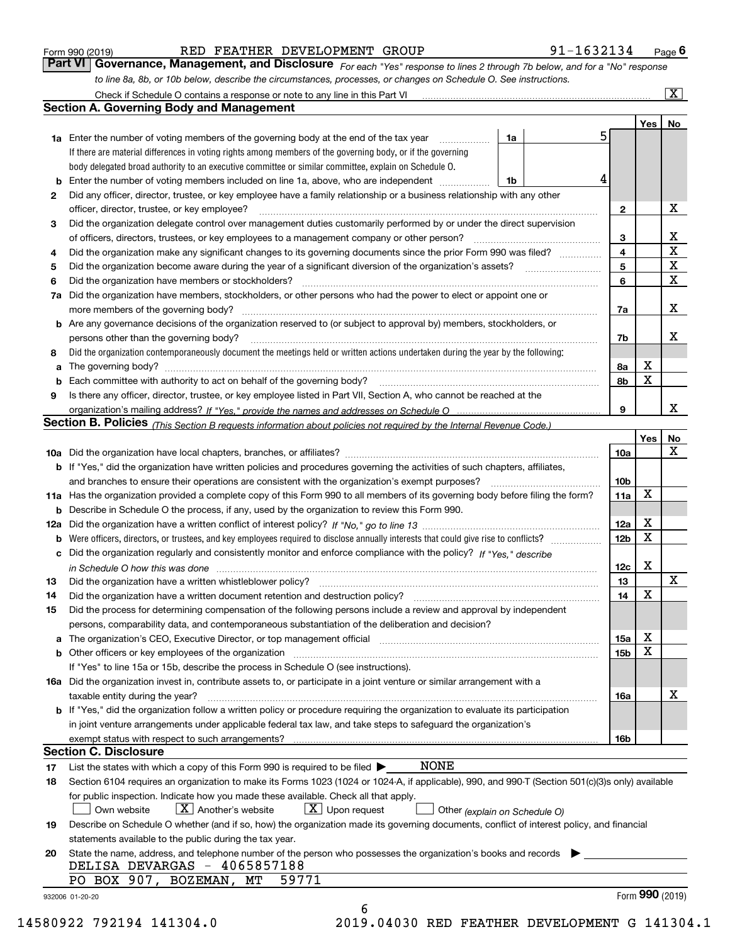|  | Form 990 (2019) |
|--|-----------------|
|  |                 |

| Form 990 (2019) |  | RED FEATHER DEVELOPMENT GROUP |                                                                                                                  | 91-1632134                                                                                                                    | Page $\boldsymbol{6}$ |
|-----------------|--|-------------------------------|------------------------------------------------------------------------------------------------------------------|-------------------------------------------------------------------------------------------------------------------------------|-----------------------|
|                 |  |                               |                                                                                                                  | Part VI   Governance, Management, and Disclosure For each "Yes" response to lines 2 through 7b below, and for a "No" response |                       |
|                 |  |                               | to line 8a, 8b, or 10b below, describe the circumstances, processes, or changes on Schedule O. See instructions. |                                                                                                                               |                       |

|    |                                                                                                                                                                               |    |    |              | Yes             | No                      |
|----|-------------------------------------------------------------------------------------------------------------------------------------------------------------------------------|----|----|--------------|-----------------|-------------------------|
|    | <b>1a</b> Enter the number of voting members of the governing body at the end of the tax year <i>manumum</i>                                                                  | 1a | 5. |              |                 |                         |
|    | If there are material differences in voting rights among members of the governing body, or if the governing                                                                   |    |    |              |                 |                         |
|    | body delegated broad authority to an executive committee or similar committee, explain on Schedule O.                                                                         |    |    |              |                 |                         |
| b  | Enter the number of voting members included on line 1a, above, who are independent                                                                                            | 1b | 4  |              |                 |                         |
| 2  | Did any officer, director, trustee, or key employee have a family relationship or a business relationship with any other                                                      |    |    |              |                 |                         |
|    | officer, director, trustee, or key employee?                                                                                                                                  |    |    | $\mathbf{2}$ |                 | X                       |
| 3  | Did the organization delegate control over management duties customarily performed by or under the direct supervision                                                         |    |    |              |                 |                         |
|    |                                                                                                                                                                               |    |    | 3            |                 | X                       |
| 4  | Did the organization make any significant changes to its governing documents since the prior Form 990 was filed?                                                              |    |    | 4            |                 | $\overline{\mathbf{x}}$ |
| 5  |                                                                                                                                                                               |    |    | 5            |                 | $\mathbf X$             |
| 6  | Did the organization have members or stockholders?                                                                                                                            |    |    | 6            |                 | $\mathbf X$             |
| 7а | Did the organization have members, stockholders, or other persons who had the power to elect or appoint one or                                                                |    |    |              |                 |                         |
|    |                                                                                                                                                                               |    |    | 7a           |                 | X                       |
|    | <b>b</b> Are any governance decisions of the organization reserved to (or subject to approval by) members, stockholders, or                                                   |    |    |              |                 |                         |
|    | persons other than the governing body?                                                                                                                                        |    |    | 7b           |                 | X                       |
| 8  | Did the organization contemporaneously document the meetings held or written actions undertaken during the year by the following:                                             |    |    |              |                 |                         |
| a  |                                                                                                                                                                               |    |    | 8a           | X               |                         |
| b  |                                                                                                                                                                               |    |    | 8b           | X               |                         |
| 9  | Is there any officer, director, trustee, or key employee listed in Part VII, Section A, who cannot be reached at the                                                          |    |    |              |                 |                         |
|    |                                                                                                                                                                               |    |    | 9            |                 | х                       |
|    | Section B. Policies (This Section B requests information about policies not required by the Internal Revenue Code.)                                                           |    |    |              |                 |                         |
|    |                                                                                                                                                                               |    |    |              | Yes             | No                      |
|    |                                                                                                                                                                               |    |    | 10a          |                 | X                       |
|    | <b>b</b> If "Yes," did the organization have written policies and procedures governing the activities of such chapters, affiliates,                                           |    |    |              |                 |                         |
|    |                                                                                                                                                                               |    |    | 10b          |                 |                         |
|    | 11a Has the organization provided a complete copy of this Form 990 to all members of its governing body before filing the form?                                               |    |    | 11a          | X               |                         |
|    | <b>b</b> Describe in Schedule O the process, if any, used by the organization to review this Form 990.                                                                        |    |    |              |                 |                         |
|    |                                                                                                                                                                               |    |    | 12a          | X               |                         |
|    |                                                                                                                                                                               |    |    | 12b          | X               |                         |
| b  | Did the organization regularly and consistently monitor and enforce compliance with the policy? If "Yes," describe                                                            |    |    |              |                 |                         |
| c  |                                                                                                                                                                               |    |    |              | X               |                         |
|    | in Schedule O how this was done manufactured and contact the state of the state of the state of the state of t                                                                |    |    | 12c<br>13    |                 | X                       |
| 13 |                                                                                                                                                                               |    |    |              | X               |                         |
| 14 | Did the organization have a written document retention and destruction policy? manufactured and the organization have a written document retention and destruction policy?    |    |    | 14           |                 |                         |
| 15 | Did the process for determining compensation of the following persons include a review and approval by independent                                                            |    |    |              |                 |                         |
|    | persons, comparability data, and contemporaneous substantiation of the deliberation and decision?                                                                             |    |    |              | X               |                         |
| a  | The organization's CEO, Executive Director, or top management official manufactured content content of the organization's CEO, Executive Director, or top management official |    |    | 15a          |                 |                         |
|    | <b>b</b> Other officers or key employees of the organization                                                                                                                  |    |    | 15b          | X               |                         |
|    | If "Yes" to line 15a or 15b, describe the process in Schedule O (see instructions).                                                                                           |    |    |              |                 |                         |
|    | 16a Did the organization invest in, contribute assets to, or participate in a joint venture or similar arrangement with a                                                     |    |    |              |                 |                         |
|    | taxable entity during the year?                                                                                                                                               |    |    | 16a          |                 | X                       |
|    | b If "Yes," did the organization follow a written policy or procedure requiring the organization to evaluate its participation                                                |    |    |              |                 |                         |
|    | in joint venture arrangements under applicable federal tax law, and take steps to safeguard the organization's                                                                |    |    |              |                 |                         |
|    | exempt status with respect to such arrangements?                                                                                                                              |    |    | 16b          |                 |                         |
|    | <b>Section C. Disclosure</b>                                                                                                                                                  |    |    |              |                 |                         |
| 17 | <b>NONE</b><br>List the states with which a copy of this Form 990 is required to be filed $\blacktriangleright$                                                               |    |    |              |                 |                         |
| 18 | Section 6104 requires an organization to make its Forms 1023 (1024 or 1024-A, if applicable), 990, and 990-T (Section 501(c)(3)s only) available                              |    |    |              |                 |                         |
|    | for public inspection. Indicate how you made these available. Check all that apply.                                                                                           |    |    |              |                 |                         |
|    | $\boxed{\text{X}}$ Upon request<br>$X$ Another's website<br>Own website<br>Other (explain on Schedule O)                                                                      |    |    |              |                 |                         |
| 19 | Describe on Schedule O whether (and if so, how) the organization made its governing documents, conflict of interest policy, and financial                                     |    |    |              |                 |                         |
|    | statements available to the public during the tax year.                                                                                                                       |    |    |              |                 |                         |
| 20 | State the name, address, and telephone number of the person who possesses the organization's books and records                                                                |    |    |              |                 |                         |
|    | DELISA DEVARGAS - 4065857188                                                                                                                                                  |    |    |              |                 |                         |
|    | PO BOX 907, BOZEMAN, MT<br>59771                                                                                                                                              |    |    |              |                 |                         |
|    | 932006 01-20-20                                                                                                                                                               |    |    |              | Form 990 (2019) |                         |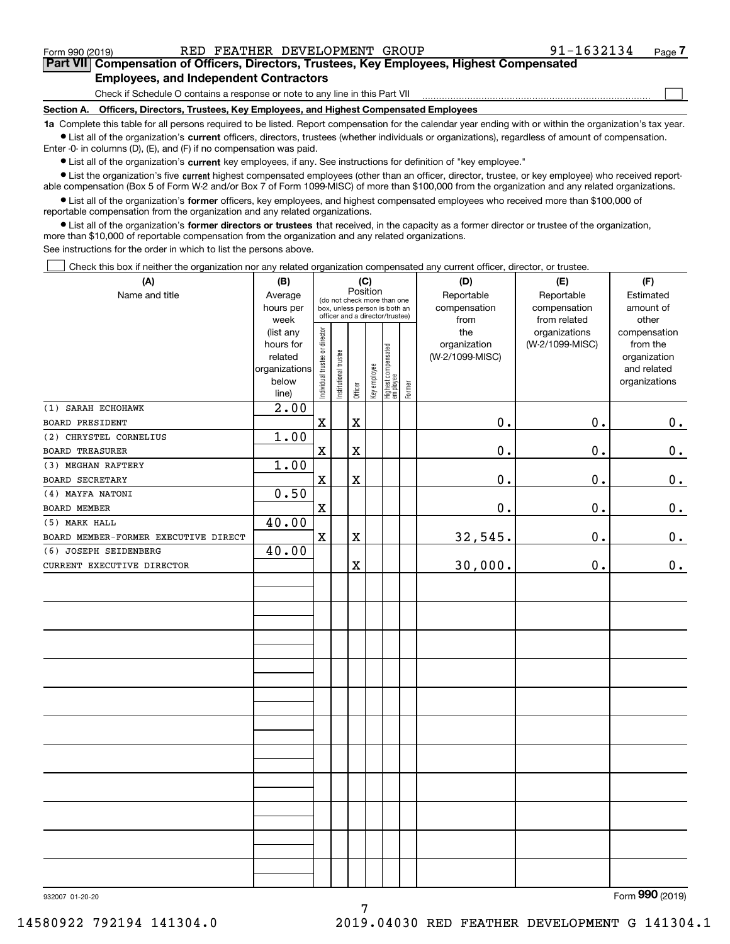$\mathcal{L}^{\text{max}}$ 

| Form 990 (2019) |                                               | RED FEATHER DEVELOPMENT GROUP | 91-1632134                                                                                 | Page 7 |
|-----------------|-----------------------------------------------|-------------------------------|--------------------------------------------------------------------------------------------|--------|
|                 |                                               |                               | Part VII Compensation of Officers, Directors, Trustees, Key Employees, Highest Compensated |        |
|                 | <b>Employees, and Independent Contractors</b> |                               |                                                                                            |        |

Check if Schedule O contains a response or note to any line in this Part VII

**Section A. Officers, Directors, Trustees, Key Employees, and Highest Compensated Employees**

**1a**  Complete this table for all persons required to be listed. Report compensation for the calendar year ending with or within the organization's tax year. **•** List all of the organization's current officers, directors, trustees (whether individuals or organizations), regardless of amount of compensation.

Enter -0- in columns (D), (E), and (F) if no compensation was paid.

 $\bullet$  List all of the organization's  $\,$ current key employees, if any. See instructions for definition of "key employee."

• List the organization's five current highest compensated employees (other than an officer, director, trustee, or key employee) who received report-■ List the organization's five current highest compensated employees (other than an officer, director, trustee, or key employee) who received report-<br>able compensation (Box 5 of Form W-2 and/or Box 7 of Form 1099-MISC) of

**•** List all of the organization's former officers, key employees, and highest compensated employees who received more than \$100,000 of reportable compensation from the organization and any related organizations.

**former directors or trustees**  ¥ List all of the organization's that received, in the capacity as a former director or trustee of the organization, more than \$10,000 of reportable compensation from the organization and any related organizations.

See instructions for the order in which to list the persons above.

Check this box if neither the organization nor any related organization compensated any current officer, director, or trustee.  $\mathcal{L}^{\text{max}}$ 

| (A)                                  | (B)                                                                          |                                |                       |                         | (C)          |                                                                                                 |        | (D)                                            | (E)                                              | (F)                                                                               |
|--------------------------------------|------------------------------------------------------------------------------|--------------------------------|-----------------------|-------------------------|--------------|-------------------------------------------------------------------------------------------------|--------|------------------------------------------------|--------------------------------------------------|-----------------------------------------------------------------------------------|
| Name and title                       | Average<br>hours per                                                         |                                |                       | Position                |              | (do not check more than one<br>box, unless person is both an<br>officer and a director/trustee) |        | Reportable<br>compensation                     | Reportable<br>compensation                       | Estimated<br>amount of                                                            |
|                                      | week<br>(list any<br>hours for<br>related<br>organizations<br>below<br>line) | Individual trustee or director | Institutional trustee | Officer                 | Key employee | Highest compensated<br> employee                                                                | Former | from<br>the<br>organization<br>(W-2/1099-MISC) | from related<br>organizations<br>(W-2/1099-MISC) | other<br>compensation<br>from the<br>organization<br>and related<br>organizations |
| (1) SARAH ECHOHAWK                   | 2.00                                                                         |                                |                       |                         |              |                                                                                                 |        |                                                |                                                  |                                                                                   |
| <b>BOARD PRESIDENT</b>               |                                                                              | $\mathbf X$                    |                       | $\overline{\textbf{X}}$ |              |                                                                                                 |        | 0.                                             | 0.                                               | 0.                                                                                |
| (2) CHRYSTEL CORNELIUS               | 1.00                                                                         |                                |                       |                         |              |                                                                                                 |        |                                                |                                                  |                                                                                   |
| <b>BOARD TREASURER</b>               |                                                                              | $\rm X$                        |                       | $\overline{\textbf{X}}$ |              |                                                                                                 |        | 0.                                             | 0.                                               | 0.                                                                                |
| (3) MEGHAN RAFTERY                   | 1.00                                                                         |                                |                       |                         |              |                                                                                                 |        |                                                |                                                  |                                                                                   |
| <b>BOARD SECRETARY</b>               |                                                                              | $\mathbf X$                    |                       | $\overline{\textbf{X}}$ |              |                                                                                                 |        | 0.                                             | 0.                                               | 0.                                                                                |
| (4) MAYFA NATONI                     | 0.50                                                                         |                                |                       |                         |              |                                                                                                 |        |                                                |                                                  |                                                                                   |
| BOARD MEMBER                         |                                                                              | $\rm X$                        |                       |                         |              |                                                                                                 |        | 0.                                             | 0.                                               | 0.                                                                                |
| (5) MARK HALL                        | 40.00                                                                        |                                |                       |                         |              |                                                                                                 |        |                                                |                                                  |                                                                                   |
| BOARD MEMBER-FORMER EXECUTIVE DIRECT |                                                                              | $\mathbf X$                    |                       | X                       |              |                                                                                                 |        | 32,545.                                        | 0.                                               | 0.                                                                                |
| (6) JOSEPH SEIDENBERG                | 40.00                                                                        |                                |                       |                         |              |                                                                                                 |        |                                                |                                                  |                                                                                   |
| CURRENT EXECUTIVE DIRECTOR           |                                                                              |                                |                       | $\mathbf X$             |              |                                                                                                 |        | 30,000.                                        | $\mathbf 0$ .                                    | 0.                                                                                |
|                                      |                                                                              |                                |                       |                         |              |                                                                                                 |        |                                                |                                                  |                                                                                   |
|                                      |                                                                              |                                |                       |                         |              |                                                                                                 |        |                                                |                                                  |                                                                                   |
|                                      |                                                                              |                                |                       |                         |              |                                                                                                 |        |                                                |                                                  |                                                                                   |
|                                      |                                                                              |                                |                       |                         |              |                                                                                                 |        |                                                |                                                  |                                                                                   |
|                                      |                                                                              |                                |                       |                         |              |                                                                                                 |        |                                                |                                                  |                                                                                   |
|                                      |                                                                              |                                |                       |                         |              |                                                                                                 |        |                                                |                                                  |                                                                                   |
|                                      |                                                                              |                                |                       |                         |              |                                                                                                 |        |                                                |                                                  |                                                                                   |
|                                      |                                                                              |                                |                       |                         |              |                                                                                                 |        |                                                |                                                  |                                                                                   |
|                                      |                                                                              |                                |                       |                         |              |                                                                                                 |        |                                                |                                                  |                                                                                   |
|                                      |                                                                              |                                |                       |                         |              |                                                                                                 |        |                                                |                                                  |                                                                                   |
|                                      |                                                                              |                                |                       |                         |              |                                                                                                 |        |                                                |                                                  |                                                                                   |
|                                      |                                                                              |                                |                       |                         |              |                                                                                                 |        |                                                |                                                  |                                                                                   |
|                                      |                                                                              |                                |                       |                         |              |                                                                                                 |        |                                                |                                                  |                                                                                   |
|                                      |                                                                              |                                |                       |                         |              |                                                                                                 |        |                                                |                                                  |                                                                                   |

932007 01-20-20

Form (2019) **990**

7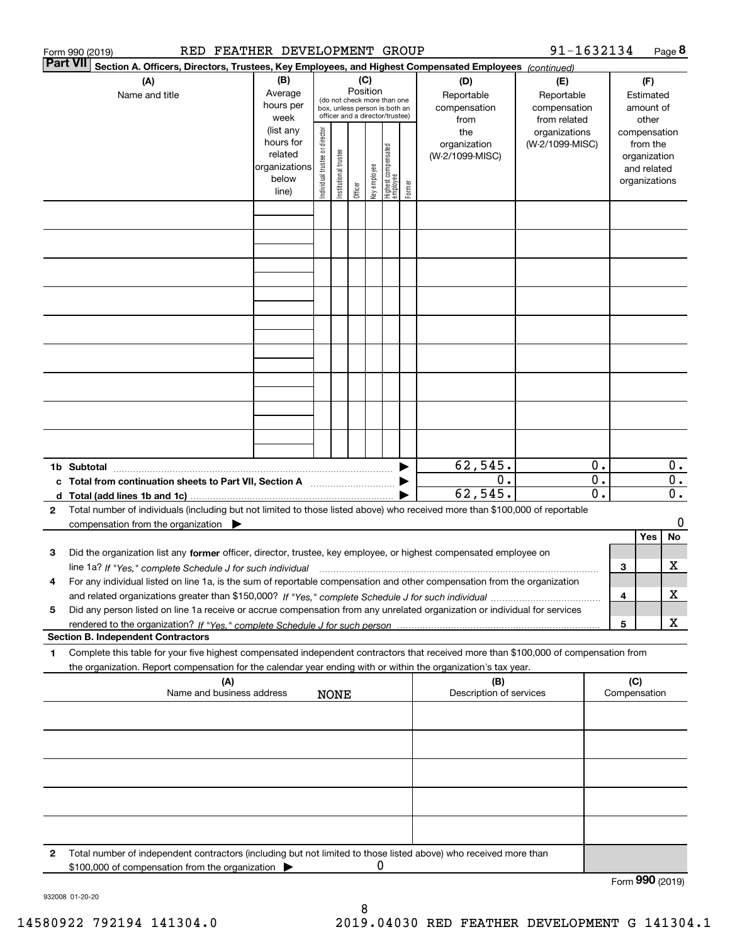| Form 990 (2019)                                                                                                                                                                                                                                                                  | RED FEATHER DEVELOPMENT GROUP                                                             |                                                                                                                                                                                                                      |             |         |              |  |        |                                                                                     | 91-1632134                                                                            |                             |                                                                                                   |               | Page 8                    |
|----------------------------------------------------------------------------------------------------------------------------------------------------------------------------------------------------------------------------------------------------------------------------------|-------------------------------------------------------------------------------------------|----------------------------------------------------------------------------------------------------------------------------------------------------------------------------------------------------------------------|-------------|---------|--------------|--|--------|-------------------------------------------------------------------------------------|---------------------------------------------------------------------------------------|-----------------------------|---------------------------------------------------------------------------------------------------|---------------|---------------------------|
| <b>Part VII</b><br>Section A. Officers, Directors, Trustees, Key Employees, and Highest Compensated Employees (continued)                                                                                                                                                        |                                                                                           |                                                                                                                                                                                                                      |             |         |              |  |        |                                                                                     |                                                                                       |                             |                                                                                                   |               |                           |
| (A)<br>Name and title                                                                                                                                                                                                                                                            | (B)<br>Average<br>hours per<br>week<br>(list any<br>hours for<br>related<br>organizations | (C)<br>Position<br>(do not check more than one<br>box, unless person is both an<br>officer and a director/trustee)<br>Individual trustee or director<br>  Highest compensated<br>  employee<br>Institutional trustee |             |         |              |  |        | (D)<br>Reportable<br>compensation<br>from<br>the<br>organization<br>(W-2/1099-MISC) | (E)<br>Reportable<br>compensation<br>from related<br>organizations<br>(W-2/1099-MISC) |                             | (F)<br>Estimated<br>amount of<br>other<br>compensation<br>from the<br>organization<br>and related |               |                           |
|                                                                                                                                                                                                                                                                                  | below                                                                                     |                                                                                                                                                                                                                      |             | Officer | key employee |  | Former |                                                                                     |                                                                                       |                             |                                                                                                   | organizations |                           |
|                                                                                                                                                                                                                                                                                  | line)                                                                                     |                                                                                                                                                                                                                      |             |         |              |  |        |                                                                                     |                                                                                       |                             |                                                                                                   |               |                           |
|                                                                                                                                                                                                                                                                                  |                                                                                           |                                                                                                                                                                                                                      |             |         |              |  |        |                                                                                     |                                                                                       |                             |                                                                                                   |               |                           |
|                                                                                                                                                                                                                                                                                  |                                                                                           |                                                                                                                                                                                                                      |             |         |              |  |        |                                                                                     |                                                                                       |                             |                                                                                                   |               |                           |
|                                                                                                                                                                                                                                                                                  |                                                                                           |                                                                                                                                                                                                                      |             |         |              |  |        |                                                                                     |                                                                                       |                             |                                                                                                   |               |                           |
|                                                                                                                                                                                                                                                                                  |                                                                                           |                                                                                                                                                                                                                      |             |         |              |  |        |                                                                                     |                                                                                       |                             |                                                                                                   |               |                           |
|                                                                                                                                                                                                                                                                                  |                                                                                           |                                                                                                                                                                                                                      |             |         |              |  |        |                                                                                     |                                                                                       |                             |                                                                                                   |               |                           |
|                                                                                                                                                                                                                                                                                  |                                                                                           |                                                                                                                                                                                                                      |             |         |              |  |        |                                                                                     |                                                                                       |                             |                                                                                                   |               |                           |
|                                                                                                                                                                                                                                                                                  |                                                                                           |                                                                                                                                                                                                                      |             |         |              |  |        |                                                                                     |                                                                                       |                             |                                                                                                   |               |                           |
| 1b Subtotal                                                                                                                                                                                                                                                                      |                                                                                           |                                                                                                                                                                                                                      |             |         |              |  |        | 62,545.                                                                             |                                                                                       | 0.                          |                                                                                                   |               | $0$ .                     |
| c Total from continuation sheets to Part VII, Section A                                                                                                                                                                                                                          |                                                                                           |                                                                                                                                                                                                                      |             |         |              |  |        | $\overline{0}$ .                                                                    |                                                                                       | $\overline{0}$ .            |                                                                                                   |               | $\overline{0}$ .          |
|                                                                                                                                                                                                                                                                                  |                                                                                           |                                                                                                                                                                                                                      |             |         |              |  |        | 62, 545.                                                                            |                                                                                       | $\overline{\mathfrak{0}}$ . |                                                                                                   |               | $\overline{\mathbf{0}}$ . |
| Total number of individuals (including but not limited to those listed above) who received more than \$100,000 of reportable<br>2<br>compensation from the organization $\blacktriangleright$                                                                                    |                                                                                           |                                                                                                                                                                                                                      |             |         |              |  |        |                                                                                     |                                                                                       |                             |                                                                                                   |               | 0                         |
|                                                                                                                                                                                                                                                                                  |                                                                                           |                                                                                                                                                                                                                      |             |         |              |  |        |                                                                                     |                                                                                       |                             |                                                                                                   | Yes           | No                        |
| Did the organization list any former officer, director, trustee, key employee, or highest compensated employee on<br>з                                                                                                                                                           |                                                                                           |                                                                                                                                                                                                                      |             |         |              |  |        |                                                                                     |                                                                                       |                             |                                                                                                   |               | х                         |
| line 1a? If "Yes," complete Schedule J for such individual manufactured contained and the 1a? If "Yes," complete Schedule J for such individual<br>For any individual listed on line 1a, is the sum of reportable compensation and other compensation from the organization<br>4 |                                                                                           |                                                                                                                                                                                                                      |             |         |              |  |        |                                                                                     |                                                                                       |                             | 3                                                                                                 |               |                           |
|                                                                                                                                                                                                                                                                                  |                                                                                           |                                                                                                                                                                                                                      |             |         |              |  |        |                                                                                     |                                                                                       |                             | 4                                                                                                 |               | х                         |
| Did any person listed on line 1a receive or accrue compensation from any unrelated organization or individual for services<br>5                                                                                                                                                  |                                                                                           |                                                                                                                                                                                                                      |             |         |              |  |        |                                                                                     |                                                                                       |                             |                                                                                                   |               |                           |
| <b>Section B. Independent Contractors</b>                                                                                                                                                                                                                                        |                                                                                           |                                                                                                                                                                                                                      |             |         |              |  |        |                                                                                     |                                                                                       |                             | 5                                                                                                 |               | X                         |
| Complete this table for your five highest compensated independent contractors that received more than \$100,000 of compensation from<br>1                                                                                                                                        |                                                                                           |                                                                                                                                                                                                                      |             |         |              |  |        |                                                                                     |                                                                                       |                             |                                                                                                   |               |                           |
| the organization. Report compensation for the calendar year ending with or within the organization's tax year.                                                                                                                                                                   |                                                                                           |                                                                                                                                                                                                                      |             |         |              |  |        |                                                                                     |                                                                                       |                             |                                                                                                   |               |                           |
| (A)<br>Name and business address                                                                                                                                                                                                                                                 |                                                                                           |                                                                                                                                                                                                                      | <b>NONE</b> |         |              |  |        | (B)<br>Description of services                                                      |                                                                                       |                             | (C)<br>Compensation                                                                               |               |                           |
|                                                                                                                                                                                                                                                                                  |                                                                                           |                                                                                                                                                                                                                      |             |         |              |  |        |                                                                                     |                                                                                       |                             |                                                                                                   |               |                           |
|                                                                                                                                                                                                                                                                                  |                                                                                           |                                                                                                                                                                                                                      |             |         |              |  |        |                                                                                     |                                                                                       |                             |                                                                                                   |               |                           |
|                                                                                                                                                                                                                                                                                  |                                                                                           |                                                                                                                                                                                                                      |             |         |              |  |        |                                                                                     |                                                                                       |                             |                                                                                                   |               |                           |
|                                                                                                                                                                                                                                                                                  |                                                                                           |                                                                                                                                                                                                                      |             |         |              |  |        |                                                                                     |                                                                                       |                             |                                                                                                   |               |                           |
|                                                                                                                                                                                                                                                                                  |                                                                                           |                                                                                                                                                                                                                      |             |         |              |  |        |                                                                                     |                                                                                       |                             |                                                                                                   |               |                           |
| Total number of independent contractors (including but not limited to those listed above) who received more than<br>2<br>\$100,000 of compensation from the organization                                                                                                         |                                                                                           |                                                                                                                                                                                                                      |             |         | 0            |  |        |                                                                                     |                                                                                       |                             |                                                                                                   |               |                           |
| 000000                                                                                                                                                                                                                                                                           |                                                                                           |                                                                                                                                                                                                                      |             |         |              |  |        |                                                                                     |                                                                                       |                             | Form 990 (2019)                                                                                   |               |                           |

932008 01-20-20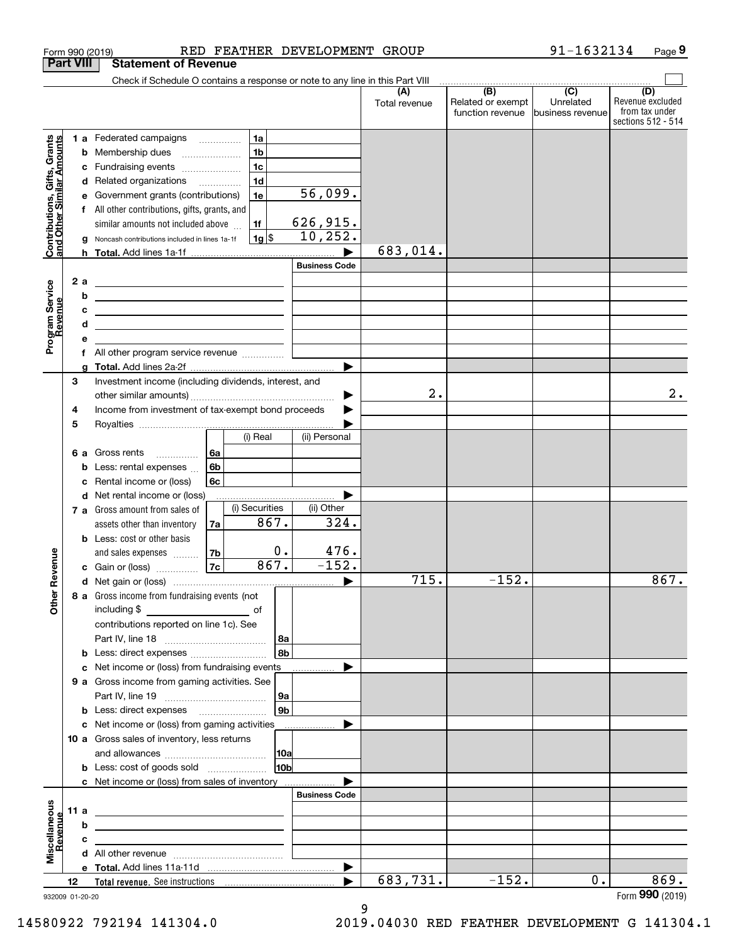|                                                           |                  |     | RED FEATHER DEVELOPMENT GROUP<br>Form 990 (2019)                                                                      |                      |                                              | 91-1632134                                        | Page 9                                                          |
|-----------------------------------------------------------|------------------|-----|-----------------------------------------------------------------------------------------------------------------------|----------------------|----------------------------------------------|---------------------------------------------------|-----------------------------------------------------------------|
|                                                           | <b>Part VIII</b> |     | <b>Statement of Revenue</b>                                                                                           |                      |                                              |                                                   |                                                                 |
|                                                           |                  |     | Check if Schedule O contains a response or note to any line in this Part VIII                                         |                      |                                              |                                                   |                                                                 |
|                                                           |                  |     |                                                                                                                       | (A)<br>Total revenue | (B)<br>Related or exempt<br>function revenue | $\overline{(C)}$<br>Unrelated<br>business revenue | (D)<br>Revenue excluded<br>from tax under<br>sections 512 - 514 |
|                                                           |                  |     | 1a<br><b>1 a</b> Federated campaigns                                                                                  |                      |                                              |                                                   |                                                                 |
|                                                           |                  | b   | 1 <sub>b</sub><br>Membership dues<br>$\ldots \ldots \ldots \ldots \ldots$                                             |                      |                                              |                                                   |                                                                 |
|                                                           |                  | с   | 1 <sub>c</sub><br>Fundraising events                                                                                  |                      |                                              |                                                   |                                                                 |
|                                                           |                  | d   | 1 <sub>d</sub><br>Related organizations                                                                               |                      |                                              |                                                   |                                                                 |
|                                                           |                  | е   | $\overline{56}$ , 099.<br>1e<br>Government grants (contributions)                                                     |                      |                                              |                                                   |                                                                 |
|                                                           |                  | f   | All other contributions, gifts, grants, and                                                                           |                      |                                              |                                                   |                                                                 |
|                                                           |                  |     | 626,915.<br>1f<br>similar amounts not included above                                                                  |                      |                                              |                                                   |                                                                 |
| Contributions, Gifts, Grants<br>and Other Similar Amounts |                  |     | 10, 252.<br>$1g$ $\frac{1}{3}$<br>Noncash contributions included in lines 1a-1f                                       |                      |                                              |                                                   |                                                                 |
|                                                           |                  |     |                                                                                                                       | 683,014.             |                                              |                                                   |                                                                 |
|                                                           |                  |     | <b>Business Code</b>                                                                                                  |                      |                                              |                                                   |                                                                 |
|                                                           |                  | 2 a | <u> 1980 - Andrea State Barbara, amerikan personal (h. 1980).</u>                                                     |                      |                                              |                                                   |                                                                 |
|                                                           |                  | b   | <u> 1989 - Johann Barn, fransk politik amerikansk politik (</u>                                                       |                      |                                              |                                                   |                                                                 |
|                                                           |                  | c   | the contract of the contract of the contract of the contract of the contract of                                       |                      |                                              |                                                   |                                                                 |
|                                                           |                  | d   | <u> 1989 - Johann Barn, amerikansk politiker (</u>                                                                    |                      |                                              |                                                   |                                                                 |
| Program Service<br>Revenue                                |                  | е   |                                                                                                                       |                      |                                              |                                                   |                                                                 |
|                                                           |                  |     | f All other program service revenue                                                                                   |                      |                                              |                                                   |                                                                 |
|                                                           |                  | g   |                                                                                                                       |                      |                                              |                                                   |                                                                 |
|                                                           | 3                |     | Investment income (including dividends, interest, and                                                                 |                      |                                              |                                                   |                                                                 |
|                                                           |                  |     | ▶                                                                                                                     | 2.                   |                                              |                                                   | $2$ .                                                           |
|                                                           | 4                |     | Income from investment of tax-exempt bond proceeds                                                                    |                      |                                              |                                                   |                                                                 |
|                                                           | 5                |     |                                                                                                                       |                      |                                              |                                                   |                                                                 |
|                                                           |                  |     | (ii) Personal<br>(i) Real                                                                                             |                      |                                              |                                                   |                                                                 |
|                                                           |                  | 6а  | 6a<br>Gross rents                                                                                                     |                      |                                              |                                                   |                                                                 |
|                                                           |                  | b   | 6b<br>Less: rental expenses                                                                                           |                      |                                              |                                                   |                                                                 |
|                                                           |                  | c   | <b>6c</b><br>Rental income or (loss)                                                                                  |                      |                                              |                                                   |                                                                 |
|                                                           |                  |     | d Net rental income or (loss)                                                                                         |                      |                                              |                                                   |                                                                 |
|                                                           |                  |     | (i) Securities<br>(ii) Other<br>7 a Gross amount from sales of                                                        |                      |                                              |                                                   |                                                                 |
|                                                           |                  |     | 867.<br>324.<br>assets other than inventory<br>7a                                                                     |                      |                                              |                                                   |                                                                 |
|                                                           |                  |     | <b>b</b> Less: cost or other basis                                                                                    |                      |                                              |                                                   |                                                                 |
|                                                           |                  |     | 476.<br>0.<br>7 <sub>b</sub><br>and sales expenses                                                                    |                      |                                              |                                                   |                                                                 |
| evenue                                                    |                  |     | 867.<br>$-152.$<br>7c<br>c Gain or (loss)                                                                             |                      |                                              |                                                   |                                                                 |
| Œ                                                         |                  |     |                                                                                                                       | 715.                 | $-152.$                                      |                                                   | 867.                                                            |
| Other                                                     |                  |     | 8 a Gross income from fundraising events (not                                                                         |                      |                                              |                                                   |                                                                 |
|                                                           |                  |     |                                                                                                                       |                      |                                              |                                                   |                                                                 |
|                                                           |                  |     | contributions reported on line 1c). See                                                                               |                      |                                              |                                                   |                                                                 |
|                                                           |                  |     | 8a                                                                                                                    |                      |                                              |                                                   |                                                                 |
|                                                           |                  |     | 8b<br><b>b</b> Less: direct expenses <i>manually contained</i>                                                        |                      |                                              |                                                   |                                                                 |
|                                                           |                  |     | <b>c</b> Net income or (loss) from fundraising events                                                                 |                      |                                              |                                                   |                                                                 |
|                                                           |                  |     | <b>9 a</b> Gross income from gaming activities. See                                                                   |                      |                                              |                                                   |                                                                 |
|                                                           |                  |     | 9а                                                                                                                    |                      |                                              |                                                   |                                                                 |
|                                                           |                  |     | 9 <sub>b</sub><br><b>b</b> Less: direct expenses <b>manually</b>                                                      |                      |                                              |                                                   |                                                                 |
|                                                           |                  |     | c Net income or (loss) from gaming activities _______________                                                         |                      |                                              |                                                   |                                                                 |
|                                                           |                  |     | 10 a Gross sales of inventory, less returns                                                                           |                      |                                              |                                                   |                                                                 |
|                                                           |                  |     | 10a                                                                                                                   |                      |                                              |                                                   |                                                                 |
|                                                           |                  |     | 10 <sub>b</sub>                                                                                                       |                      |                                              |                                                   |                                                                 |
|                                                           |                  |     | c Net income or (loss) from sales of inventory                                                                        |                      |                                              |                                                   |                                                                 |
|                                                           |                  |     | <b>Business Code</b>                                                                                                  |                      |                                              |                                                   |                                                                 |
| Miscellaneous                                             | 11a              |     | <u> 1989 - Johann John Stone, meil in der Stone aus der Stone aus der Stone aus der Stone aus der Stone aus der S</u> |                      |                                              |                                                   |                                                                 |
| evenue                                                    |                  | b   | <u> 1989 - Johann John Stone, markin fizikar (h. 1982).</u>                                                           |                      |                                              |                                                   |                                                                 |
|                                                           |                  | с   | <u> 1989 - Andrea Andrew Maria (h. 1989).</u>                                                                         |                      |                                              |                                                   |                                                                 |
|                                                           |                  |     |                                                                                                                       |                      |                                              |                                                   |                                                                 |
|                                                           |                  |     | $\blacktriangleright$                                                                                                 |                      |                                              |                                                   |                                                                 |
|                                                           | 12               |     |                                                                                                                       | 683,731.             | $-152.$                                      | $0$ .                                             | 869.                                                            |
|                                                           |                  |     | 932009 01-20-20                                                                                                       |                      |                                              |                                                   | Form 990 (2019)                                                 |

932009 01-20-20

9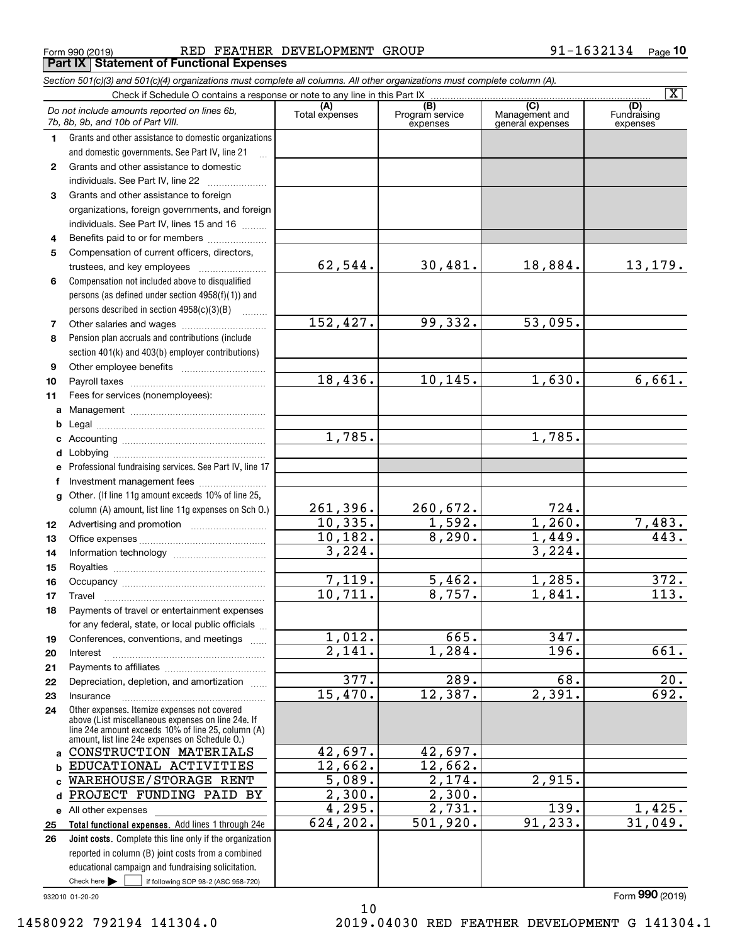Form 990 (2019) RED FEATHER DEVELOPMENT GROUP 9 $1\text{--}1632134$  Page **Part IX Statement of Functional Expenses**

|              | Section 501(c)(3) and 501(c)(4) organizations must complete all columns. All other organizations must complete column (A).                                                                                 |                                |                                    |                                           |                                   |
|--------------|------------------------------------------------------------------------------------------------------------------------------------------------------------------------------------------------------------|--------------------------------|------------------------------------|-------------------------------------------|-----------------------------------|
|              |                                                                                                                                                                                                            |                                |                                    |                                           | $\overline{\mathbf{X}}$           |
|              | Do not include amounts reported on lines 6b,<br>7b, 8b, 9b, and 10b of Part VIII.                                                                                                                          | (A)<br>Total expenses          | (B)<br>Program service<br>expenses | (C)<br>Management and<br>general expenses | (D)<br>Fundraising<br>expenses    |
| 1.           | Grants and other assistance to domestic organizations                                                                                                                                                      |                                |                                    |                                           |                                   |
|              | and domestic governments. See Part IV, line 21                                                                                                                                                             |                                |                                    |                                           |                                   |
| $\mathbf{2}$ | Grants and other assistance to domestic                                                                                                                                                                    |                                |                                    |                                           |                                   |
|              | individuals. See Part IV, line 22                                                                                                                                                                          |                                |                                    |                                           |                                   |
| 3            | Grants and other assistance to foreign                                                                                                                                                                     |                                |                                    |                                           |                                   |
|              | organizations, foreign governments, and foreign                                                                                                                                                            |                                |                                    |                                           |                                   |
|              | individuals. See Part IV, lines 15 and 16                                                                                                                                                                  |                                |                                    |                                           |                                   |
| 4            | Benefits paid to or for members                                                                                                                                                                            |                                |                                    |                                           |                                   |
| 5            | Compensation of current officers, directors,                                                                                                                                                               |                                |                                    |                                           |                                   |
|              |                                                                                                                                                                                                            | 62,544.                        | 30,481.                            | 18,884.                                   | 13, 179.                          |
| 6            | Compensation not included above to disqualified                                                                                                                                                            |                                |                                    |                                           |                                   |
|              | persons (as defined under section 4958(f)(1)) and                                                                                                                                                          |                                |                                    |                                           |                                   |
|              | persons described in section 4958(c)(3)(B)                                                                                                                                                                 |                                |                                    |                                           |                                   |
| 7            |                                                                                                                                                                                                            | 152,427.                       | 99,332.                            | 53,095.                                   |                                   |
| 8            | Pension plan accruals and contributions (include                                                                                                                                                           |                                |                                    |                                           |                                   |
|              | section 401(k) and 403(b) employer contributions)                                                                                                                                                          |                                |                                    |                                           |                                   |
| 9            |                                                                                                                                                                                                            |                                |                                    |                                           |                                   |
| 10           |                                                                                                                                                                                                            | 18,436.                        | 10, 145.                           | 1,630.                                    | 6,661.                            |
| 11           | Fees for services (nonemployees):                                                                                                                                                                          |                                |                                    |                                           |                                   |
| a            |                                                                                                                                                                                                            |                                |                                    |                                           |                                   |
| b            |                                                                                                                                                                                                            |                                |                                    |                                           |                                   |
| c            |                                                                                                                                                                                                            | 1,785.                         |                                    | 1,785.                                    |                                   |
| d            |                                                                                                                                                                                                            |                                |                                    |                                           |                                   |
| е            | Professional fundraising services. See Part IV, line 17                                                                                                                                                    |                                |                                    |                                           |                                   |
| f            | Investment management fees                                                                                                                                                                                 |                                |                                    |                                           |                                   |
| $\mathbf{q}$ | Other. (If line 11g amount exceeds 10% of line 25,                                                                                                                                                         |                                |                                    |                                           |                                   |
|              | column (A) amount, list line 11g expenses on Sch O.)                                                                                                                                                       | 261,396.                       | 260,672.                           | 724.                                      |                                   |
| 12           |                                                                                                                                                                                                            | 10,335.                        | 1,592.                             | 1,260.                                    | <u>7,483.</u><br>$\overline{443}$ |
| 13           |                                                                                                                                                                                                            | 10, 182.                       | 8,290.                             | 1,449.                                    |                                   |
| 14           |                                                                                                                                                                                                            | 3,224.                         |                                    | 3,224.                                    |                                   |
| 15           |                                                                                                                                                                                                            |                                |                                    |                                           |                                   |
| 16           |                                                                                                                                                                                                            | 7,119.                         | 5,462.                             | 1,285.                                    | 372.                              |
| 17           |                                                                                                                                                                                                            | 10,711.                        | 8,757.                             | 1,841.                                    | $\overline{113}$ .                |
| 18           | Payments of travel or entertainment expenses                                                                                                                                                               |                                |                                    |                                           |                                   |
|              | for any federal, state, or local public officials                                                                                                                                                          |                                |                                    |                                           |                                   |
| 19           | Conferences, conventions, and meetings                                                                                                                                                                     | 1,012.<br>$\overline{2.141}$ . | 665.                               | 347.<br>196.                              |                                   |
| 20           | Interest                                                                                                                                                                                                   |                                | 1,284.                             |                                           | $\overline{661}$ .                |
| 21           |                                                                                                                                                                                                            | $\overline{377}$ .             | 289.                               | $\overline{68}$ .                         |                                   |
| 22           | Depreciation, depletion, and amortization                                                                                                                                                                  | 15,470.                        | 12,387.                            | 2,391.                                    | 20.<br>692.                       |
| 23           | Insurance                                                                                                                                                                                                  |                                |                                    |                                           |                                   |
| 24           | Other expenses. Itemize expenses not covered<br>above (List miscellaneous expenses on line 24e. If<br>line 24e amount exceeds 10% of line 25, column (A)<br>amount, list line 24e expenses on Schedule O.) |                                |                                    |                                           |                                   |
| a            | CONSTRUCTION MATERIALS                                                                                                                                                                                     | 42,697.                        | 42,697.                            |                                           |                                   |
| b            | EDUCATIONAL ACTIVITIES                                                                                                                                                                                     | 12,662.                        | 12,662.                            |                                           |                                   |
| C.           | WAREHOUSE/STORAGE RENT                                                                                                                                                                                     | 5,089.                         | $\overline{2,174.}$                | 2,915.                                    |                                   |
| d            | PROJECT FUNDING PAID BY                                                                                                                                                                                    | 2,300.                         | 2,300.                             |                                           |                                   |
|              | e All other expenses                                                                                                                                                                                       | 4,295.                         | 2,731.                             | 139.                                      | 1,425.                            |
| 25           | Total functional expenses. Add lines 1 through 24e                                                                                                                                                         | 624, 202.                      | 501,920.                           | 91, 233.                                  | 31,049.                           |
| 26           | Joint costs. Complete this line only if the organization                                                                                                                                                   |                                |                                    |                                           |                                   |
|              | reported in column (B) joint costs from a combined                                                                                                                                                         |                                |                                    |                                           |                                   |
|              | educational campaign and fundraising solicitation.                                                                                                                                                         |                                |                                    |                                           |                                   |
|              | Check here $\blacktriangleright$<br>if following SOP 98-2 (ASC 958-720)                                                                                                                                    |                                |                                    |                                           |                                   |

10

932010 01-20-20

Form (2019) **990**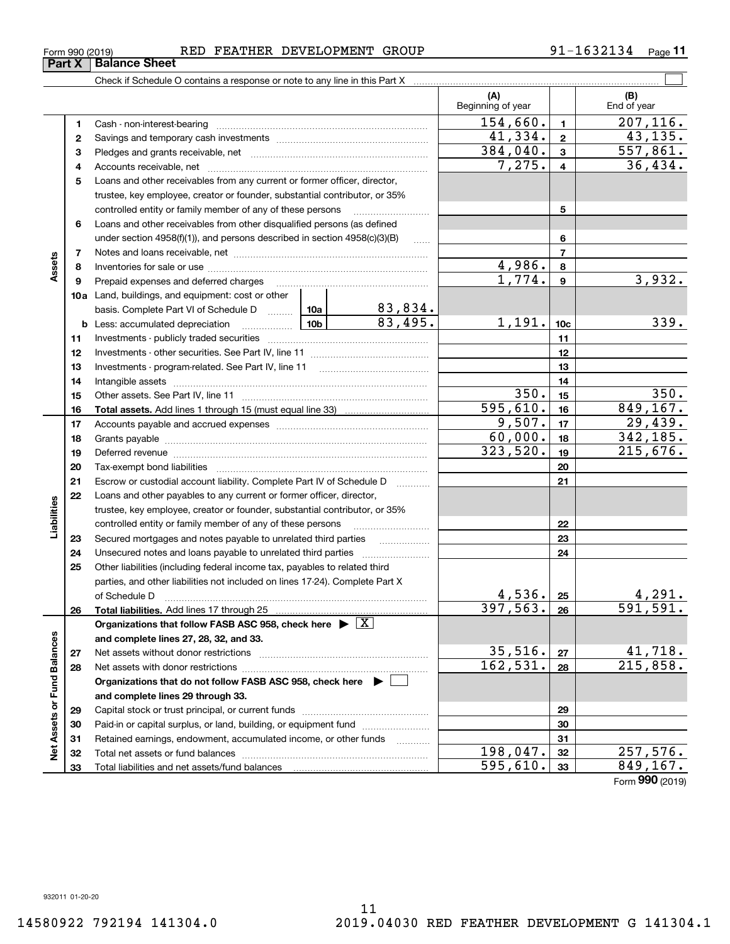Form (2019) **990**

| Form 990 (2019)               |  |  |
|-------------------------------|--|--|
| <b>Part X   Balance Sheet</b> |  |  |

### Form 990 (2019) RED FEATHER DEVELOPMENT GROUP 9 $1\text{--}1632134$  Page

Check if Schedule O contains a response or note to any line in this Part X

Total liabilities and net assets/fund balances

|                             |              |                                                                                    |                        | (A)<br>Beginning of year |                  | (B)<br>End of year  |
|-----------------------------|--------------|------------------------------------------------------------------------------------|------------------------|--------------------------|------------------|---------------------|
|                             | 1            |                                                                                    |                        | 154,660.                 | $\mathbf{1}$     | 207, 116.           |
|                             | $\mathbf{2}$ |                                                                                    |                        | 41,334.                  | $\mathbf{2}$     | 43, 135.            |
|                             | 3            |                                                                                    | $\overline{384,040}$ . | $\mathbf{3}$             | 557,861.         |                     |
|                             | 4            |                                                                                    | 7,275.                 | $\overline{\mathbf{4}}$  | 36,434.          |                     |
|                             | 5            | Loans and other receivables from any current or former officer, director,          |                        |                          |                  |                     |
|                             |              | trustee, key employee, creator or founder, substantial contributor, or 35%         |                        |                          |                  |                     |
|                             |              | controlled entity or family member of any of these persons                         |                        | 5                        |                  |                     |
|                             | 6            | Loans and other receivables from other disqualified persons (as defined            |                        |                          |                  |                     |
|                             |              | under section $4958(f)(1)$ , and persons described in section $4958(c)(3)(B)$      | $\ldots$               |                          | 6                |                     |
|                             | 7            |                                                                                    |                        |                          | $\overline{7}$   |                     |
| Assets                      | 8            |                                                                                    |                        | 4,986.                   | 8                |                     |
|                             | 9            | Prepaid expenses and deferred charges                                              |                        | 1,774.                   | $\boldsymbol{9}$ | 3,932.              |
|                             |              | <b>10a</b> Land, buildings, and equipment: cost or other                           |                        |                          |                  |                     |
|                             |              | basis. Complete Part VI of Schedule D  10a                                         | 83,834.                |                          |                  |                     |
|                             |              | <b>b</b> Less: accumulated depreciation                                            | 83,495.                | 1,191.                   | 10 <sub>c</sub>  | 339.                |
|                             | 11           |                                                                                    |                        |                          | 11               |                     |
|                             | 12           |                                                                                    |                        |                          | 12               |                     |
|                             | 13           |                                                                                    |                        |                          | 13               |                     |
|                             | 14           |                                                                                    |                        |                          | 14               |                     |
|                             | 15           |                                                                                    |                        | 350.                     | 15               | 350.                |
|                             | 16           |                                                                                    |                        | 595,610.                 | 16               | 849, 167.           |
|                             | 17           |                                                                                    | 9,507.                 | 17                       | 29,439.          |                     |
|                             | 18           |                                                                                    | 60,000.                | 18                       | 342, 185.        |                     |
|                             | 19           |                                                                                    | 323,520.               | 19                       | 215,676.         |                     |
|                             | 20           |                                                                                    |                        | 20                       |                  |                     |
|                             | 21           | Escrow or custodial account liability. Complete Part IV of Schedule D              |                        |                          | 21               |                     |
|                             | 22           | Loans and other payables to any current or former officer, director,               |                        |                          |                  |                     |
| Liabilities                 |              | trustee, key employee, creator or founder, substantial contributor, or 35%         |                        |                          |                  |                     |
|                             |              | controlled entity or family member of any of these persons                         |                        |                          | 22               |                     |
|                             | 23           | Secured mortgages and notes payable to unrelated third parties                     |                        |                          | 23               |                     |
|                             | 24           |                                                                                    |                        |                          | 24               |                     |
|                             | 25           | Other liabilities (including federal income tax, payables to related third         |                        |                          |                  |                     |
|                             |              | parties, and other liabilities not included on lines 17-24). Complete Part X       |                        |                          |                  |                     |
|                             |              | of Schedule D                                                                      |                        | 4,536.                   | 25               | 4,291.              |
|                             | 26           |                                                                                    |                        | 397,563.                 | 26               | 591,591.            |
|                             |              | Organizations that follow FASB ASC 958, check here $\blacktriangleright \boxed{X}$ |                        |                          |                  |                     |
| Net Assets or Fund Balances |              | and complete lines 27, 28, 32, and 33.                                             |                        | 35,516.                  |                  |                     |
|                             | 27           |                                                                                    |                        | 162,531.                 | 27               | 41,718.<br>215,858. |
|                             | 28           |                                                                                    |                        |                          | 28               |                     |
|                             |              | Organizations that do not follow FASB ASC 958, check here $\blacktriangleright$    |                        |                          |                  |                     |
|                             |              | and complete lines 29 through 33.                                                  |                        |                          |                  |                     |
|                             | 29           |                                                                                    |                        |                          | 29<br>30         |                     |
|                             | 30           | Paid-in or capital surplus, or land, building, or equipment fund                   |                        |                          | 31               |                     |
|                             | 31           | Retained earnings, endowment, accumulated income, or other funds                   |                        | 198,047.                 | 32               | 257,576.            |
|                             | 32<br>33     | Total liabilities and net assets/fund balances                                     |                        | 595,610.                 | 33               | 849, 167.           |
|                             |              |                                                                                    |                        |                          |                  |                     |

 $\mathcal{L}^{\text{max}}$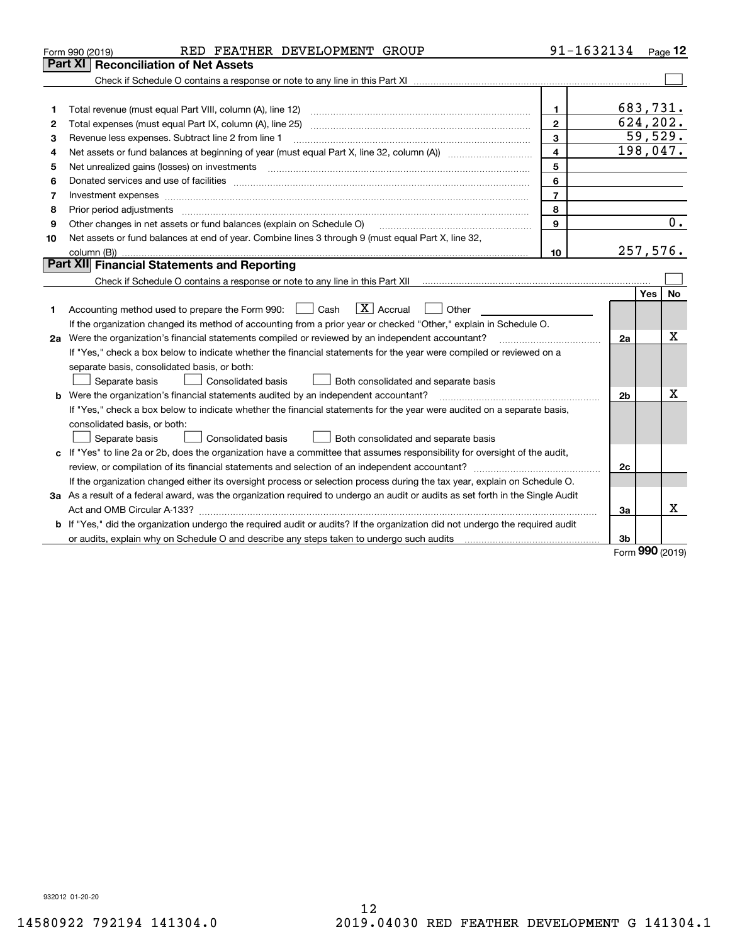|    | RED FEATHER DEVELOPMENT GROUP<br>Form 990 (2019)                                                                                | 91-1632134     |                |            | Page $12$ |
|----|---------------------------------------------------------------------------------------------------------------------------------|----------------|----------------|------------|-----------|
|    | Part XI<br><b>Reconciliation of Net Assets</b>                                                                                  |                |                |            |           |
|    |                                                                                                                                 |                |                |            |           |
|    |                                                                                                                                 |                |                |            |           |
| 1  |                                                                                                                                 | $\mathbf 1$    | 683,731.       |            |           |
| 2  |                                                                                                                                 | $\overline{2}$ | 624,202.       |            |           |
| 3  | Revenue less expenses. Subtract line 2 from line 1                                                                              | 3              |                |            | 59,529.   |
| 4  |                                                                                                                                 | 4              | 198,047.       |            |           |
| 5  |                                                                                                                                 | 5              |                |            |           |
| 6  |                                                                                                                                 | 6              |                |            |           |
| 7  | Investment expenses                                                                                                             | $\overline{7}$ |                |            |           |
| 8  | Prior period adjustments                                                                                                        | 8              |                |            |           |
| 9  | Other changes in net assets or fund balances (explain on Schedule O)                                                            | 9              |                |            | 0.        |
| 10 | Net assets or fund balances at end of year. Combine lines 3 through 9 (must equal Part X, line 32,                              |                |                |            |           |
|    |                                                                                                                                 | 10             | 257,576.       |            |           |
|    | Part XII Financial Statements and Reporting                                                                                     |                |                |            |           |
|    |                                                                                                                                 |                |                |            |           |
|    |                                                                                                                                 |                |                | Yes        | No        |
| 1  | $\boxed{\mathbf{X}}$ Accrual<br>Accounting method used to prepare the Form 990: <u>I</u> Cash<br>Other                          |                |                |            |           |
|    | If the organization changed its method of accounting from a prior year or checked "Other," explain in Schedule O.               |                |                |            |           |
|    | 2a Were the organization's financial statements compiled or reviewed by an independent accountant?                              |                | 2a             |            | Χ         |
|    | If "Yes," check a box below to indicate whether the financial statements for the year were compiled or reviewed on a            |                |                |            |           |
|    | separate basis, consolidated basis, or both:                                                                                    |                |                |            |           |
|    | Both consolidated and separate basis<br>Separate basis<br>Consolidated basis                                                    |                |                |            |           |
|    | <b>b</b> Were the organization's financial statements audited by an independent accountant?                                     |                | 2 <sub>b</sub> |            | х         |
|    | If "Yes," check a box below to indicate whether the financial statements for the year were audited on a separate basis,         |                |                |            |           |
|    | consolidated basis, or both:                                                                                                    |                |                |            |           |
|    | Consolidated basis<br>Separate basis<br>Both consolidated and separate basis                                                    |                |                |            |           |
|    | c If "Yes" to line 2a or 2b, does the organization have a committee that assumes responsibility for oversight of the audit,     |                |                |            |           |
|    |                                                                                                                                 |                | 2c             |            |           |
|    | If the organization changed either its oversight process or selection process during the tax year, explain on Schedule O.       |                |                |            |           |
|    | 3a As a result of a federal award, was the organization required to undergo an audit or audits as set forth in the Single Audit |                |                |            |           |
|    |                                                                                                                                 |                | 3a             |            | x         |
|    | b If "Yes," did the organization undergo the required audit or audits? If the organization did not undergo the required audit   |                |                |            |           |
|    |                                                                                                                                 |                | 3b             |            |           |
|    |                                                                                                                                 |                |                | <b>nnn</b> |           |

Form (2019) **990**

932012 01-20-20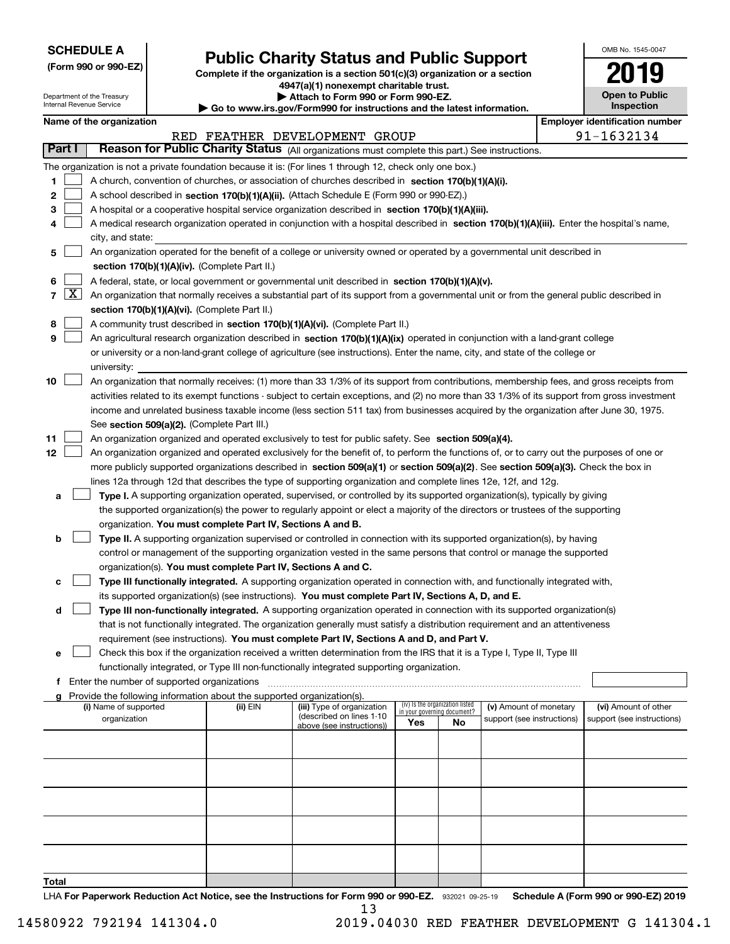| <b>SCHEDULE A</b> |
|-------------------|
|-------------------|

Department of the Treasury Internal Revenue Service

**(Form 990 or 990-EZ)**

# **Public Charity Status and Public Support**

**Complete if the organization is a section 501(c)(3) organization or a section 4947(a)(1) nonexempt charitable trust. | Attach to Form 990 or Form 990-EZ.** 

| $\triangleright$ Allach to Form occurs the children EL.                  |
|--------------------------------------------------------------------------|
| ▶ Go to www.irs.gov/Form990 for instructions and the latest information. |

| OMB No. 1545-0047                   |
|-------------------------------------|
| 2019                                |
| <b>Open to Public</b><br>Inspection |

| Name of the organization |  |
|--------------------------|--|
|--------------------------|--|

|               | <b>Employer identification number</b><br>Name of the organization                               |                                                                                                                                                                                                                                                                                        |          |                            |                                    |                                 |                            |  |                            |  |  |
|---------------|-------------------------------------------------------------------------------------------------|----------------------------------------------------------------------------------------------------------------------------------------------------------------------------------------------------------------------------------------------------------------------------------------|----------|----------------------------|------------------------------------|---------------------------------|----------------------------|--|----------------------------|--|--|
|               | 91-1632134<br>RED FEATHER DEVELOPMENT GROUP                                                     |                                                                                                                                                                                                                                                                                        |          |                            |                                    |                                 |                            |  |                            |  |  |
| <b>Part I</b> | Reason for Public Charity Status (All organizations must complete this part.) See instructions. |                                                                                                                                                                                                                                                                                        |          |                            |                                    |                                 |                            |  |                            |  |  |
|               |                                                                                                 | The organization is not a private foundation because it is: (For lines 1 through 12, check only one box.)                                                                                                                                                                              |          |                            |                                    |                                 |                            |  |                            |  |  |
| 1             |                                                                                                 | A church, convention of churches, or association of churches described in section 170(b)(1)(A)(i).                                                                                                                                                                                     |          |                            |                                    |                                 |                            |  |                            |  |  |
| 2             |                                                                                                 | A school described in section 170(b)(1)(A)(ii). (Attach Schedule E (Form 990 or 990-EZ).)                                                                                                                                                                                              |          |                            |                                    |                                 |                            |  |                            |  |  |
| з             |                                                                                                 | A hospital or a cooperative hospital service organization described in section 170(b)(1)(A)(iii).                                                                                                                                                                                      |          |                            |                                    |                                 |                            |  |                            |  |  |
| 4             |                                                                                                 | A medical research organization operated in conjunction with a hospital described in section 170(b)(1)(A)(iii). Enter the hospital's name,                                                                                                                                             |          |                            |                                    |                                 |                            |  |                            |  |  |
|               |                                                                                                 | city, and state:                                                                                                                                                                                                                                                                       |          |                            |                                    |                                 |                            |  |                            |  |  |
| 5             |                                                                                                 | An organization operated for the benefit of a college or university owned or operated by a governmental unit described in                                                                                                                                                              |          |                            |                                    |                                 |                            |  |                            |  |  |
|               |                                                                                                 | section 170(b)(1)(A)(iv). (Complete Part II.)                                                                                                                                                                                                                                          |          |                            |                                    |                                 |                            |  |                            |  |  |
| 6             |                                                                                                 | A federal, state, or local government or governmental unit described in section 170(b)(1)(A)(v).                                                                                                                                                                                       |          |                            |                                    |                                 |                            |  |                            |  |  |
| 7             | $\lfloor x \rfloor$                                                                             | An organization that normally receives a substantial part of its support from a governmental unit or from the general public described in                                                                                                                                              |          |                            |                                    |                                 |                            |  |                            |  |  |
|               |                                                                                                 | section 170(b)(1)(A)(vi). (Complete Part II.)                                                                                                                                                                                                                                          |          |                            |                                    |                                 |                            |  |                            |  |  |
| 8             |                                                                                                 | A community trust described in section 170(b)(1)(A)(vi). (Complete Part II.)                                                                                                                                                                                                           |          |                            |                                    |                                 |                            |  |                            |  |  |
| 9             |                                                                                                 | An agricultural research organization described in section 170(b)(1)(A)(ix) operated in conjunction with a land-grant college                                                                                                                                                          |          |                            |                                    |                                 |                            |  |                            |  |  |
|               |                                                                                                 | or university or a non-land-grant college of agriculture (see instructions). Enter the name, city, and state of the college or                                                                                                                                                         |          |                            |                                    |                                 |                            |  |                            |  |  |
| 10            |                                                                                                 | university:<br>An organization that normally receives: (1) more than 33 1/3% of its support from contributions, membership fees, and gross receipts from                                                                                                                               |          |                            |                                    |                                 |                            |  |                            |  |  |
|               |                                                                                                 |                                                                                                                                                                                                                                                                                        |          |                            |                                    |                                 |                            |  |                            |  |  |
|               |                                                                                                 | activities related to its exempt functions - subject to certain exceptions, and (2) no more than 33 1/3% of its support from gross investment<br>income and unrelated business taxable income (less section 511 tax) from businesses acquired by the organization after June 30, 1975. |          |                            |                                    |                                 |                            |  |                            |  |  |
|               |                                                                                                 | See section 509(a)(2). (Complete Part III.)                                                                                                                                                                                                                                            |          |                            |                                    |                                 |                            |  |                            |  |  |
| 11            |                                                                                                 | An organization organized and operated exclusively to test for public safety. See section 509(a)(4).                                                                                                                                                                                   |          |                            |                                    |                                 |                            |  |                            |  |  |
| 12            |                                                                                                 | An organization organized and operated exclusively for the benefit of, to perform the functions of, or to carry out the purposes of one or                                                                                                                                             |          |                            |                                    |                                 |                            |  |                            |  |  |
|               |                                                                                                 | more publicly supported organizations described in section 509(a)(1) or section 509(a)(2). See section 509(a)(3). Check the box in                                                                                                                                                     |          |                            |                                    |                                 |                            |  |                            |  |  |
|               |                                                                                                 | lines 12a through 12d that describes the type of supporting organization and complete lines 12e, 12f, and 12g.                                                                                                                                                                         |          |                            |                                    |                                 |                            |  |                            |  |  |
| а             |                                                                                                 | Type I. A supporting organization operated, supervised, or controlled by its supported organization(s), typically by giving                                                                                                                                                            |          |                            |                                    |                                 |                            |  |                            |  |  |
|               |                                                                                                 | the supported organization(s) the power to regularly appoint or elect a majority of the directors or trustees of the supporting                                                                                                                                                        |          |                            |                                    |                                 |                            |  |                            |  |  |
|               |                                                                                                 | organization. You must complete Part IV, Sections A and B.                                                                                                                                                                                                                             |          |                            |                                    |                                 |                            |  |                            |  |  |
| b             |                                                                                                 | Type II. A supporting organization supervised or controlled in connection with its supported organization(s), by having                                                                                                                                                                |          |                            |                                    |                                 |                            |  |                            |  |  |
|               |                                                                                                 | control or management of the supporting organization vested in the same persons that control or manage the supported                                                                                                                                                                   |          |                            |                                    |                                 |                            |  |                            |  |  |
|               |                                                                                                 | organization(s). You must complete Part IV, Sections A and C.                                                                                                                                                                                                                          |          |                            |                                    |                                 |                            |  |                            |  |  |
| c             |                                                                                                 | Type III functionally integrated. A supporting organization operated in connection with, and functionally integrated with,                                                                                                                                                             |          |                            |                                    |                                 |                            |  |                            |  |  |
|               |                                                                                                 | its supported organization(s) (see instructions). You must complete Part IV, Sections A, D, and E.                                                                                                                                                                                     |          |                            |                                    |                                 |                            |  |                            |  |  |
| d             |                                                                                                 | Type III non-functionally integrated. A supporting organization operated in connection with its supported organization(s)                                                                                                                                                              |          |                            |                                    |                                 |                            |  |                            |  |  |
|               |                                                                                                 | that is not functionally integrated. The organization generally must satisfy a distribution requirement and an attentiveness                                                                                                                                                           |          |                            |                                    |                                 |                            |  |                            |  |  |
|               |                                                                                                 | requirement (see instructions). You must complete Part IV, Sections A and D, and Part V.                                                                                                                                                                                               |          |                            |                                    |                                 |                            |  |                            |  |  |
| е             |                                                                                                 | Check this box if the organization received a written determination from the IRS that it is a Type I, Type II, Type III                                                                                                                                                                |          |                            |                                    |                                 |                            |  |                            |  |  |
|               |                                                                                                 | functionally integrated, or Type III non-functionally integrated supporting organization.                                                                                                                                                                                              |          |                            |                                    |                                 |                            |  |                            |  |  |
|               |                                                                                                 | f Enter the number of supported organizations                                                                                                                                                                                                                                          |          |                            |                                    |                                 |                            |  |                            |  |  |
|               |                                                                                                 | Provide the following information about the supported organization(s).<br>(i) Name of supported                                                                                                                                                                                        | (ii) EIN | (iii) Type of organization |                                    | (iv) Is the organization listed | (v) Amount of monetary     |  | (vi) Amount of other       |  |  |
|               |                                                                                                 | organization                                                                                                                                                                                                                                                                           |          | (described on lines 1-10   | in your governing document?<br>Yes | No                              | support (see instructions) |  | support (see instructions) |  |  |
|               |                                                                                                 |                                                                                                                                                                                                                                                                                        |          | above (see instructions))  |                                    |                                 |                            |  |                            |  |  |
|               |                                                                                                 |                                                                                                                                                                                                                                                                                        |          |                            |                                    |                                 |                            |  |                            |  |  |
|               |                                                                                                 |                                                                                                                                                                                                                                                                                        |          |                            |                                    |                                 |                            |  |                            |  |  |
|               |                                                                                                 |                                                                                                                                                                                                                                                                                        |          |                            |                                    |                                 |                            |  |                            |  |  |
|               |                                                                                                 |                                                                                                                                                                                                                                                                                        |          |                            |                                    |                                 |                            |  |                            |  |  |
|               |                                                                                                 |                                                                                                                                                                                                                                                                                        |          |                            |                                    |                                 |                            |  |                            |  |  |
|               |                                                                                                 |                                                                                                                                                                                                                                                                                        |          |                            |                                    |                                 |                            |  |                            |  |  |
|               |                                                                                                 |                                                                                                                                                                                                                                                                                        |          |                            |                                    |                                 |                            |  |                            |  |  |
|               |                                                                                                 |                                                                                                                                                                                                                                                                                        |          |                            |                                    |                                 |                            |  |                            |  |  |
|               |                                                                                                 |                                                                                                                                                                                                                                                                                        |          |                            |                                    |                                 |                            |  |                            |  |  |
| Total         |                                                                                                 |                                                                                                                                                                                                                                                                                        |          |                            |                                    |                                 |                            |  |                            |  |  |

LHA For Paperwork Reduction Act Notice, see the Instructions for Form 990 or 990-EZ. 932021 09-25-19 Schedule A (Form 990 or 990-EZ) 2019 13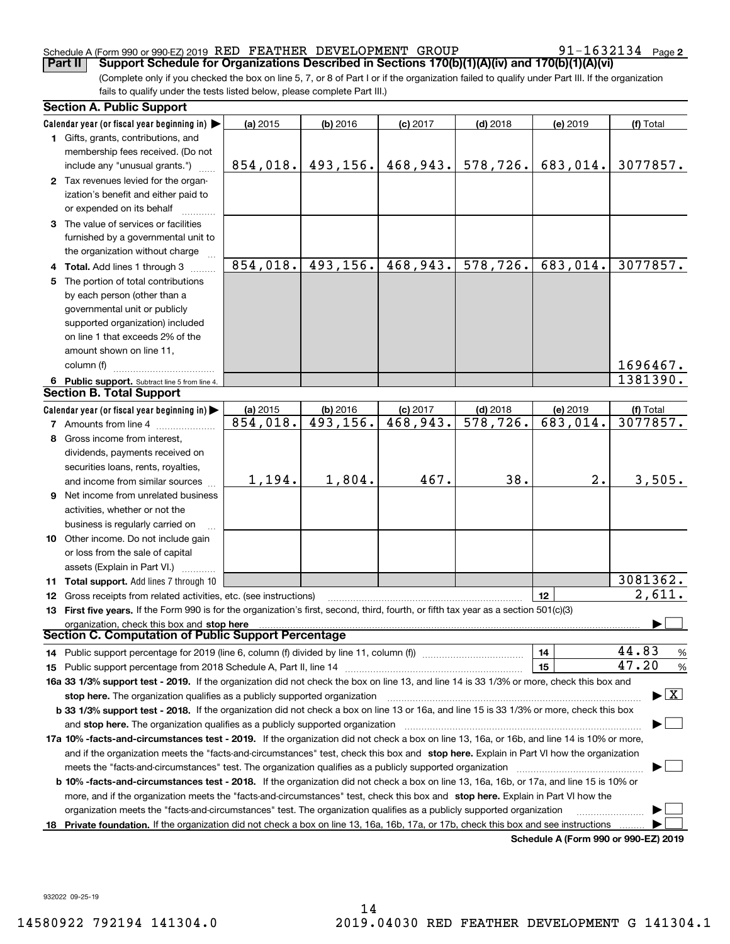### Schedule A (Form 990 or 990-EZ) 2019  $\,$  RED  $\,$  FEATHER  $\,$  DEVELOPMENT  $\,$  GROUP  $\,$   $\,$  91  $-1632134$   $\,$  Page

91-1632134 Page 2

(Complete only if you checked the box on line 5, 7, or 8 of Part I or if the organization failed to qualify under Part III. If the organization fails to qualify under the tests listed below, please complete Part III.) **Part II COPPORT Schedule for Organizations Described in Sections 170(b)(1)(A)(iv) and 170(b)(1)(A)(vi)** 

| Calendar year (or fiscal year beginning in) $\blacktriangleright$<br>(a) 2015<br>$(b)$ 2016<br>$(c)$ 2017<br>$(d)$ 2018<br>(e) 2019<br>1 Gifts, grants, contributions, and<br>membership fees received. (Do not<br>468,943.<br>578,726.<br>683,014.<br>854,018.<br>493,156.<br>include any "unusual grants.")<br>2 Tax revenues levied for the organ-<br>ization's benefit and either paid to | (f) Total<br>3077857. |  |  |  |  |  |
|-----------------------------------------------------------------------------------------------------------------------------------------------------------------------------------------------------------------------------------------------------------------------------------------------------------------------------------------------------------------------------------------------|-----------------------|--|--|--|--|--|
|                                                                                                                                                                                                                                                                                                                                                                                               |                       |  |  |  |  |  |
|                                                                                                                                                                                                                                                                                                                                                                                               |                       |  |  |  |  |  |
|                                                                                                                                                                                                                                                                                                                                                                                               |                       |  |  |  |  |  |
|                                                                                                                                                                                                                                                                                                                                                                                               |                       |  |  |  |  |  |
|                                                                                                                                                                                                                                                                                                                                                                                               |                       |  |  |  |  |  |
|                                                                                                                                                                                                                                                                                                                                                                                               |                       |  |  |  |  |  |
| or expended on its behalf                                                                                                                                                                                                                                                                                                                                                                     |                       |  |  |  |  |  |
| 3 The value of services or facilities                                                                                                                                                                                                                                                                                                                                                         |                       |  |  |  |  |  |
| furnished by a governmental unit to                                                                                                                                                                                                                                                                                                                                                           |                       |  |  |  |  |  |
| the organization without charge                                                                                                                                                                                                                                                                                                                                                               |                       |  |  |  |  |  |
| 854,018.<br>493, 156.<br>468,943.<br>578,726.<br>683,014.<br>4 Total. Add lines 1 through 3                                                                                                                                                                                                                                                                                                   | 3077857.              |  |  |  |  |  |
| 5 The portion of total contributions                                                                                                                                                                                                                                                                                                                                                          |                       |  |  |  |  |  |
| by each person (other than a                                                                                                                                                                                                                                                                                                                                                                  |                       |  |  |  |  |  |
| governmental unit or publicly                                                                                                                                                                                                                                                                                                                                                                 |                       |  |  |  |  |  |
| supported organization) included                                                                                                                                                                                                                                                                                                                                                              |                       |  |  |  |  |  |
| on line 1 that exceeds 2% of the                                                                                                                                                                                                                                                                                                                                                              |                       |  |  |  |  |  |
|                                                                                                                                                                                                                                                                                                                                                                                               |                       |  |  |  |  |  |
| amount shown on line 11,                                                                                                                                                                                                                                                                                                                                                                      |                       |  |  |  |  |  |
| column (f)                                                                                                                                                                                                                                                                                                                                                                                    | 1696467.              |  |  |  |  |  |
| 6 Public support. Subtract line 5 from line 4.                                                                                                                                                                                                                                                                                                                                                | 1381390.              |  |  |  |  |  |
| <b>Section B. Total Support</b>                                                                                                                                                                                                                                                                                                                                                               |                       |  |  |  |  |  |
| $(d)$ 2018<br>Calendar year (or fiscal year beginning in) $\blacktriangleright$<br>(a) 2015<br>$(b)$ 2016<br>$(c)$ 2017<br>(e) 2019                                                                                                                                                                                                                                                           | (f) Total             |  |  |  |  |  |
| 493, 156.<br>468,943.<br>$\overline{578, 726}$ .<br>683,014.<br>854,018.<br><b>7</b> Amounts from line 4                                                                                                                                                                                                                                                                                      | 3077857.              |  |  |  |  |  |
| 8 Gross income from interest,                                                                                                                                                                                                                                                                                                                                                                 |                       |  |  |  |  |  |
| dividends, payments received on                                                                                                                                                                                                                                                                                                                                                               |                       |  |  |  |  |  |
| securities loans, rents, royalties,                                                                                                                                                                                                                                                                                                                                                           |                       |  |  |  |  |  |
| 1,804.<br>38.<br>1,194.<br>467.<br>2.<br>and income from similar sources                                                                                                                                                                                                                                                                                                                      | 3,505.                |  |  |  |  |  |
| <b>9</b> Net income from unrelated business                                                                                                                                                                                                                                                                                                                                                   |                       |  |  |  |  |  |
| activities, whether or not the                                                                                                                                                                                                                                                                                                                                                                |                       |  |  |  |  |  |
| business is regularly carried on                                                                                                                                                                                                                                                                                                                                                              |                       |  |  |  |  |  |
| <b>10</b> Other income. Do not include gain                                                                                                                                                                                                                                                                                                                                                   |                       |  |  |  |  |  |
| or loss from the sale of capital                                                                                                                                                                                                                                                                                                                                                              |                       |  |  |  |  |  |
| assets (Explain in Part VI.) <b>Constant</b>                                                                                                                                                                                                                                                                                                                                                  |                       |  |  |  |  |  |
| 11 Total support. Add lines 7 through 10                                                                                                                                                                                                                                                                                                                                                      | 3081362.              |  |  |  |  |  |
| 12<br>12 Gross receipts from related activities, etc. (see instructions)                                                                                                                                                                                                                                                                                                                      | 2,611.                |  |  |  |  |  |
| 13 First five years. If the Form 990 is for the organization's first, second, third, fourth, or fifth tax year as a section 501(c)(3)                                                                                                                                                                                                                                                         |                       |  |  |  |  |  |
| organization, check this box and stop here                                                                                                                                                                                                                                                                                                                                                    |                       |  |  |  |  |  |
| Section C. Computation of Public Support Percentage                                                                                                                                                                                                                                                                                                                                           |                       |  |  |  |  |  |
| 44.83<br>14<br>14 Public support percentage for 2019 (line 6, column (f) divided by line 11, column (f) <i>manumeronominimi</i> ng.                                                                                                                                                                                                                                                           | $\frac{9}{6}$         |  |  |  |  |  |
| 47.20<br>15                                                                                                                                                                                                                                                                                                                                                                                   | %                     |  |  |  |  |  |
| 16a 33 1/3% support test - 2019. If the organization did not check the box on line 13, and line 14 is 33 1/3% or more, check this box and                                                                                                                                                                                                                                                     |                       |  |  |  |  |  |
| $\blacktriangleright$ $\vert$ X<br>stop here. The organization qualifies as a publicly supported organization                                                                                                                                                                                                                                                                                 |                       |  |  |  |  |  |
| b 33 1/3% support test - 2018. If the organization did not check a box on line 13 or 16a, and line 15 is 33 1/3% or more, check this box                                                                                                                                                                                                                                                      |                       |  |  |  |  |  |
| and stop here. The organization qualifies as a publicly supported organization                                                                                                                                                                                                                                                                                                                |                       |  |  |  |  |  |
| 17a 10% -facts-and-circumstances test - 2019. If the organization did not check a box on line 13, 16a, or 16b, and line 14 is 10% or more,                                                                                                                                                                                                                                                    |                       |  |  |  |  |  |
|                                                                                                                                                                                                                                                                                                                                                                                               |                       |  |  |  |  |  |
| and if the organization meets the "facts-and-circumstances" test, check this box and stop here. Explain in Part VI how the organization                                                                                                                                                                                                                                                       |                       |  |  |  |  |  |
| meets the "facts-and-circumstances" test. The organization qualifies as a publicly supported organization <i>marroummumumumum</i>                                                                                                                                                                                                                                                             |                       |  |  |  |  |  |
| <b>b 10% -facts-and-circumstances test - 2018.</b> If the organization did not check a box on line 13, 16a, 16b, or 17a, and line 15 is 10% or                                                                                                                                                                                                                                                |                       |  |  |  |  |  |
| more, and if the organization meets the "facts-and-circumstances" test, check this box and stop here. Explain in Part VI how the                                                                                                                                                                                                                                                              |                       |  |  |  |  |  |
| organization meets the "facts-and-circumstances" test. The organization qualifies as a publicly supported organization                                                                                                                                                                                                                                                                        |                       |  |  |  |  |  |
| Private foundation. If the organization did not check a box on line 13, 16a, 16b, 17a, or 17b, check this box and see instructions<br>18<br>Schedule A (Form 990 or 990-F7) 2019                                                                                                                                                                                                              |                       |  |  |  |  |  |

**Schedule A (Form 990 or 990-EZ) 2019**

932022 09-25-19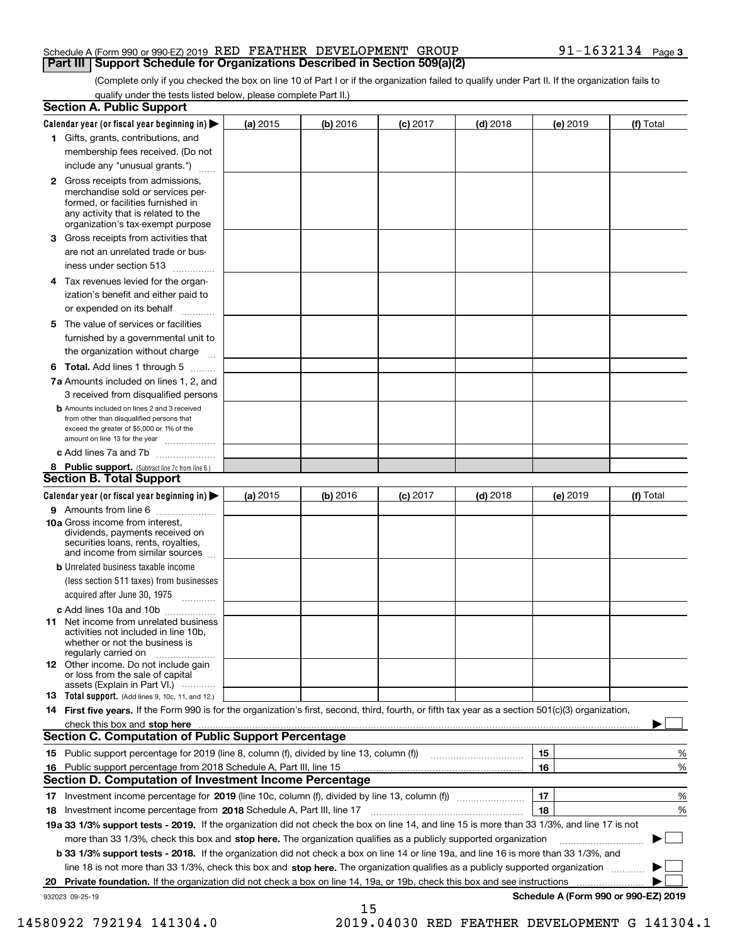#### Schedule A (Form 990 or 990-EZ) 2019  $\,$  RED  $\,$  FEATHER  $\,$  DEVELOPMENT  $\,$  GROUP  $\,$   $\,$  91  $-1632134$   $\,$  Page **Part III** | Support Schedule for Organizations Described in Section 509(a)(2)

(Complete only if you checked the box on line 10 of Part I or if the organization failed to qualify under Part II. If the organization fails to qualify under the tests listed below, please complete Part II.)

|    | <b>Section A. Public Support</b>                                                                                                                                                                                               |          |            |            |            |          |                                      |
|----|--------------------------------------------------------------------------------------------------------------------------------------------------------------------------------------------------------------------------------|----------|------------|------------|------------|----------|--------------------------------------|
|    | Calendar year (or fiscal year beginning in) $\blacktriangleright$                                                                                                                                                              | (a) 2015 | $(b)$ 2016 | $(c)$ 2017 | $(d)$ 2018 | (e) 2019 | (f) Total                            |
|    | 1 Gifts, grants, contributions, and                                                                                                                                                                                            |          |            |            |            |          |                                      |
|    | membership fees received. (Do not                                                                                                                                                                                              |          |            |            |            |          |                                      |
|    | include any "unusual grants.")                                                                                                                                                                                                 |          |            |            |            |          |                                      |
|    | 2 Gross receipts from admissions,<br>merchandise sold or services per-<br>formed, or facilities furnished in<br>any activity that is related to the<br>organization's tax-exempt purpose                                       |          |            |            |            |          |                                      |
|    | 3 Gross receipts from activities that<br>are not an unrelated trade or bus-                                                                                                                                                    |          |            |            |            |          |                                      |
|    | iness under section 513                                                                                                                                                                                                        |          |            |            |            |          |                                      |
|    | 4 Tax revenues levied for the organ-                                                                                                                                                                                           |          |            |            |            |          |                                      |
|    | ization's benefit and either paid to<br>or expended on its behalf<br>.                                                                                                                                                         |          |            |            |            |          |                                      |
|    | 5 The value of services or facilities<br>furnished by a governmental unit to                                                                                                                                                   |          |            |            |            |          |                                      |
|    | the organization without charge                                                                                                                                                                                                |          |            |            |            |          |                                      |
|    | <b>6 Total.</b> Add lines 1 through 5                                                                                                                                                                                          |          |            |            |            |          |                                      |
|    | 7a Amounts included on lines 1, 2, and<br>3 received from disqualified persons                                                                                                                                                 |          |            |            |            |          |                                      |
|    | <b>b</b> Amounts included on lines 2 and 3 received<br>from other than disqualified persons that<br>exceed the greater of \$5,000 or 1% of the<br>amount on line 13 for the year                                               |          |            |            |            |          |                                      |
|    | c Add lines 7a and 7b                                                                                                                                                                                                          |          |            |            |            |          |                                      |
|    | 8 Public support. (Subtract line 7c from line 6.)<br><b>Section B. Total Support</b>                                                                                                                                           |          |            |            |            |          |                                      |
|    | Calendar year (or fiscal year beginning in) $\blacktriangleright$                                                                                                                                                              | (a) 2015 | (b) 2016   | $(c)$ 2017 | $(d)$ 2018 | (e) 2019 | (f) Total                            |
|    | 9 Amounts from line 6                                                                                                                                                                                                          |          |            |            |            |          |                                      |
|    | 10a Gross income from interest,<br>dividends, payments received on<br>securities loans, rents, royalties,<br>and income from similar sources                                                                                   |          |            |            |            |          |                                      |
|    | <b>b</b> Unrelated business taxable income<br>(less section 511 taxes) from businesses<br>acquired after June 30, 1975                                                                                                         |          |            |            |            |          |                                      |
|    | c Add lines 10a and 10b                                                                                                                                                                                                        |          |            |            |            |          |                                      |
|    | 11 Net income from unrelated business<br>activities not included in line 10b,<br>whether or not the business is<br>regularly carried on                                                                                        |          |            |            |            |          |                                      |
|    | <b>12</b> Other income. Do not include gain<br>or loss from the sale of capital<br>assets (Explain in Part VI.)                                                                                                                |          |            |            |            |          |                                      |
|    | <b>13</b> Total support. (Add lines 9, 10c, 11, and 12.)                                                                                                                                                                       |          |            |            |            |          |                                      |
|    | 14 First five years. If the Form 990 is for the organization's first, second, third, fourth, or fifth tax year as a section 501(c)(3) organization,                                                                            |          |            |            |            |          |                                      |
|    | check this box and stop here measurements are all the state of the state of the state of the state of the state of the state of the state of the state of the state of the state of the state of the state of the state of the |          |            |            |            |          |                                      |
|    | Section C. Computation of Public Support Percentage                                                                                                                                                                            |          |            |            |            |          |                                      |
|    | 15 Public support percentage for 2019 (line 8, column (f), divided by line 13, column (f))                                                                                                                                     |          |            |            |            | 15       | %                                    |
|    | 16 Public support percentage from 2018 Schedule A, Part III, line 15                                                                                                                                                           |          |            |            |            | 16       | %                                    |
|    | <b>Section D. Computation of Investment Income Percentage</b>                                                                                                                                                                  |          |            |            |            |          |                                      |
|    | 17 Investment income percentage for 2019 (line 10c, column (f), divided by line 13, column (f))<br><b>18</b> Investment income percentage from <b>2018</b> Schedule A, Part III, line 17                                       |          |            |            |            | 17<br>18 | %<br>%                               |
|    | 19a 33 1/3% support tests - 2019. If the organization did not check the box on line 14, and line 15 is more than 33 1/3%, and line 17 is not                                                                                   |          |            |            |            |          |                                      |
|    | more than 33 1/3%, check this box and stop here. The organization qualifies as a publicly supported organization                                                                                                               |          |            |            |            |          | ▶                                    |
|    | b 33 1/3% support tests - 2018. If the organization did not check a box on line 14 or line 19a, and line 16 is more than 33 1/3%, and                                                                                          |          |            |            |            |          |                                      |
|    | line 18 is not more than 33 1/3%, check this box and stop here. The organization qualifies as a publicly supported organization                                                                                                |          |            |            |            |          |                                      |
| 20 | <b>Private foundation.</b> If the organization did not check a box on line 14, 19a, or 19b, check this box and see instructions                                                                                                |          |            |            |            |          |                                      |
|    | 932023 09-25-19                                                                                                                                                                                                                |          |            |            |            |          | Schedule A (Form 990 or 990-EZ) 2019 |
|    |                                                                                                                                                                                                                                |          | 15         |            |            |          |                                      |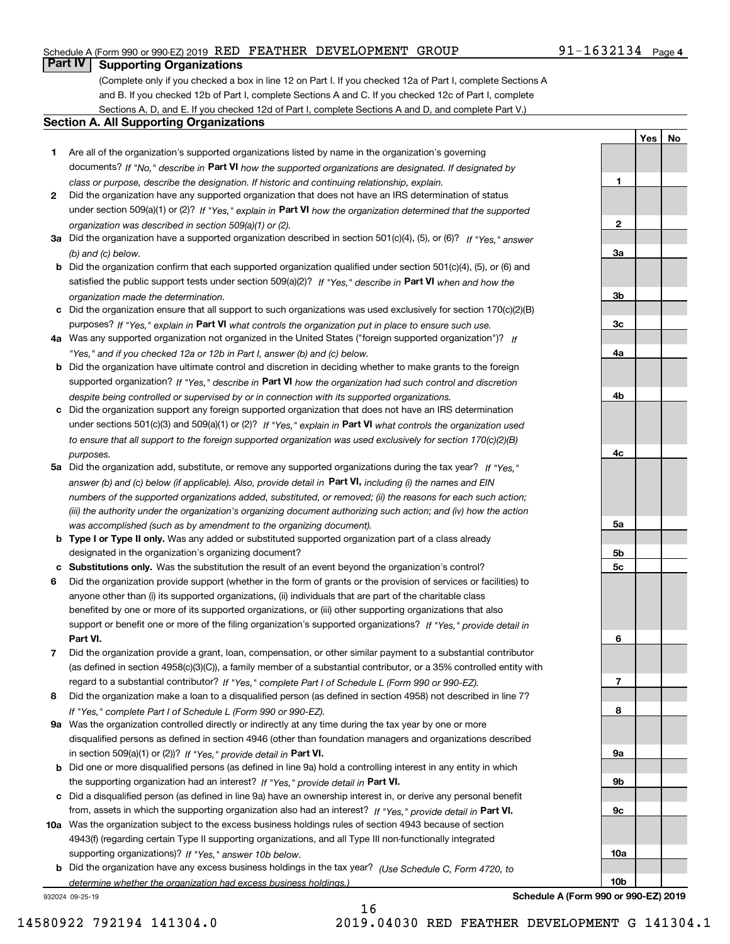### Schedule A (Form 990 or 990-EZ) 2019  $\,$  RED  $\,$  FEATHER  $\,$  DEVELOPMENT  $\,$  GROUP  $\,$   $\,$  91  $-1632134$   $\,$  Page

# **Part IV Supporting Organizations**

(Complete only if you checked a box in line 12 on Part I. If you checked 12a of Part I, complete Sections A and B. If you checked 12b of Part I, complete Sections A and C. If you checked 12c of Part I, complete Sections A, D, and E. If you checked 12d of Part I, complete Sections A and D, and complete Part V.)

#### **Section A. All Supporting Organizations**

- **1** Are all of the organization's supported organizations listed by name in the organization's governing documents? If "No," describe in **Part VI** how the supported organizations are designated. If designated by *class or purpose, describe the designation. If historic and continuing relationship, explain.*
- **2** Did the organization have any supported organization that does not have an IRS determination of status under section 509(a)(1) or (2)? If "Yes," explain in Part VI how the organization determined that the supported *organization was described in section 509(a)(1) or (2).*
- **3a** Did the organization have a supported organization described in section 501(c)(4), (5), or (6)? If "Yes," answer *(b) and (c) below.*
- **b** Did the organization confirm that each supported organization qualified under section 501(c)(4), (5), or (6) and satisfied the public support tests under section 509(a)(2)? If "Yes," describe in **Part VI** when and how the *organization made the determination.*
- **c**Did the organization ensure that all support to such organizations was used exclusively for section 170(c)(2)(B) purposes? If "Yes," explain in **Part VI** what controls the organization put in place to ensure such use.
- **4a***If* Was any supported organization not organized in the United States ("foreign supported organization")? *"Yes," and if you checked 12a or 12b in Part I, answer (b) and (c) below.*
- **b** Did the organization have ultimate control and discretion in deciding whether to make grants to the foreign supported organization? If "Yes," describe in **Part VI** how the organization had such control and discretion *despite being controlled or supervised by or in connection with its supported organizations.*
- **c** Did the organization support any foreign supported organization that does not have an IRS determination under sections 501(c)(3) and 509(a)(1) or (2)? If "Yes," explain in **Part VI** what controls the organization used *to ensure that all support to the foreign supported organization was used exclusively for section 170(c)(2)(B) purposes.*
- **5a** Did the organization add, substitute, or remove any supported organizations during the tax year? If "Yes," answer (b) and (c) below (if applicable). Also, provide detail in **Part VI,** including (i) the names and EIN *numbers of the supported organizations added, substituted, or removed; (ii) the reasons for each such action; (iii) the authority under the organization's organizing document authorizing such action; and (iv) how the action was accomplished (such as by amendment to the organizing document).*
- **b** Type I or Type II only. Was any added or substituted supported organization part of a class already designated in the organization's organizing document?
- **cSubstitutions only.**  Was the substitution the result of an event beyond the organization's control?
- **6** Did the organization provide support (whether in the form of grants or the provision of services or facilities) to **Part VI.** *If "Yes," provide detail in* support or benefit one or more of the filing organization's supported organizations? anyone other than (i) its supported organizations, (ii) individuals that are part of the charitable class benefited by one or more of its supported organizations, or (iii) other supporting organizations that also
- **7**Did the organization provide a grant, loan, compensation, or other similar payment to a substantial contributor *If "Yes," complete Part I of Schedule L (Form 990 or 990-EZ).* regard to a substantial contributor? (as defined in section 4958(c)(3)(C)), a family member of a substantial contributor, or a 35% controlled entity with
- **8** Did the organization make a loan to a disqualified person (as defined in section 4958) not described in line 7? *If "Yes," complete Part I of Schedule L (Form 990 or 990-EZ).*
- **9a** Was the organization controlled directly or indirectly at any time during the tax year by one or more in section 509(a)(1) or (2))? If "Yes," *provide detail in* <code>Part VI.</code> disqualified persons as defined in section 4946 (other than foundation managers and organizations described
- **b** Did one or more disqualified persons (as defined in line 9a) hold a controlling interest in any entity in which the supporting organization had an interest? If "Yes," provide detail in P**art VI**.
- **c**Did a disqualified person (as defined in line 9a) have an ownership interest in, or derive any personal benefit from, assets in which the supporting organization also had an interest? If "Yes," provide detail in P**art VI.**
- **10a** Was the organization subject to the excess business holdings rules of section 4943 because of section supporting organizations)? If "Yes," answer 10b below. 4943(f) (regarding certain Type II supporting organizations, and all Type III non-functionally integrated
- **b** Did the organization have any excess business holdings in the tax year? (Use Schedule C, Form 4720, to *determine whether the organization had excess business holdings.)*

16

932024 09-25-19

**123a3b3c4a4b4c5a 5b5c6789a 9b9c**

**Yes No**

**Schedule A (Form 990 or 990-EZ) 2019**

**10a**

**10b**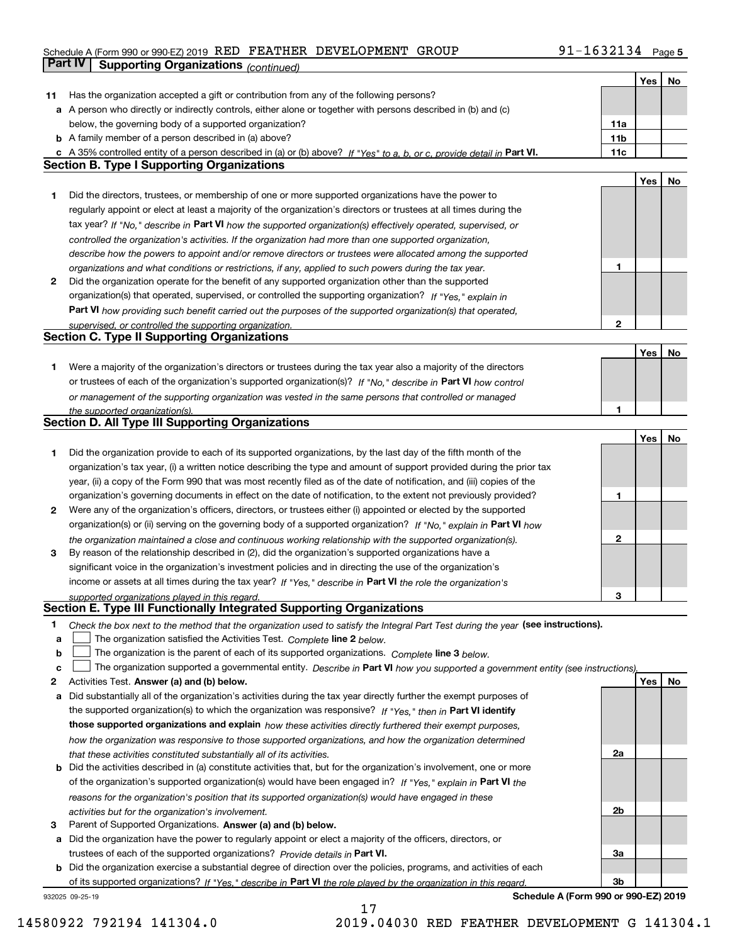# Schedule A (Form 990 or 990-EZ) 2019  $\,$  RED  $\,$  FEATHER  $\,$  DEVELOPMENT  $\,$  GROUP  $\,$   $\,$  91  $-1632134$   $\,$  Page **Part IV** Supporting Organizations (*continued*)

|    |                                                                                                                                                                              |              | Yes | No |
|----|------------------------------------------------------------------------------------------------------------------------------------------------------------------------------|--------------|-----|----|
| 11 | Has the organization accepted a gift or contribution from any of the following persons?                                                                                      |              |     |    |
|    | <b>a</b> A person who directly or indirectly controls, either alone or together with persons described in (b) and (c)                                                        |              |     |    |
|    | below, the governing body of a supported organization?                                                                                                                       | 11a          |     |    |
|    | <b>b</b> A family member of a person described in (a) above?                                                                                                                 | 11b          |     |    |
|    |                                                                                                                                                                              | 11c          |     |    |
|    | c A 35% controlled entity of a person described in (a) or (b) above? If "Yes" to a, b, or c, provide detail in Part VI.<br><b>Section B. Type I Supporting Organizations</b> |              |     |    |
|    |                                                                                                                                                                              |              |     |    |
|    |                                                                                                                                                                              |              | Yes | No |
| 1  | Did the directors, trustees, or membership of one or more supported organizations have the power to                                                                          |              |     |    |
|    | regularly appoint or elect at least a majority of the organization's directors or trustees at all times during the                                                           |              |     |    |
|    | tax year? If "No," describe in Part VI how the supported organization(s) effectively operated, supervised, or                                                                |              |     |    |
|    | controlled the organization's activities. If the organization had more than one supported organization,                                                                      |              |     |    |
|    | describe how the powers to appoint and/or remove directors or trustees were allocated among the supported                                                                    |              |     |    |
|    | organizations and what conditions or restrictions, if any, applied to such powers during the tax year.                                                                       | 1            |     |    |
| 2  | Did the organization operate for the benefit of any supported organization other than the supported                                                                          |              |     |    |
|    | organization(s) that operated, supervised, or controlled the supporting organization? If "Yes," explain in                                                                   |              |     |    |
|    | Part VI how providing such benefit carried out the purposes of the supported organization(s) that operated,                                                                  |              |     |    |
|    |                                                                                                                                                                              | $\mathbf{2}$ |     |    |
|    | supervised, or controlled the supporting organization.<br><b>Section C. Type II Supporting Organizations</b>                                                                 |              |     |    |
|    |                                                                                                                                                                              |              |     |    |
|    |                                                                                                                                                                              |              | Yes | No |
| 1  | Were a majority of the organization's directors or trustees during the tax year also a majority of the directors                                                             |              |     |    |
|    | or trustees of each of the organization's supported organization(s)? If "No," describe in Part VI how control                                                                |              |     |    |
|    | or management of the supporting organization was vested in the same persons that controlled or managed                                                                       |              |     |    |
|    | the supported organization(s).                                                                                                                                               | 1            |     |    |
|    | Section D. All Type III Supporting Organizations                                                                                                                             |              |     |    |
|    |                                                                                                                                                                              |              | Yes | No |
| 1  | Did the organization provide to each of its supported organizations, by the last day of the fifth month of the                                                               |              |     |    |
|    | organization's tax year, (i) a written notice describing the type and amount of support provided during the prior tax                                                        |              |     |    |
|    | year, (ii) a copy of the Form 990 that was most recently filed as of the date of notification, and (iii) copies of the                                                       |              |     |    |
|    |                                                                                                                                                                              | 1            |     |    |
|    | organization's governing documents in effect on the date of notification, to the extent not previously provided?                                                             |              |     |    |
| 2  | Were any of the organization's officers, directors, or trustees either (i) appointed or elected by the supported                                                             |              |     |    |
|    | organization(s) or (ii) serving on the governing body of a supported organization? If "No," explain in Part VI how                                                           |              |     |    |
|    | the organization maintained a close and continuous working relationship with the supported organization(s).                                                                  | 2            |     |    |
| 3  | By reason of the relationship described in (2), did the organization's supported organizations have a                                                                        |              |     |    |
|    | significant voice in the organization's investment policies and in directing the use of the organization's                                                                   |              |     |    |
|    | income or assets at all times during the tax year? If "Yes," describe in Part VI the role the organization's                                                                 |              |     |    |
|    | supported organizations played in this regard.                                                                                                                               | З            |     |    |
|    | Section E. Type III Functionally Integrated Supporting Organizations                                                                                                         |              |     |    |
| 1  | Check the box next to the method that the organization used to satisfy the Integral Part Test during the year (see instructions).                                            |              |     |    |
| a  | The organization satisfied the Activities Test. Complete line 2 below.                                                                                                       |              |     |    |
| b  | The organization is the parent of each of its supported organizations. Complete line 3 below.                                                                                |              |     |    |
|    |                                                                                                                                                                              |              |     |    |
| C  | The organization supported a governmental entity. Describe in Part VI how you supported a government entity (see instructions),                                              |              |     |    |
| 2  | Activities Test. Answer (a) and (b) below.                                                                                                                                   |              | Yes | No |
| a  | Did substantially all of the organization's activities during the tax year directly further the exempt purposes of                                                           |              |     |    |
|    | the supported organization(s) to which the organization was responsive? If "Yes," then in Part VI identify                                                                   |              |     |    |
|    | those supported organizations and explain how these activities directly furthered their exempt purposes,                                                                     |              |     |    |
|    | how the organization was responsive to those supported organizations, and how the organization determined                                                                    |              |     |    |
|    | that these activities constituted substantially all of its activities.                                                                                                       | 2a           |     |    |
| b  | Did the activities described in (a) constitute activities that, but for the organization's involvement, one or more                                                          |              |     |    |
|    | of the organization's supported organization(s) would have been engaged in? If "Yes," explain in Part VI the                                                                 |              |     |    |
|    | reasons for the organization's position that its supported organization(s) would have engaged in these                                                                       |              |     |    |
|    |                                                                                                                                                                              | 2b           |     |    |
|    | activities but for the organization's involvement.                                                                                                                           |              |     |    |
| з  | Parent of Supported Organizations. Answer (a) and (b) below.                                                                                                                 |              |     |    |
|    | a Did the organization have the power to regularly appoint or elect a majority of the officers, directors, or                                                                |              |     |    |
|    | trustees of each of the supported organizations? Provide details in Part VI.                                                                                                 | За           |     |    |
|    | <b>b</b> Did the organization exercise a substantial degree of direction over the policies, programs, and activities of each                                                 |              |     |    |
|    | of its supported organizations? If "Yes," describe in Part VI the role played by the organization in this regard.                                                            | 3b           |     |    |
|    | Schedule A (Form 990 or 990-EZ) 2019<br>932025 09-25-19                                                                                                                      |              |     |    |

17

**Schedule A (Form 990 or 990-EZ) 2019**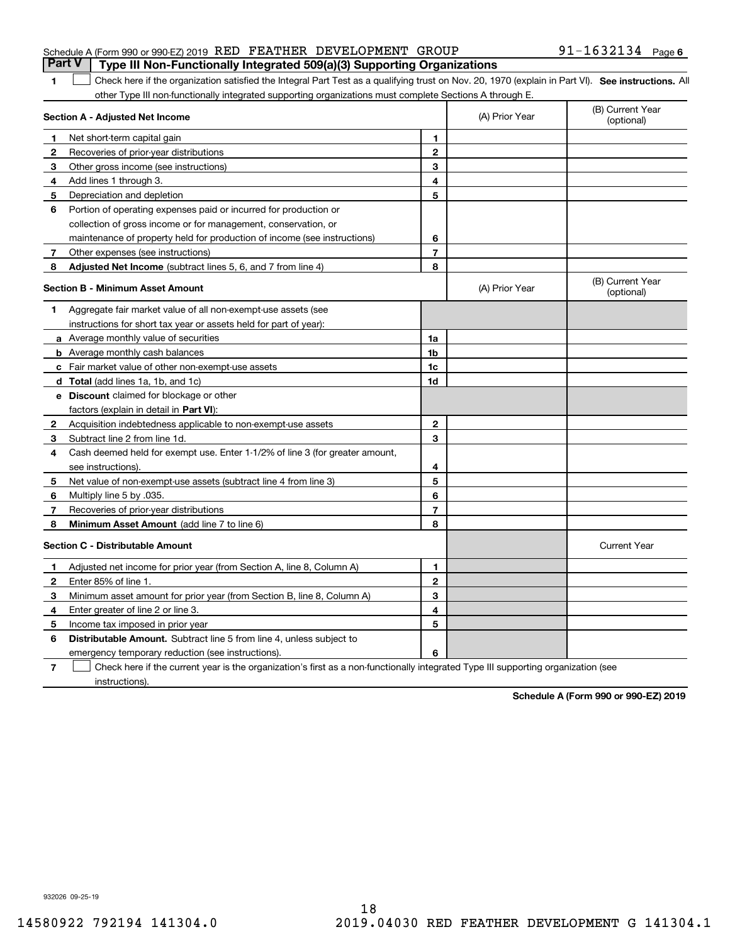| <b>Part V</b> Type III Non-Functionally Integrated 509(a)(3) Supporting Organizations |  |  |                   |  |
|---------------------------------------------------------------------------------------|--|--|-------------------|--|
| Schedule A (Form 990 or 990-EZ) 2019 RED FEATHER DEVELOPMENT GROUP                    |  |  | 91-1632134 Page 6 |  |

## 1 Check here if the organization satisfied the Integral Part Test as a qualifying trust on Nov. 20, 1970 (explain in Part VI). See instructions. All other Type III non-functionally integrated supporting organizations must complete Sections A through E.

|              | Section A - Adjusted Net Income                                                                                                   | (A) Prior Year | (B) Current Year<br>(optional) |                                |
|--------------|-----------------------------------------------------------------------------------------------------------------------------------|----------------|--------------------------------|--------------------------------|
| 1            | Net short-term capital gain                                                                                                       | 1              |                                |                                |
| $\mathbf{2}$ | Recoveries of prior-year distributions                                                                                            | $\overline{2}$ |                                |                                |
| 3            | Other gross income (see instructions)                                                                                             | 3              |                                |                                |
| 4            | Add lines 1 through 3.                                                                                                            | 4              |                                |                                |
| 5            | Depreciation and depletion                                                                                                        | 5              |                                |                                |
| 6            | Portion of operating expenses paid or incurred for production or                                                                  |                |                                |                                |
|              | collection of gross income or for management, conservation, or                                                                    |                |                                |                                |
|              | maintenance of property held for production of income (see instructions)                                                          | 6              |                                |                                |
| 7            | Other expenses (see instructions)                                                                                                 | $\overline{7}$ |                                |                                |
| 8            | Adjusted Net Income (subtract lines 5, 6, and 7 from line 4)                                                                      | 8              |                                |                                |
|              | <b>Section B - Minimum Asset Amount</b>                                                                                           |                | (A) Prior Year                 | (B) Current Year<br>(optional) |
| 1            | Aggregate fair market value of all non-exempt-use assets (see                                                                     |                |                                |                                |
|              | instructions for short tax year or assets held for part of year):                                                                 |                |                                |                                |
|              | a Average monthly value of securities                                                                                             | 1a             |                                |                                |
|              | <b>b</b> Average monthly cash balances                                                                                            | 1 <sub>b</sub> |                                |                                |
|              | c Fair market value of other non-exempt-use assets                                                                                | 1c             |                                |                                |
|              | <b>d</b> Total (add lines 1a, 1b, and 1c)                                                                                         | 1d             |                                |                                |
|              | <b>e</b> Discount claimed for blockage or other                                                                                   |                |                                |                                |
|              | factors (explain in detail in Part VI):                                                                                           |                |                                |                                |
| 2            | Acquisition indebtedness applicable to non-exempt-use assets                                                                      | $\mathbf{2}$   |                                |                                |
| 3            | Subtract line 2 from line 1d.                                                                                                     | 3              |                                |                                |
| 4            | Cash deemed held for exempt use. Enter 1-1/2% of line 3 (for greater amount,                                                      |                |                                |                                |
|              | see instructions)                                                                                                                 | 4              |                                |                                |
| 5            | Net value of non-exempt-use assets (subtract line 4 from line 3)                                                                  | 5              |                                |                                |
| 6            | Multiply line 5 by .035.                                                                                                          | 6              |                                |                                |
| 7            | Recoveries of prior-year distributions                                                                                            | 7              |                                |                                |
| 8            | <b>Minimum Asset Amount</b> (add line 7 to line 6)                                                                                | 8              |                                |                                |
|              | <b>Section C - Distributable Amount</b>                                                                                           |                |                                | <b>Current Year</b>            |
| 1.           | Adjusted net income for prior year (from Section A, line 8, Column A)                                                             | 1              |                                |                                |
| 2            | Enter 85% of line 1.                                                                                                              | $\overline{2}$ |                                |                                |
| 3            | Minimum asset amount for prior year (from Section B, line 8, Column A)                                                            | 3              |                                |                                |
| 4            | Enter greater of line 2 or line 3.                                                                                                | 4              |                                |                                |
| 5            | Income tax imposed in prior year                                                                                                  | 5              |                                |                                |
| 6            | <b>Distributable Amount.</b> Subtract line 5 from line 4, unless subject to                                                       |                |                                |                                |
|              | emergency temporary reduction (see instructions).                                                                                 | 6              |                                |                                |
| 7            | Check here if the current year is the organization's first as a non-functionally integrated Type III supporting organization (see |                |                                |                                |

instructions).

**Schedule A (Form 990 or 990-EZ) 2019**

932026 09-25-19

**1**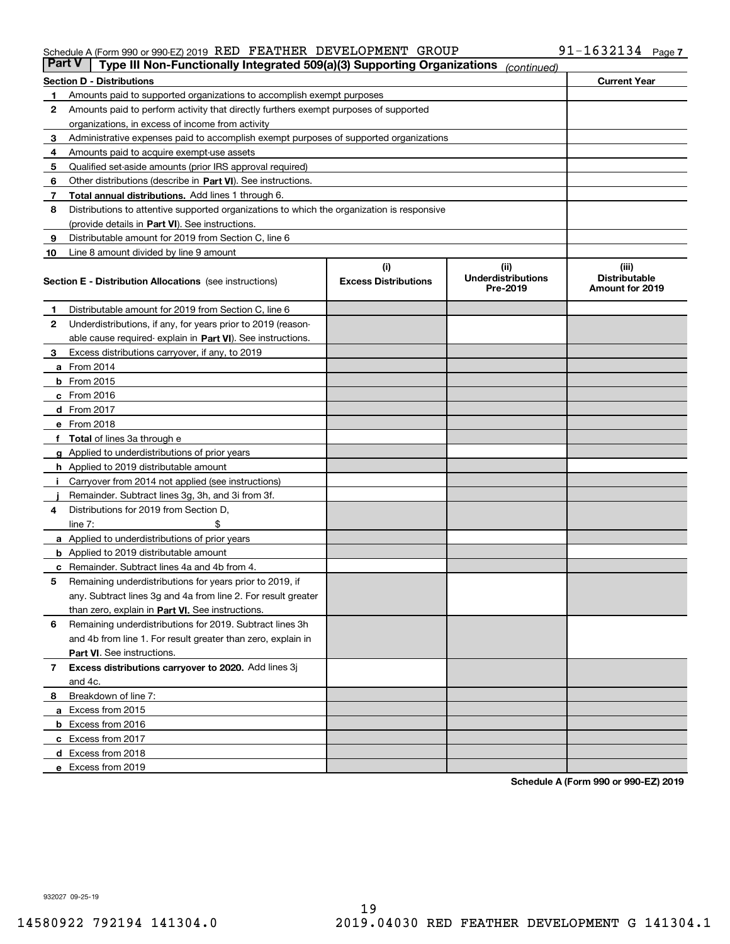#### Schedule A (Form 990 or 990-EZ) 2019  $\,$  RED  $\,$  FEATHER  $\,$  DEVELOPMENT  $\,$  GROUP  $\,$   $\,$  91  $-1632134$   $\,$  Page

| <b>Part V</b> | Type III Non-Functionally Integrated 509(a)(3) Supporting Organizations                    |                             | (continued)                           |                                         |  |  |  |
|---------------|--------------------------------------------------------------------------------------------|-----------------------------|---------------------------------------|-----------------------------------------|--|--|--|
|               | <b>Section D - Distributions</b>                                                           |                             |                                       | <b>Current Year</b>                     |  |  |  |
| 1             | Amounts paid to supported organizations to accomplish exempt purposes                      |                             |                                       |                                         |  |  |  |
| 2             | Amounts paid to perform activity that directly furthers exempt purposes of supported       |                             |                                       |                                         |  |  |  |
|               | organizations, in excess of income from activity                                           |                             |                                       |                                         |  |  |  |
| 3             | Administrative expenses paid to accomplish exempt purposes of supported organizations      |                             |                                       |                                         |  |  |  |
| 4             | Amounts paid to acquire exempt-use assets                                                  |                             |                                       |                                         |  |  |  |
| 5             | Qualified set-aside amounts (prior IRS approval required)                                  |                             |                                       |                                         |  |  |  |
| 6             | Other distributions (describe in Part VI). See instructions.                               |                             |                                       |                                         |  |  |  |
| 7             | <b>Total annual distributions.</b> Add lines 1 through 6.                                  |                             |                                       |                                         |  |  |  |
| 8             | Distributions to attentive supported organizations to which the organization is responsive |                             |                                       |                                         |  |  |  |
|               | (provide details in Part VI). See instructions.                                            |                             |                                       |                                         |  |  |  |
| 9             | Distributable amount for 2019 from Section C, line 6                                       |                             |                                       |                                         |  |  |  |
| 10            | Line 8 amount divided by line 9 amount                                                     |                             |                                       |                                         |  |  |  |
|               |                                                                                            | (i)                         | (iii)                                 | (iii)                                   |  |  |  |
|               | <b>Section E - Distribution Allocations</b> (see instructions)                             | <b>Excess Distributions</b> | <b>Underdistributions</b><br>Pre-2019 | <b>Distributable</b><br>Amount for 2019 |  |  |  |
| 1             | Distributable amount for 2019 from Section C, line 6                                       |                             |                                       |                                         |  |  |  |
| 2             | Underdistributions, if any, for years prior to 2019 (reason-                               |                             |                                       |                                         |  |  |  |
|               | able cause required- explain in Part VI). See instructions.                                |                             |                                       |                                         |  |  |  |
| З             | Excess distributions carryover, if any, to 2019                                            |                             |                                       |                                         |  |  |  |
|               | <b>a</b> From 2014                                                                         |                             |                                       |                                         |  |  |  |
|               | <b>b</b> From 2015                                                                         |                             |                                       |                                         |  |  |  |
|               | $c$ From 2016                                                                              |                             |                                       |                                         |  |  |  |
|               | d From 2017                                                                                |                             |                                       |                                         |  |  |  |
|               | e From 2018                                                                                |                             |                                       |                                         |  |  |  |
|               | Total of lines 3a through e                                                                |                             |                                       |                                         |  |  |  |
| g             | Applied to underdistributions of prior years                                               |                             |                                       |                                         |  |  |  |
|               | <b>h</b> Applied to 2019 distributable amount                                              |                             |                                       |                                         |  |  |  |
|               | Carryover from 2014 not applied (see instructions)                                         |                             |                                       |                                         |  |  |  |
|               | Remainder. Subtract lines 3g, 3h, and 3i from 3f.                                          |                             |                                       |                                         |  |  |  |
| 4             | Distributions for 2019 from Section D,                                                     |                             |                                       |                                         |  |  |  |
|               | line $7:$                                                                                  |                             |                                       |                                         |  |  |  |
|               | <b>a</b> Applied to underdistributions of prior years                                      |                             |                                       |                                         |  |  |  |
|               | <b>b</b> Applied to 2019 distributable amount                                              |                             |                                       |                                         |  |  |  |
|               | c Remainder. Subtract lines 4a and 4b from 4.                                              |                             |                                       |                                         |  |  |  |
| 5             | Remaining underdistributions for years prior to 2019, if                                   |                             |                                       |                                         |  |  |  |
|               | any. Subtract lines 3g and 4a from line 2. For result greater                              |                             |                                       |                                         |  |  |  |
|               | than zero, explain in Part VI. See instructions.                                           |                             |                                       |                                         |  |  |  |
| 6             | Remaining underdistributions for 2019. Subtract lines 3h                                   |                             |                                       |                                         |  |  |  |
|               | and 4b from line 1. For result greater than zero, explain in                               |                             |                                       |                                         |  |  |  |
|               | Part VI. See instructions.                                                                 |                             |                                       |                                         |  |  |  |
| 7             | Excess distributions carryover to 2020. Add lines 3j                                       |                             |                                       |                                         |  |  |  |
|               | and 4c.                                                                                    |                             |                                       |                                         |  |  |  |
| 8             | Breakdown of line 7:                                                                       |                             |                                       |                                         |  |  |  |
|               | a Excess from 2015                                                                         |                             |                                       |                                         |  |  |  |
|               | <b>b</b> Excess from 2016                                                                  |                             |                                       |                                         |  |  |  |
|               | c Excess from 2017                                                                         |                             |                                       |                                         |  |  |  |
|               | d Excess from 2018                                                                         |                             |                                       |                                         |  |  |  |
|               | e Excess from 2019                                                                         |                             |                                       |                                         |  |  |  |
|               |                                                                                            |                             |                                       |                                         |  |  |  |

**Schedule A (Form 990 or 990-EZ) 2019**

932027 09-25-19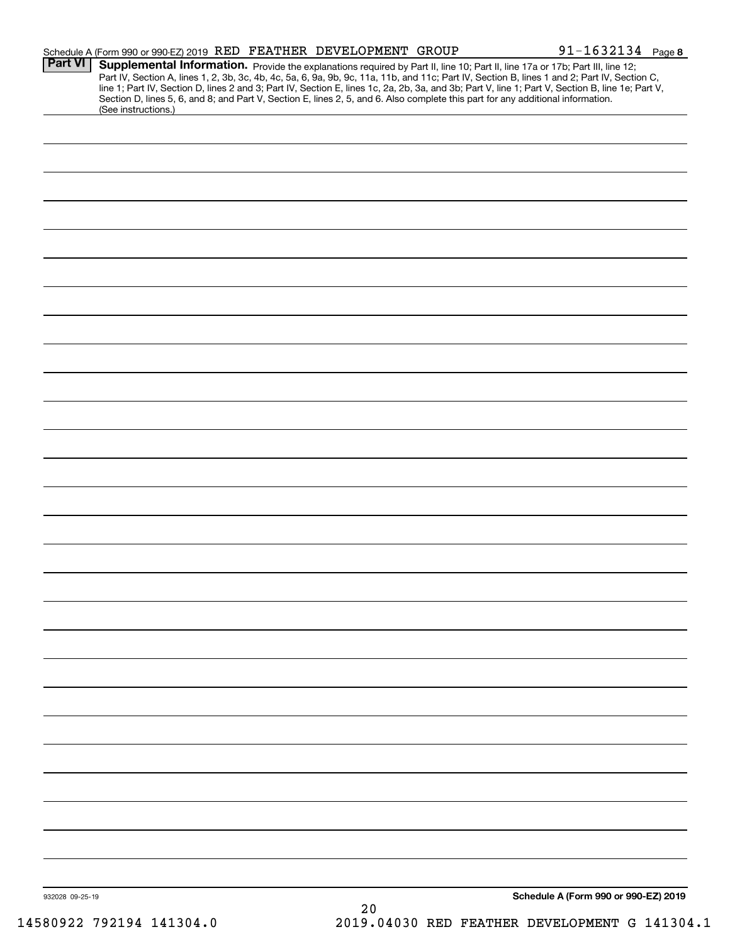|                 | Schedule A (Form 990 or 990-EZ) 2019 RED FEATHER DEVELOPMENT GROUP                                                                                     |    | $91 - 1632134$ Page 8                                                                                                                                                                                                                                                                            |  |
|-----------------|--------------------------------------------------------------------------------------------------------------------------------------------------------|----|--------------------------------------------------------------------------------------------------------------------------------------------------------------------------------------------------------------------------------------------------------------------------------------------------|--|
| Part VI         | Supplemental Information. Provide the explanations required by Part II, line 10; Part II, line 17a or 17b; Part III, line 12;                          |    | Part IV, Section A, lines 1, 2, 3b, 3c, 4b, 4c, 5a, 6, 9a, 9b, 9c, 11a, 11b, and 11c; Part IV, Section B, lines 1 and 2; Part IV, Section C,<br>line 1; Part IV, Section D, lines 2 and 3; Part IV, Section E, lines 1c, 2a, 2b, 3a, and 3b; Part V, line 1; Part V, Section B, line 1e; Part V, |  |
|                 | Section D, lines 5, 6, and 8; and Part V, Section E, lines 2, 5, and 6. Also complete this part for any additional information.<br>(See instructions.) |    |                                                                                                                                                                                                                                                                                                  |  |
|                 |                                                                                                                                                        |    |                                                                                                                                                                                                                                                                                                  |  |
|                 |                                                                                                                                                        |    |                                                                                                                                                                                                                                                                                                  |  |
|                 |                                                                                                                                                        |    |                                                                                                                                                                                                                                                                                                  |  |
|                 |                                                                                                                                                        |    |                                                                                                                                                                                                                                                                                                  |  |
|                 |                                                                                                                                                        |    |                                                                                                                                                                                                                                                                                                  |  |
|                 |                                                                                                                                                        |    |                                                                                                                                                                                                                                                                                                  |  |
|                 |                                                                                                                                                        |    |                                                                                                                                                                                                                                                                                                  |  |
|                 |                                                                                                                                                        |    |                                                                                                                                                                                                                                                                                                  |  |
|                 |                                                                                                                                                        |    |                                                                                                                                                                                                                                                                                                  |  |
|                 |                                                                                                                                                        |    |                                                                                                                                                                                                                                                                                                  |  |
|                 |                                                                                                                                                        |    |                                                                                                                                                                                                                                                                                                  |  |
|                 |                                                                                                                                                        |    |                                                                                                                                                                                                                                                                                                  |  |
|                 |                                                                                                                                                        |    |                                                                                                                                                                                                                                                                                                  |  |
|                 |                                                                                                                                                        |    |                                                                                                                                                                                                                                                                                                  |  |
|                 |                                                                                                                                                        |    |                                                                                                                                                                                                                                                                                                  |  |
|                 |                                                                                                                                                        |    |                                                                                                                                                                                                                                                                                                  |  |
|                 |                                                                                                                                                        |    |                                                                                                                                                                                                                                                                                                  |  |
|                 |                                                                                                                                                        |    |                                                                                                                                                                                                                                                                                                  |  |
|                 |                                                                                                                                                        |    |                                                                                                                                                                                                                                                                                                  |  |
|                 |                                                                                                                                                        |    |                                                                                                                                                                                                                                                                                                  |  |
|                 |                                                                                                                                                        |    |                                                                                                                                                                                                                                                                                                  |  |
|                 |                                                                                                                                                        |    |                                                                                                                                                                                                                                                                                                  |  |
|                 |                                                                                                                                                        |    |                                                                                                                                                                                                                                                                                                  |  |
|                 |                                                                                                                                                        |    |                                                                                                                                                                                                                                                                                                  |  |
|                 |                                                                                                                                                        |    |                                                                                                                                                                                                                                                                                                  |  |
|                 |                                                                                                                                                        |    |                                                                                                                                                                                                                                                                                                  |  |
|                 |                                                                                                                                                        |    |                                                                                                                                                                                                                                                                                                  |  |
|                 |                                                                                                                                                        |    |                                                                                                                                                                                                                                                                                                  |  |
|                 |                                                                                                                                                        |    |                                                                                                                                                                                                                                                                                                  |  |
|                 |                                                                                                                                                        |    |                                                                                                                                                                                                                                                                                                  |  |
|                 |                                                                                                                                                        |    |                                                                                                                                                                                                                                                                                                  |  |
|                 |                                                                                                                                                        |    |                                                                                                                                                                                                                                                                                                  |  |
|                 |                                                                                                                                                        |    |                                                                                                                                                                                                                                                                                                  |  |
|                 |                                                                                                                                                        |    |                                                                                                                                                                                                                                                                                                  |  |
|                 |                                                                                                                                                        |    |                                                                                                                                                                                                                                                                                                  |  |
|                 |                                                                                                                                                        |    |                                                                                                                                                                                                                                                                                                  |  |
| 932028 09-25-19 |                                                                                                                                                        |    | Schedule A (Form 990 or 990-EZ) 2019                                                                                                                                                                                                                                                             |  |
|                 |                                                                                                                                                        | 20 |                                                                                                                                                                                                                                                                                                  |  |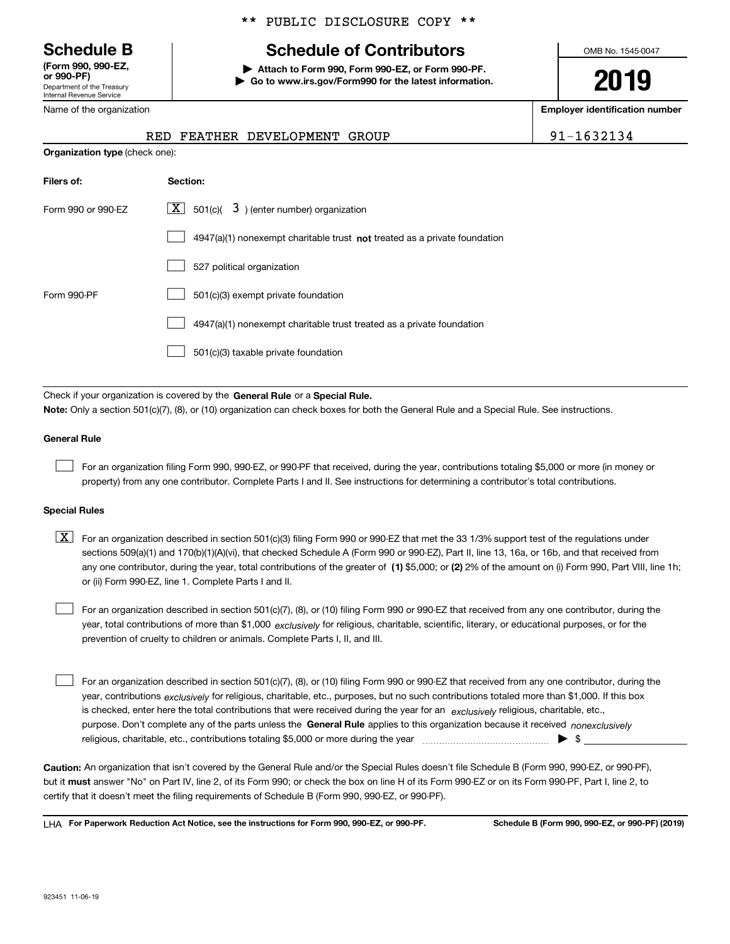Department of the Treasury Internal Revenue Service **(Form 990, 990-EZ, or 990-PF)**

Name of the organization

### \*\* PUBLIC DISCLOSURE COPY \*\*

# **Schedule B Schedule of Contributors**

**| Attach to Form 990, Form 990-EZ, or Form 990-PF. | Go to www.irs.gov/Form990 for the latest information.** OMB No. 1545-0047

**2019**

**Employer identification number**

|  | RED FEATHER DEVELOPMENT GROUP | 1632134 |
|--|-------------------------------|---------|
|  |                               |         |

| <b>Organization type (check one):</b> |                                                                           |  |  |  |  |
|---------------------------------------|---------------------------------------------------------------------------|--|--|--|--|
| Filers of:                            | Section:                                                                  |  |  |  |  |
| Form 990 or 990-EZ                    | $\lfloor x \rfloor$ 501(c)( 3) (enter number) organization                |  |  |  |  |
|                                       | 4947(a)(1) nonexempt charitable trust not treated as a private foundation |  |  |  |  |
|                                       | 527 political organization                                                |  |  |  |  |
| Form 990-PF                           | 501(c)(3) exempt private foundation                                       |  |  |  |  |
|                                       | 4947(a)(1) nonexempt charitable trust treated as a private foundation     |  |  |  |  |
|                                       | 501(c)(3) taxable private foundation                                      |  |  |  |  |

Check if your organization is covered by the **General Rule** or a **Special Rule.**<br>Nota: Only a section 501(c)(7), (8), or (10) erganization can chock boxes for be **Note:**  Only a section 501(c)(7), (8), or (10) organization can check boxes for both the General Rule and a Special Rule. See instructions.

#### **General Rule**

 $\mathcal{L}^{\text{max}}$ 

For an organization filing Form 990, 990-EZ, or 990-PF that received, during the year, contributions totaling \$5,000 or more (in money or property) from any one contributor. Complete Parts I and II. See instructions for determining a contributor's total contributions.

#### **Special Rules**

any one contributor, during the year, total contributions of the greater of  $\,$  (1) \$5,000; or **(2)** 2% of the amount on (i) Form 990, Part VIII, line 1h;  $\boxed{\textbf{X}}$  For an organization described in section 501(c)(3) filing Form 990 or 990-EZ that met the 33 1/3% support test of the regulations under sections 509(a)(1) and 170(b)(1)(A)(vi), that checked Schedule A (Form 990 or 990-EZ), Part II, line 13, 16a, or 16b, and that received from or (ii) Form 990-EZ, line 1. Complete Parts I and II.

year, total contributions of more than \$1,000 *exclusively* for religious, charitable, scientific, literary, or educational purposes, or for the For an organization described in section 501(c)(7), (8), or (10) filing Form 990 or 990-EZ that received from any one contributor, during the prevention of cruelty to children or animals. Complete Parts I, II, and III.  $\mathcal{L}^{\text{max}}$ 

purpose. Don't complete any of the parts unless the **General Rule** applies to this organization because it received *nonexclusively* year, contributions <sub>exclusively</sub> for religious, charitable, etc., purposes, but no such contributions totaled more than \$1,000. If this box is checked, enter here the total contributions that were received during the year for an  $\;$ exclusively religious, charitable, etc., For an organization described in section 501(c)(7), (8), or (10) filing Form 990 or 990-EZ that received from any one contributor, during the religious, charitable, etc., contributions totaling \$5,000 or more during the year  $\Box$ — $\Box$   $\Box$  $\mathcal{L}^{\text{max}}$ 

**Caution:**  An organization that isn't covered by the General Rule and/or the Special Rules doesn't file Schedule B (Form 990, 990-EZ, or 990-PF), but it **must** answer "No" on Part IV, line 2, of its Form 990; or check the box on line H of its Form 990-EZ or on its Form 990-PF, Part I, line 2, to<br>cortify that it doesn't meet the filipe requirements of Schodule B (Fer certify that it doesn't meet the filing requirements of Schedule B (Form 990, 990-EZ, or 990-PF).

**For Paperwork Reduction Act Notice, see the instructions for Form 990, 990-EZ, or 990-PF. Schedule B (Form 990, 990-EZ, or 990-PF) (2019)** LHA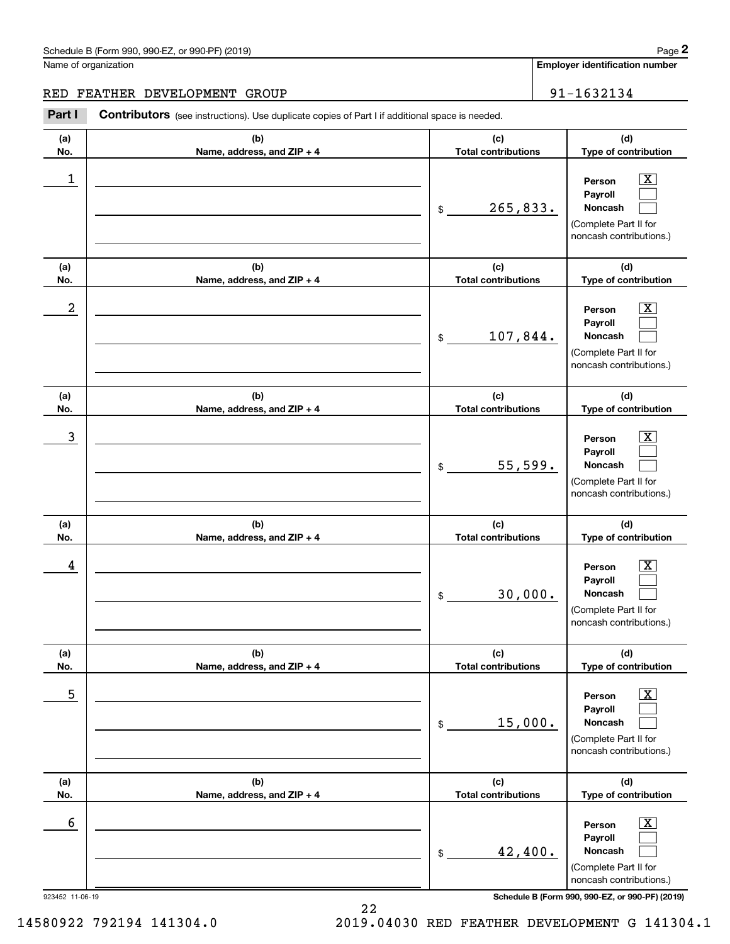# Schedule B (Form 990, 990-EZ, or 990-PF) (2019) Page 2

Name of organization

## RED FEATHER DEVELOPMENT GROUP 31-1632134

Contributors (see instructions). Use duplicate copies of Part I if additional space is needed. **2** Chedule B (Form 990, 990-EZ, or 990-PF) (2019)<br> **2Part I 2Part II**<br> **2Part I Contributors** (see instructions). Use duplicate copies of Part I if additional space is needed.<br> **Part I Contributors** (see instruction

| (a) | (b)                        | (c)                                 | (d)                                                                                                         |
|-----|----------------------------|-------------------------------------|-------------------------------------------------------------------------------------------------------------|
| No. | Name, address, and ZIP + 4 | <b>Total contributions</b>          | Type of contribution                                                                                        |
| 1   |                            | 265,833.<br>$$\tilde{\phantom{a}}$$ | $\overline{\text{X}}$<br>Person<br>Payroll<br>Noncash<br>(Complete Part II for<br>noncash contributions.)   |
| (a) | (b)                        | (c)                                 | (d)                                                                                                         |
| No. | Name, address, and ZIP + 4 | <b>Total contributions</b>          | Type of contribution                                                                                        |
| 2   |                            | 107,844.<br>$\frac{1}{2}$           | X<br>Person<br>Payroll<br>Noncash<br>(Complete Part II for<br>noncash contributions.)                       |
| (a) | (b)                        | (c)                                 | (d)                                                                                                         |
| No. | Name, address, and ZIP + 4 | <b>Total contributions</b>          | Type of contribution                                                                                        |
| 3   |                            | 55,599.<br>\$                       | X<br>Person<br>Payroll<br>Noncash<br>(Complete Part II for<br>noncash contributions.)                       |
| (a) | (b)                        | (c)                                 | (d)                                                                                                         |
| No. | Name, address, and ZIP + 4 | <b>Total contributions</b>          | Type of contribution                                                                                        |
| 4   |                            | 30,000.<br>\$                       | X<br>Person<br>Payroll<br>Noncash<br>(Complete Part II for<br>noncash contributions.)                       |
| (a) | (b)                        | (c)                                 | (d)                                                                                                         |
| No. | Name, address, and ZIP + 4 | <b>Total contributions</b>          | Type of contribution                                                                                        |
| 5   |                            | 15,000.<br>\$                       | $\overline{\texttt{X}}$<br>Person<br>Payroll<br>Noncash<br>(Complete Part II for<br>noncash contributions.) |
| (a) | (b)                        | (c)                                 | (d)                                                                                                         |
| No. | Name, address, and ZIP + 4 | <b>Total contributions</b>          | Type of contribution                                                                                        |
| 6   |                            | 42,400.<br>\$                       | $\overline{\text{X}}$<br>Person<br>Payroll<br>Noncash<br>(Complete Part II for<br>noncash contributions.)   |

923452 11-06-19 **Schedule B (Form 990, 990-EZ, or 990-PF) (2019)**

22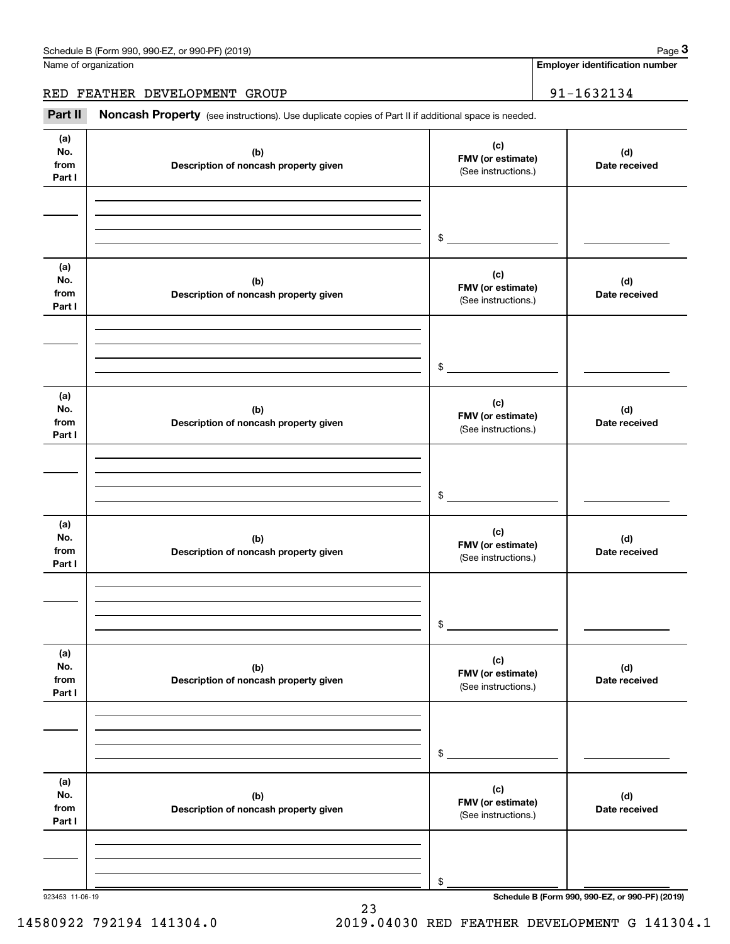|                              | Schedule B (Form 990, 990-EZ, or 990-PF) (2019)                                                     |                                                 | Page 3                                          |
|------------------------------|-----------------------------------------------------------------------------------------------------|-------------------------------------------------|-------------------------------------------------|
|                              | Name of organization                                                                                |                                                 | <b>Employer identification number</b>           |
|                              | RED FEATHER DEVELOPMENT GROUP                                                                       |                                                 | 91-1632134                                      |
| Part II                      | Noncash Property (see instructions). Use duplicate copies of Part II if additional space is needed. |                                                 |                                                 |
| (a)<br>No.<br>from<br>Part I | (b)<br>Description of noncash property given                                                        | (c)<br>FMV (or estimate)<br>(See instructions.) | (d)<br>Date received                            |
|                              |                                                                                                     | \$                                              |                                                 |
| (a)<br>No.<br>from<br>Part I | (b)<br>Description of noncash property given                                                        | (c)<br>FMV (or estimate)<br>(See instructions.) | (d)<br>Date received                            |
|                              |                                                                                                     | \$                                              |                                                 |
| (a)<br>No.<br>from<br>Part I | (b)<br>Description of noncash property given                                                        | (c)<br>FMV (or estimate)<br>(See instructions.) | (d)<br>Date received                            |
|                              |                                                                                                     | \$                                              |                                                 |
| (a)<br>No.<br>from<br>Part I | (b)<br>Description of noncash property given                                                        | (c)<br>FMV (or estimate)<br>(See instructions.) | (d)<br>Date received                            |
|                              |                                                                                                     | \$                                              |                                                 |
| (a)<br>No.<br>from<br>Part I | (b)<br>Description of noncash property given                                                        | (c)<br>FMV (or estimate)<br>(See instructions.) | (d)<br>Date received                            |
|                              |                                                                                                     | \$                                              |                                                 |
| (a)<br>No.<br>from<br>Part I | (b)<br>Description of noncash property given                                                        | (c)<br>FMV (or estimate)<br>(See instructions.) | (d)<br>Date received                            |
|                              |                                                                                                     | \$                                              |                                                 |
| 923453 11-06-19              |                                                                                                     |                                                 | Schedule B (Form 990, 990-EZ, or 990-PF) (2019) |

23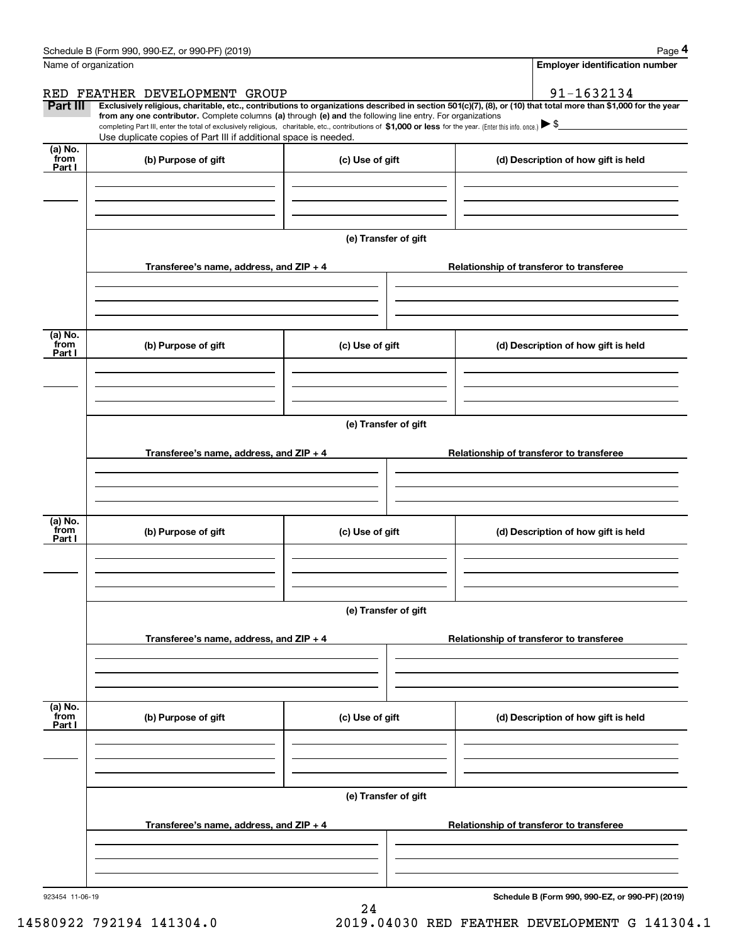|                           | Schedule B (Form 990, 990-EZ, or 990-PF) (2019)                                                                                                                               |                      | Page 4                                                                                                                                                                                                                                                                                                                                              |  |  |  |  |
|---------------------------|-------------------------------------------------------------------------------------------------------------------------------------------------------------------------------|----------------------|-----------------------------------------------------------------------------------------------------------------------------------------------------------------------------------------------------------------------------------------------------------------------------------------------------------------------------------------------------|--|--|--|--|
|                           | Name of organization                                                                                                                                                          |                      | <b>Employer identification number</b>                                                                                                                                                                                                                                                                                                               |  |  |  |  |
|                           | RED FEATHER DEVELOPMENT GROUP                                                                                                                                                 |                      | 91-1632134                                                                                                                                                                                                                                                                                                                                          |  |  |  |  |
| Part III                  | from any one contributor. Complete columns (a) through (e) and the following line entry. For organizations<br>Use duplicate copies of Part III if additional space is needed. |                      | Exclusively religious, charitable, etc., contributions to organizations described in section 501(c)(7), (8), or (10) that total more than \$1,000 for the year<br>completing Part III, enter the total of exclusively religious, charitable, etc., contributions of \$1,000 or less for the year. (Enter this info. once.) $\blacktriangleright$ \$ |  |  |  |  |
| (a) No.<br>from<br>Part I | (b) Purpose of gift                                                                                                                                                           | (c) Use of gift      | (d) Description of how gift is held                                                                                                                                                                                                                                                                                                                 |  |  |  |  |
|                           |                                                                                                                                                                               |                      |                                                                                                                                                                                                                                                                                                                                                     |  |  |  |  |
|                           |                                                                                                                                                                               |                      |                                                                                                                                                                                                                                                                                                                                                     |  |  |  |  |
|                           |                                                                                                                                                                               | (e) Transfer of gift |                                                                                                                                                                                                                                                                                                                                                     |  |  |  |  |
|                           | Transferee's name, address, and $ZIP + 4$                                                                                                                                     |                      | Relationship of transferor to transferee                                                                                                                                                                                                                                                                                                            |  |  |  |  |
|                           |                                                                                                                                                                               |                      |                                                                                                                                                                                                                                                                                                                                                     |  |  |  |  |
| (a) No.<br>from<br>Part I | (b) Purpose of gift                                                                                                                                                           | (c) Use of gift      | (d) Description of how gift is held                                                                                                                                                                                                                                                                                                                 |  |  |  |  |
|                           |                                                                                                                                                                               |                      |                                                                                                                                                                                                                                                                                                                                                     |  |  |  |  |
|                           |                                                                                                                                                                               | (e) Transfer of gift |                                                                                                                                                                                                                                                                                                                                                     |  |  |  |  |
|                           |                                                                                                                                                                               |                      |                                                                                                                                                                                                                                                                                                                                                     |  |  |  |  |
|                           | Transferee's name, address, and $ZIP + 4$                                                                                                                                     |                      | Relationship of transferor to transferee                                                                                                                                                                                                                                                                                                            |  |  |  |  |
|                           |                                                                                                                                                                               |                      |                                                                                                                                                                                                                                                                                                                                                     |  |  |  |  |
| (a) No.<br>from<br>Part I | (b) Purpose of gift                                                                                                                                                           | (c) Use of gift      | (d) Description of how gift is held                                                                                                                                                                                                                                                                                                                 |  |  |  |  |
|                           |                                                                                                                                                                               |                      |                                                                                                                                                                                                                                                                                                                                                     |  |  |  |  |
|                           |                                                                                                                                                                               |                      |                                                                                                                                                                                                                                                                                                                                                     |  |  |  |  |
|                           |                                                                                                                                                                               | (e) Transfer of gift |                                                                                                                                                                                                                                                                                                                                                     |  |  |  |  |
|                           | Transferee's name, address, and ZIP + 4                                                                                                                                       |                      | Relationship of transferor to transferee                                                                                                                                                                                                                                                                                                            |  |  |  |  |
|                           |                                                                                                                                                                               |                      |                                                                                                                                                                                                                                                                                                                                                     |  |  |  |  |
| (a) No.<br>from<br>Part I | (b) Purpose of gift                                                                                                                                                           | (c) Use of gift      | (d) Description of how gift is held                                                                                                                                                                                                                                                                                                                 |  |  |  |  |
|                           |                                                                                                                                                                               |                      |                                                                                                                                                                                                                                                                                                                                                     |  |  |  |  |
|                           |                                                                                                                                                                               |                      |                                                                                                                                                                                                                                                                                                                                                     |  |  |  |  |
|                           |                                                                                                                                                                               | (e) Transfer of gift |                                                                                                                                                                                                                                                                                                                                                     |  |  |  |  |
|                           | Transferee's name, address, and ZIP + 4                                                                                                                                       |                      | Relationship of transferor to transferee                                                                                                                                                                                                                                                                                                            |  |  |  |  |
|                           |                                                                                                                                                                               |                      |                                                                                                                                                                                                                                                                                                                                                     |  |  |  |  |
|                           |                                                                                                                                                                               |                      |                                                                                                                                                                                                                                                                                                                                                     |  |  |  |  |

24

923454 11-06-19

**Schedule B (Form 990, 990-EZ, or 990-PF) (2019)**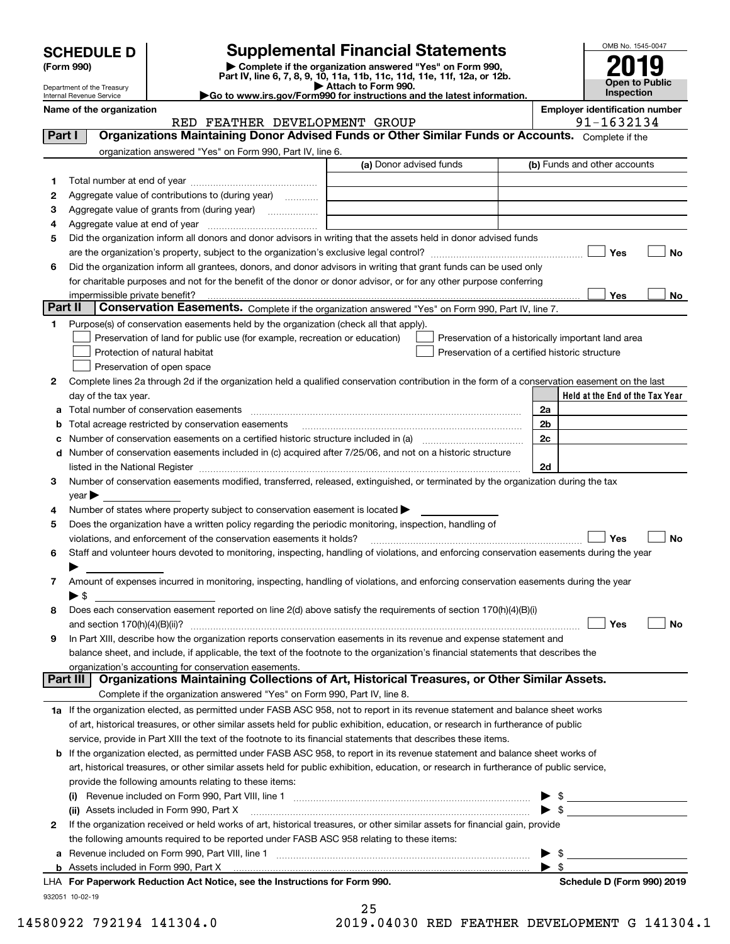| <b>SCHEDULE D</b> |  |
|-------------------|--|
|-------------------|--|

# **SCHEDULE D Supplemental Financial Statements**

(Form 990)<br>
Pepartment of the Treasury<br>
Department of the Treasury<br>
Department of the Treasury<br>
Department of the Treasury<br> **Co to www.irs.gov/Form990 for instructions and the latest information.**<br> **Co to www.irs.gov/Form9** 



Department of the Treasury Internal Revenue Service

| ≻Go to www.irs.gov/Form990 for instructions and the latest informa |  |  |
|--------------------------------------------------------------------|--|--|
|                                                                    |  |  |

**Name of the organization Employer identification number**

|          | RED FEATHER DEVELOPMENT GROUP                                                                                                                  |                         |                                                | 91-1632134                                         |
|----------|------------------------------------------------------------------------------------------------------------------------------------------------|-------------------------|------------------------------------------------|----------------------------------------------------|
| Part I   | Organizations Maintaining Donor Advised Funds or Other Similar Funds or Accounts. Complete if the                                              |                         |                                                |                                                    |
|          | organization answered "Yes" on Form 990, Part IV, line 6.                                                                                      |                         |                                                |                                                    |
|          |                                                                                                                                                | (a) Donor advised funds |                                                | (b) Funds and other accounts                       |
| 1        |                                                                                                                                                |                         |                                                |                                                    |
| 2        | Aggregate value of contributions to (during year)                                                                                              |                         |                                                |                                                    |
| з        |                                                                                                                                                |                         |                                                |                                                    |
| 4        |                                                                                                                                                |                         |                                                |                                                    |
| 5        | Did the organization inform all donors and donor advisors in writing that the assets held in donor advised funds                               |                         |                                                |                                                    |
|          |                                                                                                                                                |                         |                                                | Yes<br>No                                          |
| 6        | Did the organization inform all grantees, donors, and donor advisors in writing that grant funds can be used only                              |                         |                                                |                                                    |
|          | for charitable purposes and not for the benefit of the donor or donor advisor, or for any other purpose conferring                             |                         |                                                |                                                    |
|          | impermissible private benefit?                                                                                                                 |                         |                                                | Yes<br>No                                          |
| Part II  | Conservation Easements. Complete if the organization answered "Yes" on Form 990, Part IV, line 7.                                              |                         |                                                |                                                    |
| 1.       | Purpose(s) of conservation easements held by the organization (check all that apply).                                                          |                         |                                                |                                                    |
|          | Preservation of land for public use (for example, recreation or education)                                                                     |                         |                                                | Preservation of a historically important land area |
|          | Protection of natural habitat                                                                                                                  |                         | Preservation of a certified historic structure |                                                    |
|          | Preservation of open space                                                                                                                     |                         |                                                |                                                    |
|          |                                                                                                                                                |                         |                                                |                                                    |
| 2        | Complete lines 2a through 2d if the organization held a qualified conservation contribution in the form of a conservation easement on the last |                         |                                                |                                                    |
|          | day of the tax year.                                                                                                                           |                         |                                                | Held at the End of the Tax Year                    |
|          |                                                                                                                                                |                         |                                                | 2a                                                 |
| b        | Total acreage restricted by conservation easements                                                                                             |                         |                                                | 2b                                                 |
| c        |                                                                                                                                                |                         |                                                | 2c                                                 |
|          | d Number of conservation easements included in (c) acquired after 7/25/06, and not on a historic structure                                     |                         |                                                |                                                    |
|          |                                                                                                                                                |                         |                                                | 2d                                                 |
| 3        | Number of conservation easements modified, transferred, released, extinguished, or terminated by the organization during the tax               |                         |                                                |                                                    |
|          | $year \blacktriangleright$                                                                                                                     |                         |                                                |                                                    |
| 4        | Number of states where property subject to conservation easement is located $\blacktriangleright$                                              |                         |                                                |                                                    |
| 5        | Does the organization have a written policy regarding the periodic monitoring, inspection, handling of                                         |                         |                                                |                                                    |
|          | violations, and enforcement of the conservation easements it holds?                                                                            |                         |                                                | Yes<br>No                                          |
| 6        | Staff and volunteer hours devoted to monitoring, inspecting, handling of violations, and enforcing conservation easements during the year      |                         |                                                |                                                    |
|          |                                                                                                                                                |                         |                                                |                                                    |
| 7        | Amount of expenses incurred in monitoring, inspecting, handling of violations, and enforcing conservation easements during the year            |                         |                                                |                                                    |
|          | $\blacktriangleright$ s                                                                                                                        |                         |                                                |                                                    |
| 8        | Does each conservation easement reported on line 2(d) above satisfy the requirements of section 170(h)(4)(B)(i)                                |                         |                                                |                                                    |
|          |                                                                                                                                                |                         |                                                | Yes<br>No                                          |
| 9        | In Part XIII, describe how the organization reports conservation easements in its revenue and expense statement and                            |                         |                                                |                                                    |
|          | balance sheet, and include, if applicable, the text of the footnote to the organization's financial statements that describes the              |                         |                                                |                                                    |
|          | organization's accounting for conservation easements.                                                                                          |                         |                                                |                                                    |
| Part III | Organizations Maintaining Collections of Art, Historical Treasures, or Other Similar Assets.                                                   |                         |                                                |                                                    |
|          | Complete if the organization answered "Yes" on Form 990, Part IV, line 8.                                                                      |                         |                                                |                                                    |
|          | 1a If the organization elected, as permitted under FASB ASC 958, not to report in its revenue statement and balance sheet works                |                         |                                                |                                                    |
|          | of art, historical treasures, or other similar assets held for public exhibition, education, or research in furtherance of public              |                         |                                                |                                                    |
|          | service, provide in Part XIII the text of the footnote to its financial statements that describes these items.                                 |                         |                                                |                                                    |
|          | <b>b</b> If the organization elected, as permitted under FASB ASC 958, to report in its revenue statement and balance sheet works of           |                         |                                                |                                                    |
|          | art, historical treasures, or other similar assets held for public exhibition, education, or research in furtherance of public service,        |                         |                                                |                                                    |
|          | provide the following amounts relating to these items:                                                                                         |                         |                                                |                                                    |
|          | (i)                                                                                                                                            |                         |                                                | \$                                                 |
|          | (ii) Assets included in Form 990, Part X                                                                                                       |                         |                                                | $\blacktriangleright$ \$                           |
| 2        | If the organization received or held works of art, historical treasures, or other similar assets for financial gain, provide                   |                         |                                                |                                                    |
|          | the following amounts required to be reported under FASB ASC 958 relating to these items:                                                      |                         |                                                |                                                    |
|          |                                                                                                                                                |                         |                                                | $\qquad \qquad \bullet$                            |
|          |                                                                                                                                                |                         |                                                | $\blacktriangleright$ \$                           |
|          | LHA For Departuark Poduction Act Notice, see the Instructions for Form 000                                                                     |                         |                                                | Pohodulo D (Form 000) 2010                         |

**For Paperwork Reduction Act Notice, see the Instructions for Form 990. Schedule D (Form 990) 2019** LHA

25

932051 10-02-19

|                          | --                                            |  |
|--------------------------|-----------------------------------------------|--|
| 14580922 792194 141304.0 | 2019.04030 RED FEATHER DEVELOPMENT G 141304.1 |  |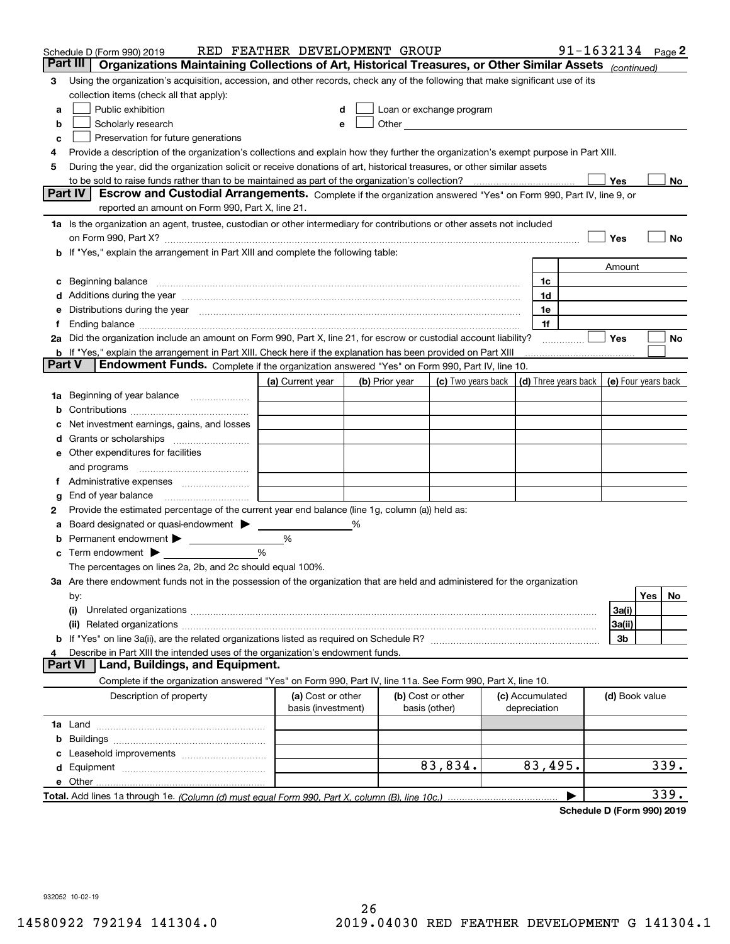|        | Schedule D (Form 990) 2019                                                                                                                                                                                                     | RED FEATHER DEVELOPMENT GROUP           |   |                |                                                      |                                 | 91-1632134 Page 2 |                     |     |      |
|--------|--------------------------------------------------------------------------------------------------------------------------------------------------------------------------------------------------------------------------------|-----------------------------------------|---|----------------|------------------------------------------------------|---------------------------------|-------------------|---------------------|-----|------|
|        | Part III<br>Organizations Maintaining Collections of Art, Historical Treasures, or Other Similar Assets (continued)                                                                                                            |                                         |   |                |                                                      |                                 |                   |                     |     |      |
| 3      | Using the organization's acquisition, accession, and other records, check any of the following that make significant use of its                                                                                                |                                         |   |                |                                                      |                                 |                   |                     |     |      |
|        | collection items (check all that apply):                                                                                                                                                                                       |                                         |   |                |                                                      |                                 |                   |                     |     |      |
| a      | Public exhibition                                                                                                                                                                                                              | d                                       |   |                | Loan or exchange program                             |                                 |                   |                     |     |      |
| b      | Scholarly research                                                                                                                                                                                                             | е                                       |   |                | Other <b>Committee Committee Committee Committee</b> |                                 |                   |                     |     |      |
| c      | Preservation for future generations                                                                                                                                                                                            |                                         |   |                |                                                      |                                 |                   |                     |     |      |
| 4      | Provide a description of the organization's collections and explain how they further the organization's exempt purpose in Part XIII.                                                                                           |                                         |   |                |                                                      |                                 |                   |                     |     |      |
| 5      | During the year, did the organization solicit or receive donations of art, historical treasures, or other similar assets                                                                                                       |                                         |   |                |                                                      |                                 |                   |                     |     |      |
|        | to be sold to raise funds rather than to be maintained as part of the organization's collection?                                                                                                                               |                                         |   |                |                                                      |                                 |                   | Yes                 |     | No   |
|        | <b>Part IV</b><br>Escrow and Custodial Arrangements. Complete if the organization answered "Yes" on Form 990, Part IV, line 9, or                                                                                              |                                         |   |                |                                                      |                                 |                   |                     |     |      |
|        | reported an amount on Form 990, Part X, line 21.                                                                                                                                                                               |                                         |   |                |                                                      |                                 |                   |                     |     |      |
|        | 1a Is the organization an agent, trustee, custodian or other intermediary for contributions or other assets not included                                                                                                       |                                         |   |                |                                                      |                                 |                   |                     |     |      |
|        | on Form 990, Part X? [11] matter and the contract of the contract of the contract of the contract of the contract of the contract of the contract of the contract of the contract of the contract of the contract of the contr |                                         |   |                |                                                      |                                 |                   | Yes                 |     | No   |
|        | If "Yes," explain the arrangement in Part XIII and complete the following table:                                                                                                                                               |                                         |   |                |                                                      |                                 |                   |                     |     |      |
|        |                                                                                                                                                                                                                                |                                         |   |                |                                                      |                                 |                   | Amount              |     |      |
| c      | Beginning balance                                                                                                                                                                                                              |                                         |   |                |                                                      | 1c                              |                   |                     |     |      |
| d      | Additions during the year manufactured and an annual contract of the year manufactured and a set of the year manufactured and a set of the year manufactured and a set of the year manufactured and a set of the set of the se |                                         |   |                |                                                      | 1d                              |                   |                     |     |      |
| е      | Distributions during the year measurement contains and all the state of the state of the state of the state of                                                                                                                 |                                         |   |                |                                                      | 1e                              |                   |                     |     |      |
|        | Ending balance manufacture contract contract and contract contract contract contract contract contract contract contract contract contract contract contract contract contract contract contract contract contract contract co |                                         |   |                |                                                      | 1f                              |                   |                     |     |      |
|        | 2a Did the organization include an amount on Form 990, Part X, line 21, for escrow or custodial account liability?                                                                                                             |                                         |   |                |                                                      |                                 |                   | Yes                 |     | No   |
|        | <b>b</b> If "Yes," explain the arrangement in Part XIII. Check here if the explanation has been provided on Part XIII                                                                                                          |                                         |   |                |                                                      |                                 |                   |                     |     |      |
| Part V | Endowment Funds. Complete if the organization answered "Yes" on Form 990, Part IV, line 10.                                                                                                                                    |                                         |   |                |                                                      |                                 |                   |                     |     |      |
|        |                                                                                                                                                                                                                                | (a) Current year                        |   | (b) Prior year | (c) Two years back                                   | (d) Three years back            |                   | (e) Four years back |     |      |
| 1a     | Beginning of year balance                                                                                                                                                                                                      |                                         |   |                |                                                      |                                 |                   |                     |     |      |
| b      |                                                                                                                                                                                                                                |                                         |   |                |                                                      |                                 |                   |                     |     |      |
|        | Net investment earnings, gains, and losses                                                                                                                                                                                     |                                         |   |                |                                                      |                                 |                   |                     |     |      |
| a      |                                                                                                                                                                                                                                |                                         |   |                |                                                      |                                 |                   |                     |     |      |
| е      | Other expenditures for facilities                                                                                                                                                                                              |                                         |   |                |                                                      |                                 |                   |                     |     |      |
|        | and programs                                                                                                                                                                                                                   |                                         |   |                |                                                      |                                 |                   |                     |     |      |
| Ť.     | Administrative expenses                                                                                                                                                                                                        |                                         |   |                |                                                      |                                 |                   |                     |     |      |
| g      | End of year balance                                                                                                                                                                                                            |                                         |   |                |                                                      |                                 |                   |                     |     |      |
| 2      | Provide the estimated percentage of the current year end balance (line 1g, column (a)) held as:                                                                                                                                |                                         |   |                |                                                      |                                 |                   |                     |     |      |
|        | Board designated or quasi-endowment > ____                                                                                                                                                                                     |                                         | % |                |                                                      |                                 |                   |                     |     |      |
| b      | Permanent endowment > _______________                                                                                                                                                                                          | %<br>%                                  |   |                |                                                      |                                 |                   |                     |     |      |
| c      | Term endowment $\blacktriangleright$<br>The percentages on lines 2a, 2b, and 2c should equal 100%.                                                                                                                             |                                         |   |                |                                                      |                                 |                   |                     |     |      |
|        | 3a Are there endowment funds not in the possession of the organization that are held and administered for the organization                                                                                                     |                                         |   |                |                                                      |                                 |                   |                     |     |      |
|        |                                                                                                                                                                                                                                |                                         |   |                |                                                      |                                 |                   |                     | Yes | No   |
|        | by:<br>(i)                                                                                                                                                                                                                     |                                         |   |                |                                                      |                                 |                   | 3a(i)               |     |      |
|        |                                                                                                                                                                                                                                |                                         |   |                |                                                      |                                 |                   | 3a(ii)              |     |      |
| b      |                                                                                                                                                                                                                                |                                         |   |                |                                                      |                                 |                   | 3b                  |     |      |
| 4      | Describe in Part XIII the intended uses of the organization's endowment funds.                                                                                                                                                 |                                         |   |                |                                                      |                                 |                   |                     |     |      |
|        | Land, Buildings, and Equipment.<br>Part VI                                                                                                                                                                                     |                                         |   |                |                                                      |                                 |                   |                     |     |      |
|        | Complete if the organization answered "Yes" on Form 990, Part IV, line 11a. See Form 990, Part X, line 10.                                                                                                                     |                                         |   |                |                                                      |                                 |                   |                     |     |      |
|        | Description of property                                                                                                                                                                                                        | (a) Cost or other<br>basis (investment) |   |                | (b) Cost or other<br>basis (other)                   | (c) Accumulated<br>depreciation |                   | (d) Book value      |     |      |
|        |                                                                                                                                                                                                                                |                                         |   |                |                                                      |                                 |                   |                     |     |      |
|        |                                                                                                                                                                                                                                |                                         |   |                |                                                      |                                 |                   |                     |     |      |
| b      |                                                                                                                                                                                                                                |                                         |   |                |                                                      |                                 |                   |                     |     |      |
|        |                                                                                                                                                                                                                                |                                         |   |                | 83,834.                                              | 83,495.                         |                   |                     |     | 339. |
| d      |                                                                                                                                                                                                                                |                                         |   |                |                                                      |                                 |                   |                     |     |      |
|        | e Other                                                                                                                                                                                                                        |                                         |   |                |                                                      |                                 |                   |                     |     | 339. |
|        |                                                                                                                                                                                                                                |                                         |   |                |                                                      |                                 |                   |                     |     |      |

**Schedule D (Form 990) 2019**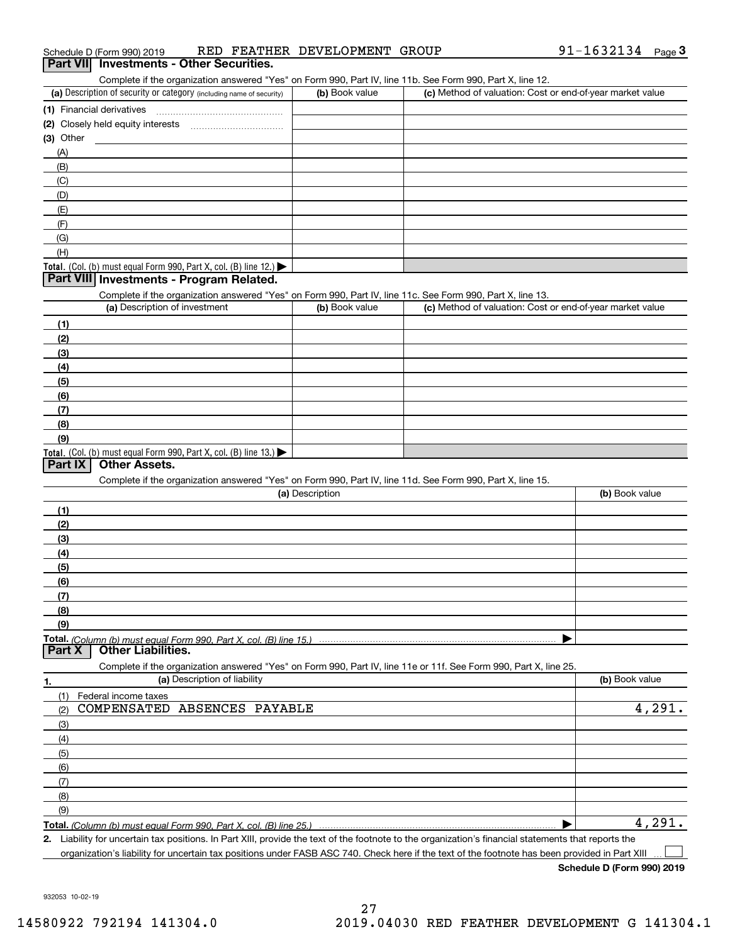|  | Schedule D (Form 990) 2019 |  |  | RED FEATHER DEVELOPMENT GROUP |  | 91-1632134 | Page |  |
|--|----------------------------|--|--|-------------------------------|--|------------|------|--|
|--|----------------------------|--|--|-------------------------------|--|------------|------|--|

| <b>Part VII</b> Investments - Other Securities.                                                           |
|-----------------------------------------------------------------------------------------------------------|
| Complete if the organization answered "Yes" on Form 990, Part IV, line 11b, See Form 990, Part X, line 12 |

| OUTIDICIC II LIIC ORGINIZATION ANSWERSED TEST ON FORM SSO, FAILITY, INTELLIUS OCC FONN SSO, FAILY, INTELLZ. |                |                                                           |
|-------------------------------------------------------------------------------------------------------------|----------------|-----------------------------------------------------------|
| (a) Description of security or category (including name of security)                                        | (b) Book value | (c) Method of valuation: Cost or end-of-year market value |
| (1) Financial derivatives                                                                                   |                |                                                           |
| (2) Closely held equity interests                                                                           |                |                                                           |
| $(3)$ Other                                                                                                 |                |                                                           |
| (A)                                                                                                         |                |                                                           |
| (B)                                                                                                         |                |                                                           |
| (C)                                                                                                         |                |                                                           |
| (D)                                                                                                         |                |                                                           |
| (E)                                                                                                         |                |                                                           |
| (F)                                                                                                         |                |                                                           |
| (G)                                                                                                         |                |                                                           |
| (H)                                                                                                         |                |                                                           |
| Total. (Col. (b) must equal Form 990, Part X, col. (B) line 12.) $\blacktriangleright$                      |                |                                                           |

# **Part VIII Investments - Program Related.**

Complete if the organization answered "Yes" on Form 990, Part IV, line 11c. See Form 990, Part X, line 13.

| (a) Description of investment                                                                 | (b) Book value | (c) Method of valuation: Cost or end-of-year market value |
|-----------------------------------------------------------------------------------------------|----------------|-----------------------------------------------------------|
| (1)                                                                                           |                |                                                           |
| (2)                                                                                           |                |                                                           |
| (3)                                                                                           |                |                                                           |
| (4)                                                                                           |                |                                                           |
| $\left(5\right)$                                                                              |                |                                                           |
| (6)                                                                                           |                |                                                           |
| (7)                                                                                           |                |                                                           |
| (8)                                                                                           |                |                                                           |
| (9)                                                                                           |                |                                                           |
| <b>Total.</b> (Col. (b) must equal Form 990, Part X, col. (B) line 13.) $\blacktriangleright$ |                |                                                           |

### **Part IX Other Assets.**

Complete if the organization answered "Yes" on Form 990, Part IV, line 11d. See Form 990, Part X, line 15.

| (a) Description                                                                                                   | (b) Book value |
|-------------------------------------------------------------------------------------------------------------------|----------------|
| (1)                                                                                                               |                |
| (2)                                                                                                               |                |
| (3)                                                                                                               |                |
| (4)                                                                                                               |                |
| $\frac{1}{2}$ (5)                                                                                                 |                |
| (6)                                                                                                               |                |
|                                                                                                                   |                |
| (8)                                                                                                               |                |
| (9)                                                                                                               |                |
|                                                                                                                   |                |
| <b>Part X</b><br><b>Other Liabilities.</b>                                                                        |                |
| Complete if the organization answered "Yes" on Form 990, Part IV, line 11e or 11f. See Form 990, Part X, line 25. |                |

|     | (a) Description of liability |        |  |  |
|-----|------------------------------|--------|--|--|
| (1) | Federal income taxes         |        |  |  |
| (2) | COMPENSATED ABSENCES PAYABLE | 4,291. |  |  |
| (3) |                              |        |  |  |
| (4) |                              |        |  |  |
| (5) |                              |        |  |  |
| (6) |                              |        |  |  |
| (7) |                              |        |  |  |
| (8) |                              |        |  |  |
| (9) |                              |        |  |  |
|     |                              | 291    |  |  |

**2.** | Liability for uncertain tax positions. In Part XIII, provide the text of the footnote to the organization's financial statements that reports the organization's liability for uncertain tax positions under FASB ASC 740. Check here if the text of the footnote has been provided in Part XIII  $\mathcal{L}^{\text{max}}$ 

**Schedule D (Form 990) 2019**

932053 10-02-19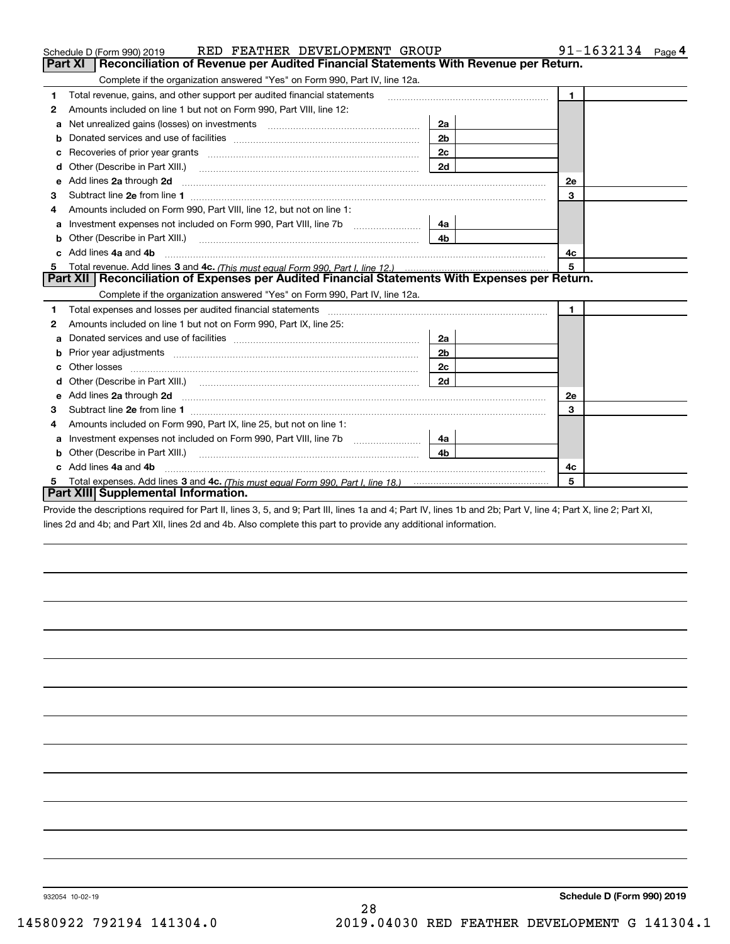| RED FEATHER DEVELOPMENT GROUP<br>Schedule D (Form 990) 2019                                                                                                    |                | $91 - 1632134$ Page 4 |
|----------------------------------------------------------------------------------------------------------------------------------------------------------------|----------------|-----------------------|
| Reconciliation of Revenue per Audited Financial Statements With Revenue per Return.<br>Part XI                                                                 |                |                       |
| Complete if the organization answered "Yes" on Form 990, Part IV, line 12a.                                                                                    |                |                       |
| Total revenue, gains, and other support per audited financial statements<br>1                                                                                  |                | $\mathbf{1}$          |
| Amounts included on line 1 but not on Form 990, Part VIII, line 12:<br>2                                                                                       |                |                       |
| Net unrealized gains (losses) on investments www.community.com/<br>a                                                                                           | 2a             |                       |
| b                                                                                                                                                              | 2 <sub>b</sub> |                       |
| c                                                                                                                                                              | 2 <sub>c</sub> |                       |
| d                                                                                                                                                              | 2d             |                       |
| Add lines 2a through 2d<br>е                                                                                                                                   |                | <b>2e</b>             |
| 3                                                                                                                                                              |                | 3                     |
| Amounts included on Form 990, Part VIII, line 12, but not on line 1:<br>4                                                                                      |                |                       |
| a                                                                                                                                                              | 4a             |                       |
| b                                                                                                                                                              | 4b             |                       |
| c Add lines 4a and 4b                                                                                                                                          |                | 4с                    |
| 5                                                                                                                                                              |                | 5                     |
| Part XII   Reconciliation of Expenses per Audited Financial Statements With Expenses per Return.                                                               |                |                       |
| Complete if the organization answered "Yes" on Form 990, Part IV, line 12a.                                                                                    |                |                       |
| 1                                                                                                                                                              |                | -1                    |
| Amounts included on line 1 but not on Form 990, Part IX, line 25:<br>2                                                                                         |                |                       |
| a                                                                                                                                                              | 2a             |                       |
|                                                                                                                                                                | 2b             |                       |
| c                                                                                                                                                              | 2c             |                       |
| d                                                                                                                                                              | 2d             |                       |
| Add lines 2a through 2d<br>e                                                                                                                                   |                | 2e                    |
| 3                                                                                                                                                              |                | 3                     |
| Amounts included on Form 990, Part IX, line 25, but not on line 1:<br>4                                                                                        |                |                       |
| a                                                                                                                                                              | 4a             |                       |
|                                                                                                                                                                | 4 <sub>b</sub> |                       |
| Add lines 4a and 4b                                                                                                                                            |                | 4c                    |
| 5.                                                                                                                                                             |                | 5                     |
| Part XIII Supplemental Information.                                                                                                                            |                |                       |
| Provide the descriptions required for Part II, lines 3, 5, and 9; Part III, lines 1a and 4; Part IV, lines 1b and 2b; Part V, line 4; Part X, line 2; Part XI, |                |                       |

lines 2d and 4b; and Part XII, lines 2d and 4b. Also complete this part to provide any additional information.

932054 10-02-19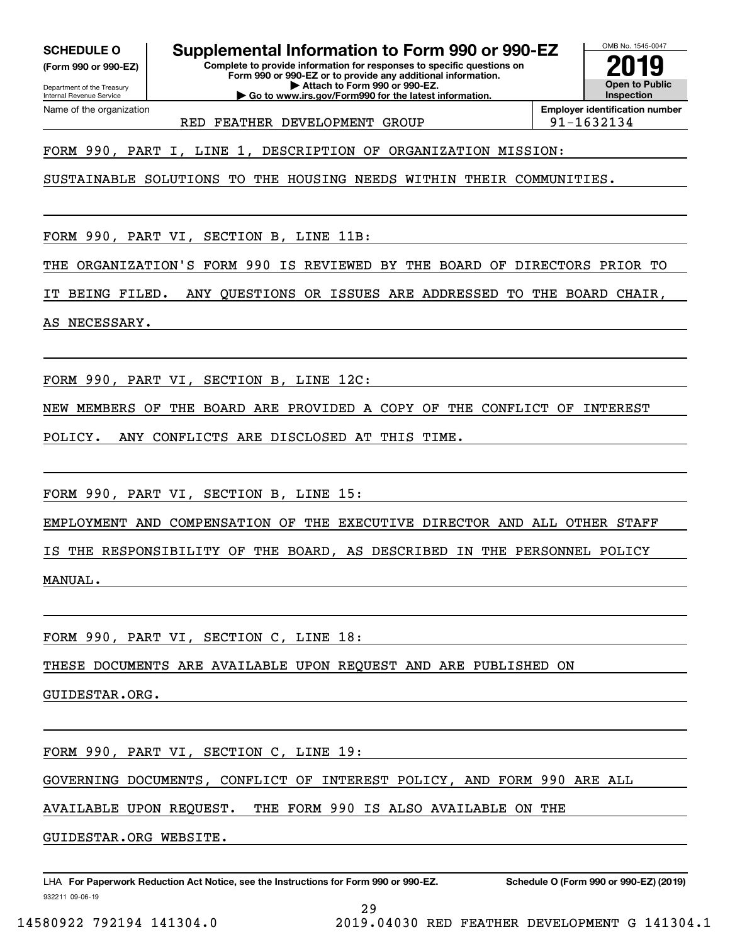**(Form 990 or 990-EZ)**

Department of the Treasury Internal Revenue Service Name of the organization

# **SCHEDULE O Supplemental Information to Form 990 or 990-EZ**

**Complete to provide information for responses to specific questions on Form 990 or 990-EZ or to provide any additional information. | Attach to Form 990 or 990-EZ. | Go to www.irs.gov/Form990 for the latest information.**



RED FEATHER DEVELOPMENT GROUP  $|91-1632134$ 

**Employer identification number**

FORM 990, PART I, LINE 1, DESCRIPTION OF ORGANIZATION MISSION:

SUSTAINABLE SOLUTIONS TO THE HOUSING NEEDS WITHIN THEIR COMMUNITIES.

FORM 990, PART VI, SECTION B, LINE 11B:

THE ORGANIZATION'S FORM 990 IS REVIEWED BY THE BOARD OF DIRECTORS PRIOR TO

IT BEING FILED. ANY QUESTIONS OR ISSUES ARE ADDRESSED TO THE BOARD CHAIR,

AS NECESSARY.

FORM 990, PART VI, SECTION B, LINE 12C:

NEW MEMBERS OF THE BOARD ARE PROVIDED A COPY OF THE CONFLICT OF INTEREST

POLICY. ANY CONFLICTS ARE DISCLOSED AT THIS TIME.

FORM 990, PART VI, SECTION B, LINE 15:

EMPLOYMENT AND COMPENSATION OF THE EXECUTIVE DIRECTOR AND ALL OTHER STAFF

IS THE RESPONSIBILITY OF THE BOARD, AS DESCRIBED IN THE PERSONNEL POLICY MANUAL.

FORM 990, PART VI, SECTION C, LINE 18:

THESE DOCUMENTS ARE AVAILABLE UPON REQUEST AND ARE PUBLISHED ON

GUIDESTAR.ORG.

FORM 990, PART VI, SECTION C, LINE 19:

GOVERNING DOCUMENTS, CONFLICT OF INTEREST POLICY, AND FORM 990 ARE ALL

AVAILABLE UPON REQUEST. THE FORM 990 IS ALSO AVAILABLE ON THE

GUIDESTAR.ORG WEBSITE.

932211 09-06-19 LHA For Paperwork Reduction Act Notice, see the Instructions for Form 990 or 990-EZ. Schedule O (Form 990 or 990-EZ) (2019)